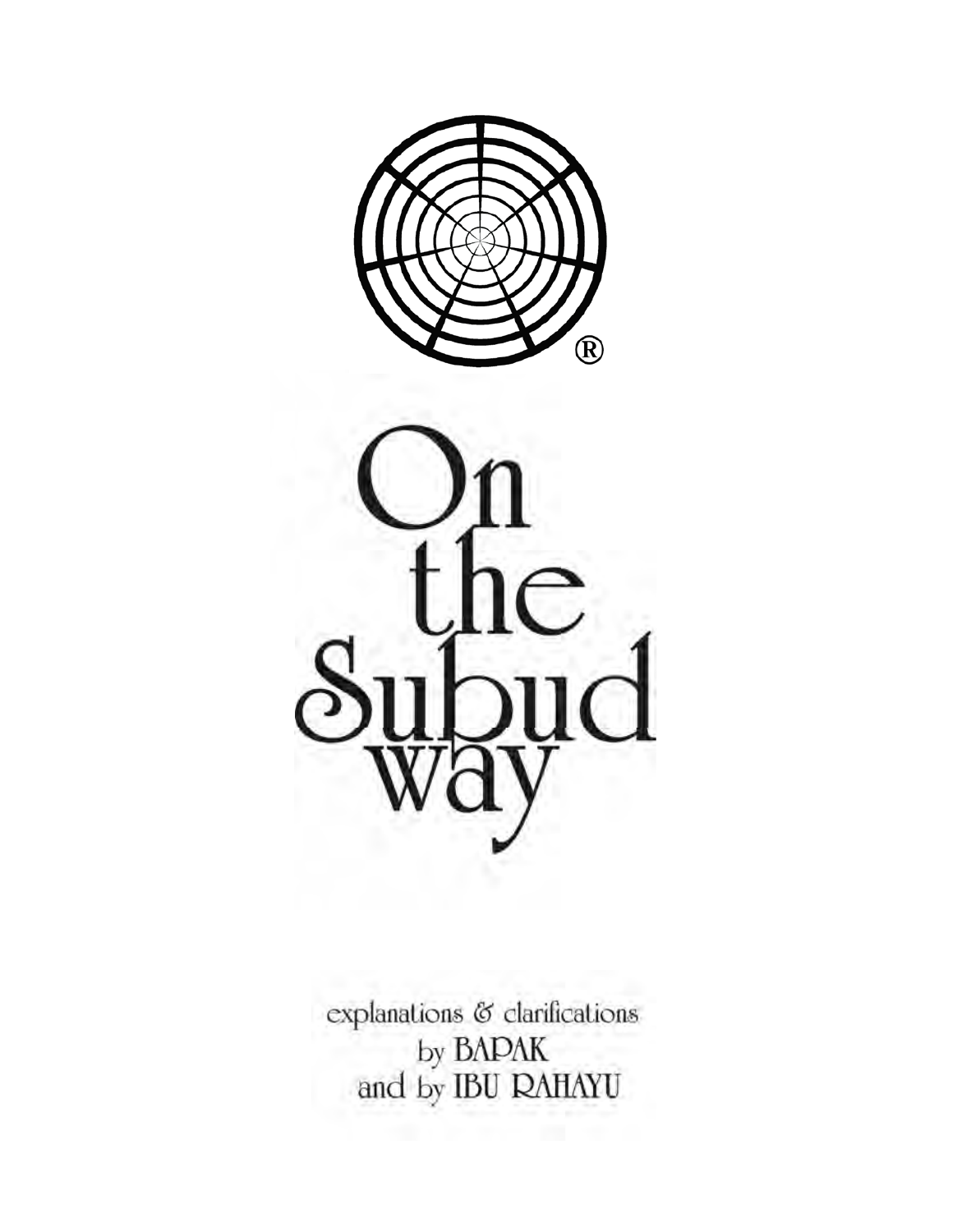



explanations & clarifications by BAPAK<br>and by IBU RAHAYU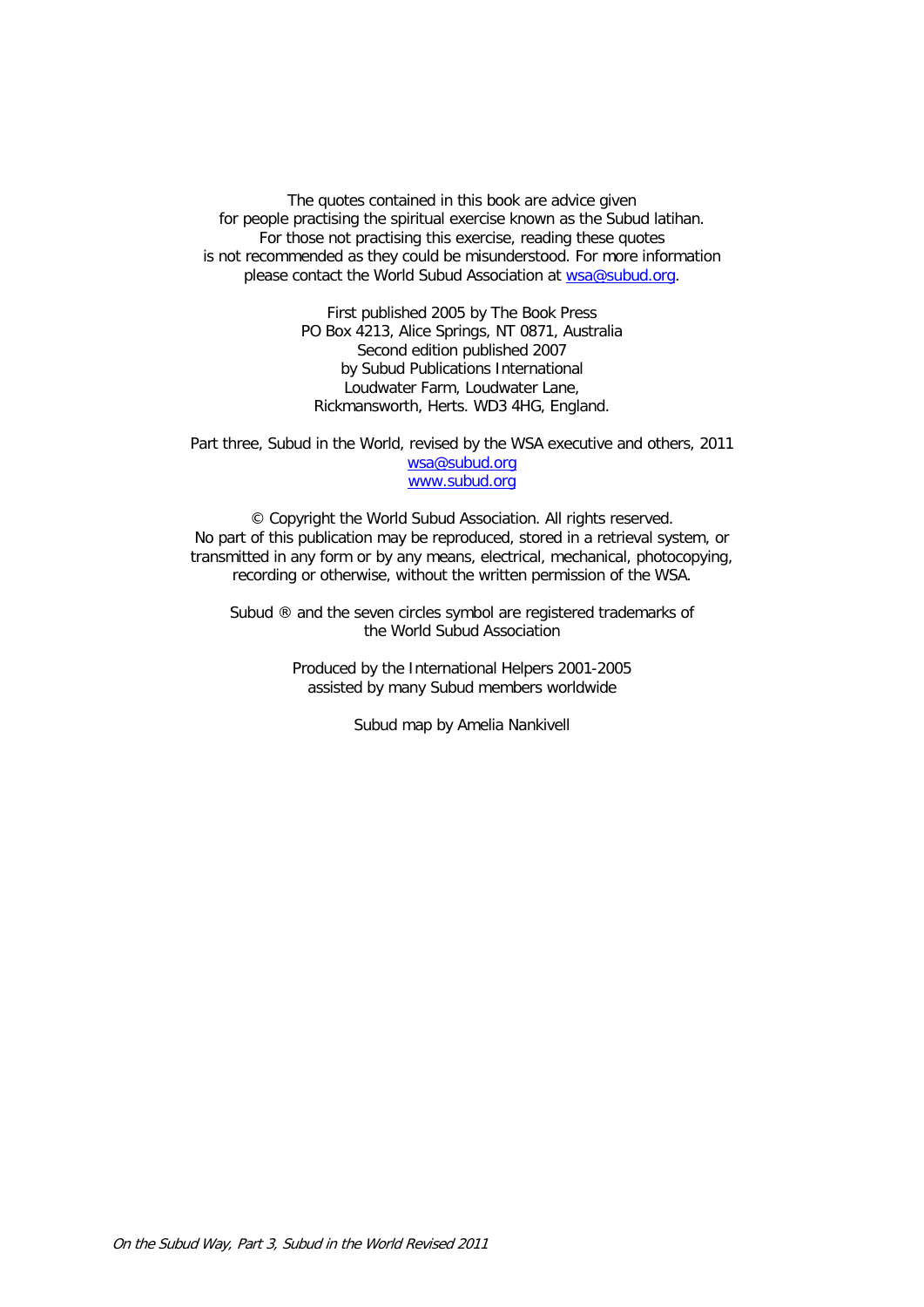The quotes contained in this book are advice given for people practising the spiritual exercise known as the Subud latihan. For those not practising this exercise, reading these quotes is not recommended as they could be misunderstood. For more information please contact the World Subud Association at [wsa@subud.org.](mailto:wsa@subud.org)

> First published 2005 by The Book Press PO Box 4213, Alice Springs, NT 0871, Australia Second edition published 2007 by Subud Publications International Loudwater Farm, Loudwater Lane, Rickmansworth, Herts. WD3 4HG, England.

Part three, Subud in the World, revised by the WSA executive and others, 2011 [wsa@subud.org](mailto:wsa@subud.org) [www.subud.org](http://www.subud.org/)

© Copyright the World Subud Association. All rights reserved. No part of this publication may be reproduced, stored in a retrieval system, or transmitted in any form or by any means, electrical, mechanical, photocopying, recording or otherwise, without the written permission of the WSA.

Subud ® and the seven circles symbol are registered trademarks of the World Subud Association

> Produced by the International Helpers 2001-2005 assisted by many Subud members worldwide

> > Subud map by Amelia Nankivell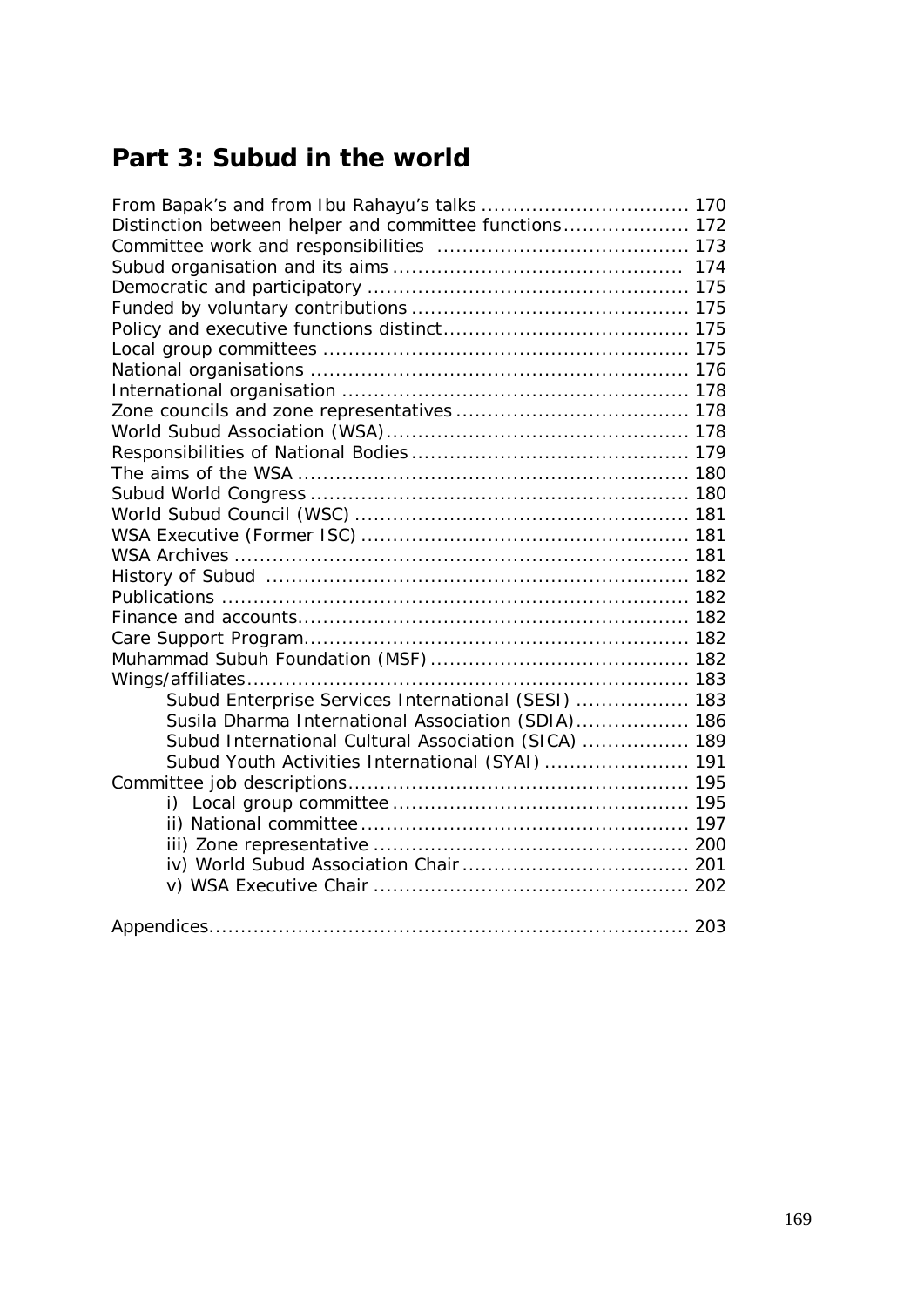# **Part 3: Subud in the world**

| From Bapak's and from Ibu Rahayu's talks  170          |  |
|--------------------------------------------------------|--|
| Distinction between helper and committee functions 172 |  |
|                                                        |  |
|                                                        |  |
|                                                        |  |
|                                                        |  |
|                                                        |  |
|                                                        |  |
|                                                        |  |
|                                                        |  |
|                                                        |  |
|                                                        |  |
|                                                        |  |
|                                                        |  |
|                                                        |  |
|                                                        |  |
|                                                        |  |
|                                                        |  |
|                                                        |  |
|                                                        |  |
|                                                        |  |
|                                                        |  |
|                                                        |  |
|                                                        |  |
| Subud Enterprise Services International (SESI)  183    |  |
| Susila Dharma International Association (SDIA) 186     |  |
| Subud International Cultural Association (SICA)  189   |  |
| Subud Youth Activities International (SYAI)  191       |  |
|                                                        |  |
| i)                                                     |  |
|                                                        |  |
|                                                        |  |
|                                                        |  |
|                                                        |  |
|                                                        |  |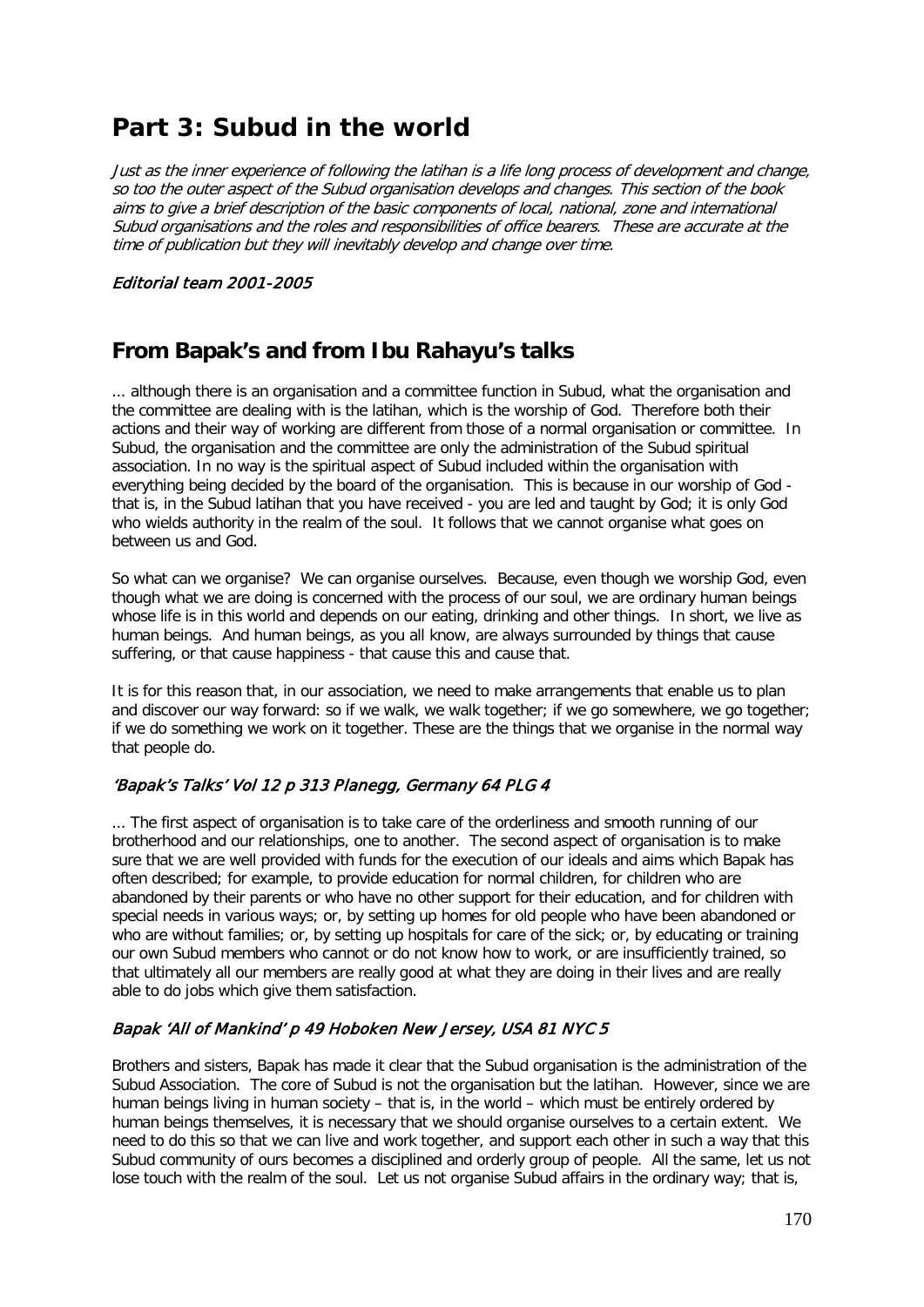# **Part 3: Subud in the world**

Just as the inner experience of following the latihan is a life long process of development and change, so too the outer aspect of the Subud organisation develops and changes. This section of the book aims to give a brief description of the basic components of local, national, zone and international Subud organisations and the roles and responsibilities of office bearers. These are accurate at the time of publication but they will inevitably develop and change over time.

### Editorial team 2001-2005

# **From Bapak's and from Ibu Rahayu's talks**

... although there is an organisation and a committee function in Subud, what the organisation and the committee are dealing with is the latihan, which is the worship of God. Therefore both their actions and their way of working are different from those of a normal organisation or committee. In Subud, the organisation and the committee are only the administration of the Subud spiritual association. In no way is the spiritual aspect of Subud included within the organisation with everything being decided by the board of the organisation. This is because in our worship of God that is, in the Subud latihan that you have received - you are led and taught by God; it is only God who wields authority in the realm of the soul. It follows that we cannot organise what goes on between us and God.

So what can we organise? We can organise ourselves. Because, even though we worship God, even though what we are doing is concerned with the process of our soul, we are ordinary human beings whose life is in this world and depends on our eating, drinking and other things. In short, we live as human beings. And human beings, as you all know, are always surrounded by things that cause suffering, or that cause happiness - that cause this and cause that.

It is for this reason that, in our association, we need to make arrangements that enable us to plan and discover our way forward: so if we walk, we walk together; if we go somewhere, we go together; if we do something we work on it together. These are the things that we organise in the normal way that people do.

## 'Bapak's Talks' Vol 12 p 313 Planegg, Germany 64 PLG 4

... The first aspect of organisation is to take care of the orderliness and smooth running of our brotherhood and our relationships, one to another. The second aspect of organisation is to make sure that we are well provided with funds for the execution of our ideals and aims which Bapak has often described; for example, to provide education for normal children, for children who are abandoned by their parents or who have no other support for their education, and for children with special needs in various ways; or, by setting up homes for old people who have been abandoned or who are without families; or, by setting up hospitals for care of the sick; or, by educating or training our own Subud members who cannot or do not know how to work, or are insufficiently trained, so that ultimately all our members are really good at what they are doing in their lives and are really able to do jobs which give them satisfaction.

## Bapak 'All of Mankind' p 49 Hoboken New Jersey, USA 81 NYC 5

Brothers and sisters, Bapak has made it clear that the Subud organisation is the administration of the Subud Association. The core of Subud is not the organisation but the latihan. However, since we are human beings living in human society – that is, in the world – which must be entirely ordered by human beings themselves, it is necessary that we should organise ourselves to a certain extent. We need to do this so that we can live and work together, and support each other in such a way that this Subud community of ours becomes a disciplined and orderly group of people. All the same, let us not lose touch with the realm of the soul. Let us not organise Subud affairs in the ordinary way; that is,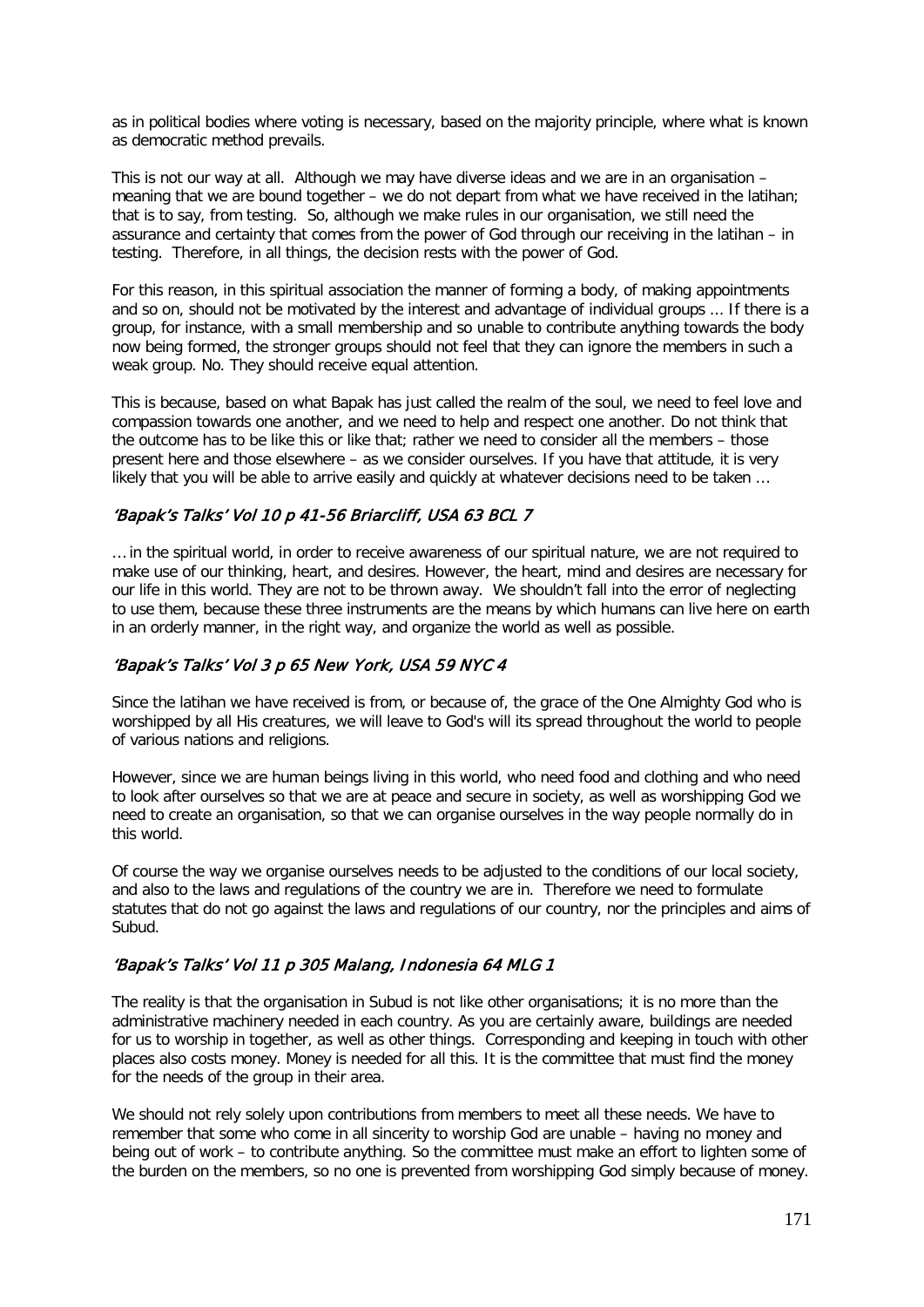as in political bodies where voting is necessary, based on the majority principle, where what is known as democratic method prevails.

This is not our way at all. Although we may have diverse ideas and we are in an organisation – meaning that we are bound together – we do not depart from what we have received in the latihan; that is to say, from testing. So, although we make rules in our organisation, we still need the assurance and certainty that comes from the power of God through our receiving in the latihan – in testing. Therefore, in all things, the decision rests with the power of God.

For this reason, in this spiritual association the manner of forming a body, of making appointments and so on, should not be motivated by the interest and advantage of individual groups ... If there is a group, for instance, with a small membership and so unable to contribute anything towards the body now being formed, the stronger groups should not feel that they can ignore the members in such a weak group. No. They should receive equal attention.

This is because, based on what Bapak has just called the realm of the soul, we need to feel love and compassion towards one another, and we need to help and respect one another. Do not think that the outcome has to be like this or like that; rather we need to consider all the members – those present here and those elsewhere – as we consider ourselves. If you have that attitude, it is very likely that you will be able to arrive easily and quickly at whatever decisions need to be taken …

## 'Bapak's Talks' Vol 10 p 41-56 Briarcliff, USA 63 BCL 7

… in the spiritual world, in order to receive awareness of our spiritual nature, we are not required to make use of our thinking, heart, and desires. However, the heart, mind and desires are necessary for our life in this world. They are not to be thrown away. We shouldn't fall into the error of neglecting to use them, because these three instruments are the means by which humans can live here on earth in an orderly manner, in the right way, and organize the world as well as possible.

## 'Bapak's Talks' Vol 3 p 65 New York, USA 59 NYC 4

Since the latihan we have received is from, or because of, the grace of the One Almighty God who is worshipped by all His creatures, we will leave to God's will its spread throughout the world to people of various nations and religions.

However, since we are human beings living in this world, who need food and clothing and who need to look after ourselves so that we are at peace and secure in society, as well as worshipping God we need to create an organisation, so that we can organise ourselves in the way people normally do in this world.

Of course the way we organise ourselves needs to be adjusted to the conditions of our local society, and also to the laws and regulations of the country we are in. Therefore we need to formulate statutes that do not go against the laws and regulations of our country, nor the principles and aims of Subud.

## 'Bapak's Talks' Vol 11 p 305 Malang, Indonesia 64 MLG 1

The reality is that the organisation in Subud is not like other organisations; it is no more than the administrative machinery needed in each country. As you are certainly aware, buildings are needed for us to worship in together, as well as other things. Corresponding and keeping in touch with other places also costs money. Money is needed for all this. It is the committee that must find the money for the needs of the group in their area.

We should not rely solely upon contributions from members to meet all these needs. We have to remember that some who come in all sincerity to worship God are unable – having no money and being out of work – to contribute anything. So the committee must make an effort to lighten some of the burden on the members, so no one is prevented from worshipping God simply because of money.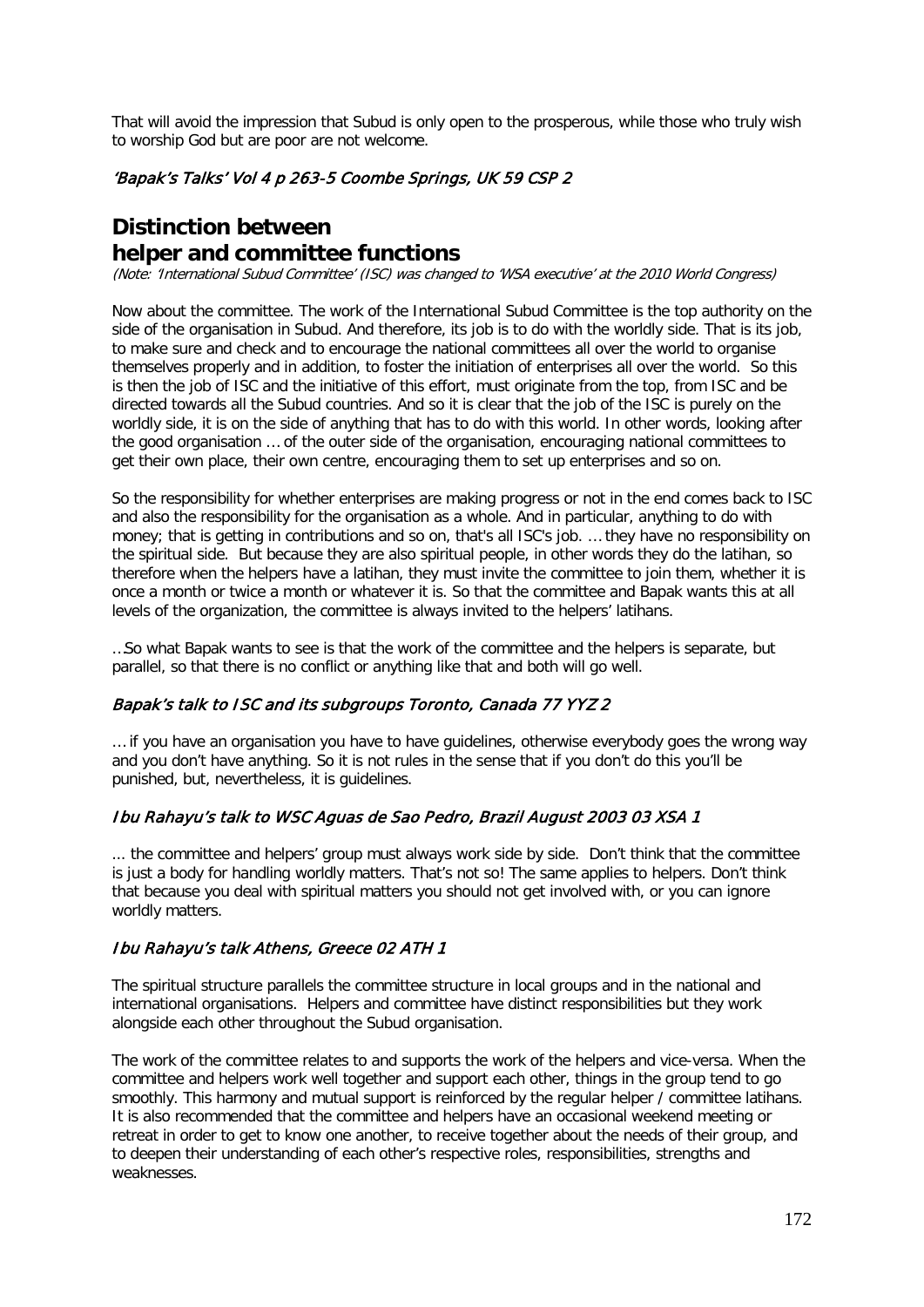That will avoid the impression that Subud is only open to the prosperous, while those who truly wish to worship God but are poor are not welcome.

## 'Bapak's Talks' Vol 4 p 263-5 Coombe Springs, UK 59 CSP 2

# **Distinction between helper and committee functions**

(Note: 'International Subud Committee' (ISC) was changed to 'WSA executive' at the 2010 World Congress)

Now about the committee. The work of the International Subud Committee is the top authority on the side of the organisation in Subud. And therefore, its job is to do with the worldly side. That is its job, to make sure and check and to encourage the national committees all over the world to organise themselves properly and in addition, to foster the initiation of enterprises all over the world. So this is then the job of ISC and the initiative of this effort, must originate from the top, from ISC and be directed towards all the Subud countries. And so it is clear that the job of the ISC is purely on the worldly side, it is on the side of anything that has to do with this world. In other words, looking after the good organisation … of the outer side of the organisation, encouraging national committees to get their own place, their own centre, encouraging them to set up enterprises and so on.

So the responsibility for whether enterprises are making progress or not in the end comes back to ISC and also the responsibility for the organisation as a whole. And in particular, anything to do with money; that is getting in contributions and so on, that's all ISC's job. … they have no responsibility on the spiritual side. But because they are also spiritual people, in other words they do the latihan, so therefore when the helpers have a latihan, they must invite the committee to join them, whether it is once a month or twice a month or whatever it is. So that the committee and Bapak wants this at all levels of the organization, the committee is always invited to the helpers' latihans.

…So what Bapak wants to see is that the work of the committee and the helpers is separate, but parallel, so that there is no conflict or anything like that and both will go well.

## Bapak's talk to ISC and its subgroups Toronto, Canada 77 YYZ 2

… if you have an organisation you have to have guidelines, otherwise everybody goes the wrong way and you don't have anything. So it is not rules in the sense that if you don't do this you'll be punished, but, nevertheless, it is guidelines.

## Ibu Rahayu's talk to WSC Aguas de Sao Pedro, Brazil August 2003 03 XSA 1

... the committee and helpers' group must always work side by side. Don't think that the committee is just a body for handling worldly matters. That's not so! The same applies to helpers. Don't think that because you deal with spiritual matters you should not get involved with, or you can ignore worldly matters.

## Ibu Rahayu's talk Athens, Greece 02 ATH 1

The spiritual structure parallels the committee structure in local groups and in the national and international organisations. Helpers and committee have distinct responsibilities but they work alongside each other throughout the Subud organisation.

The work of the committee relates to and supports the work of the helpers and vice-versa. When the committee and helpers work well together and support each other, things in the group tend to go smoothly. This harmony and mutual support is reinforced by the regular helper / committee latihans. It is also recommended that the committee and helpers have an occasional weekend meeting or retreat in order to get to know one another, to receive together about the needs of their group, and to deepen their understanding of each other's respective roles, responsibilities, strengths and weaknesses.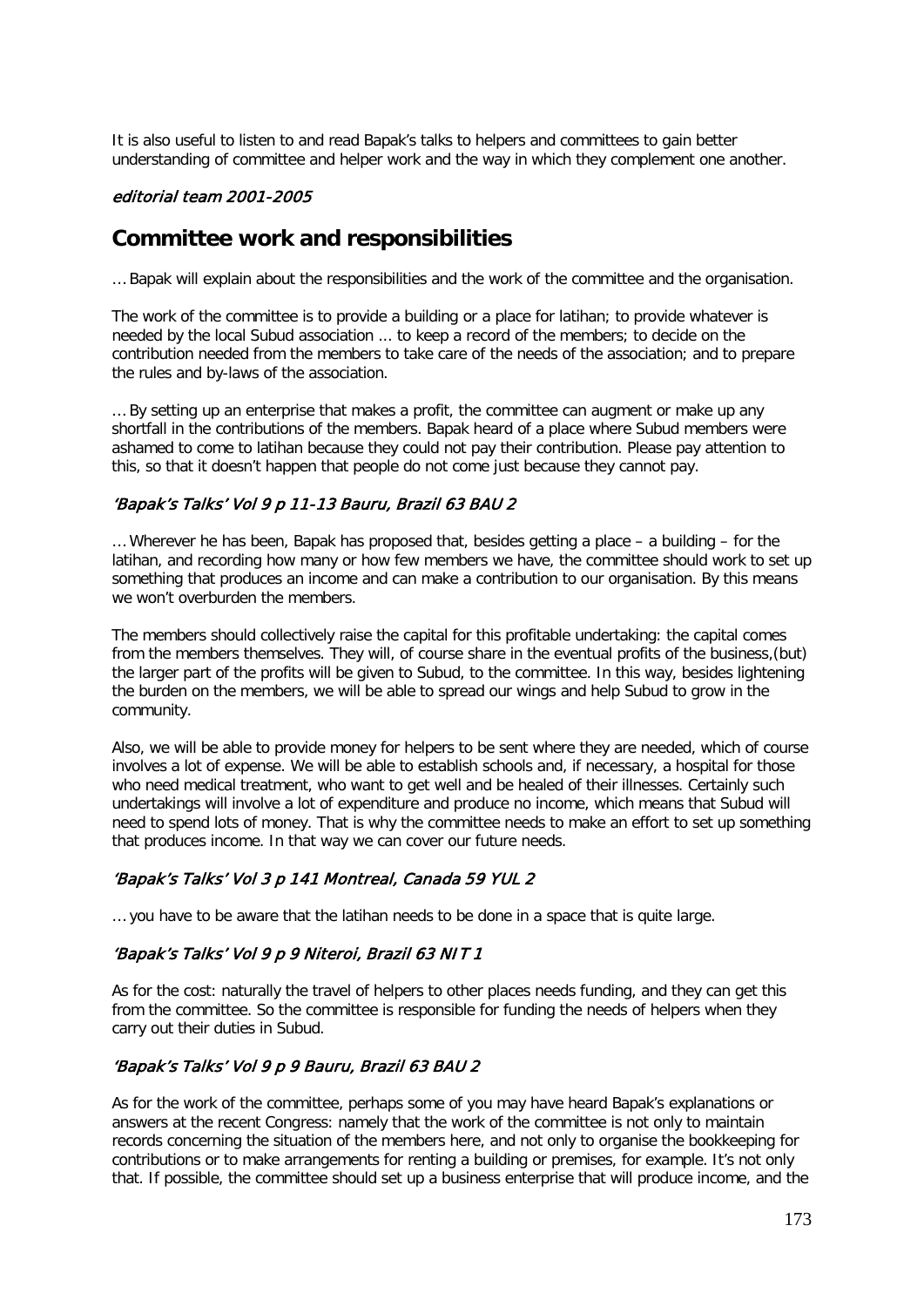It is also useful to listen to and read Bapak's talks to helpers and committees to gain better understanding of committee and helper work and the way in which they complement one another.

### editorial team 2001-2005

## **Committee work and responsibilities**

… Bapak will explain about the responsibilities and the work of the committee and the organisation.

The work of the committee is to provide a building or a place for latihan; to provide whatever is needed by the local Subud association ... to keep a record of the members; to decide on the contribution needed from the members to take care of the needs of the association; and to prepare the rules and by-laws of the association.

… By setting up an enterprise that makes a profit, the committee can augment or make up any shortfall in the contributions of the members. Bapak heard of a place where Subud members were ashamed to come to latihan because they could not pay their contribution. Please pay attention to this, so that it doesn't happen that people do not come just because they cannot pay.

### 'Bapak's Talks' Vol 9 p 11-13 Bauru, Brazil 63 BAU 2

 $\ldots$  Wherever he has been, Bapak has proposed that, besides getting a place – a building – for the latihan, and recording how many or how few members we have, the committee should work to set up something that produces an income and can make a contribution to our organisation. By this means we won't overburden the members.

The members should collectively raise the capital for this profitable undertaking: the capital comes from the members themselves. They will, of course share in the eventual profits of the business,(but) the larger part of the profits will be given to Subud, to the committee. In this way, besides lightening the burden on the members, we will be able to spread our wings and help Subud to grow in the community.

Also, we will be able to provide money for helpers to be sent where they are needed, which of course involves a lot of expense. We will be able to establish schools and, if necessary, a hospital for those who need medical treatment, who want to get well and be healed of their illnesses. Certainly such undertakings will involve a lot of expenditure and produce no income, which means that Subud will need to spend lots of money. That is why the committee needs to make an effort to set up something that produces income. In that way we can cover our future needs.

### 'Bapak's Talks' Vol 3 p 141 Montreal, Canada 59 YUL 2

… you have to be aware that the latihan needs to be done in a space that is quite large.

## 'Bapak's Talks' Vol 9 p 9 Niteroi, Brazil 63 NIT 1

As for the cost: naturally the travel of helpers to other places needs funding, and they can get this from the committee. So the committee is responsible for funding the needs of helpers when they carry out their duties in Subud.

## 'Bapak's Talks' Vol 9 p 9 Bauru, Brazil 63 BAU 2

As for the work of the committee, perhaps some of you may have heard Bapak's explanations or answers at the recent Congress: namely that the work of the committee is not only to maintain records concerning the situation of the members here, and not only to organise the bookkeeping for contributions or to make arrangements for renting a building or premises, for example. It's not only that. If possible, the committee should set up a business enterprise that will produce income, and the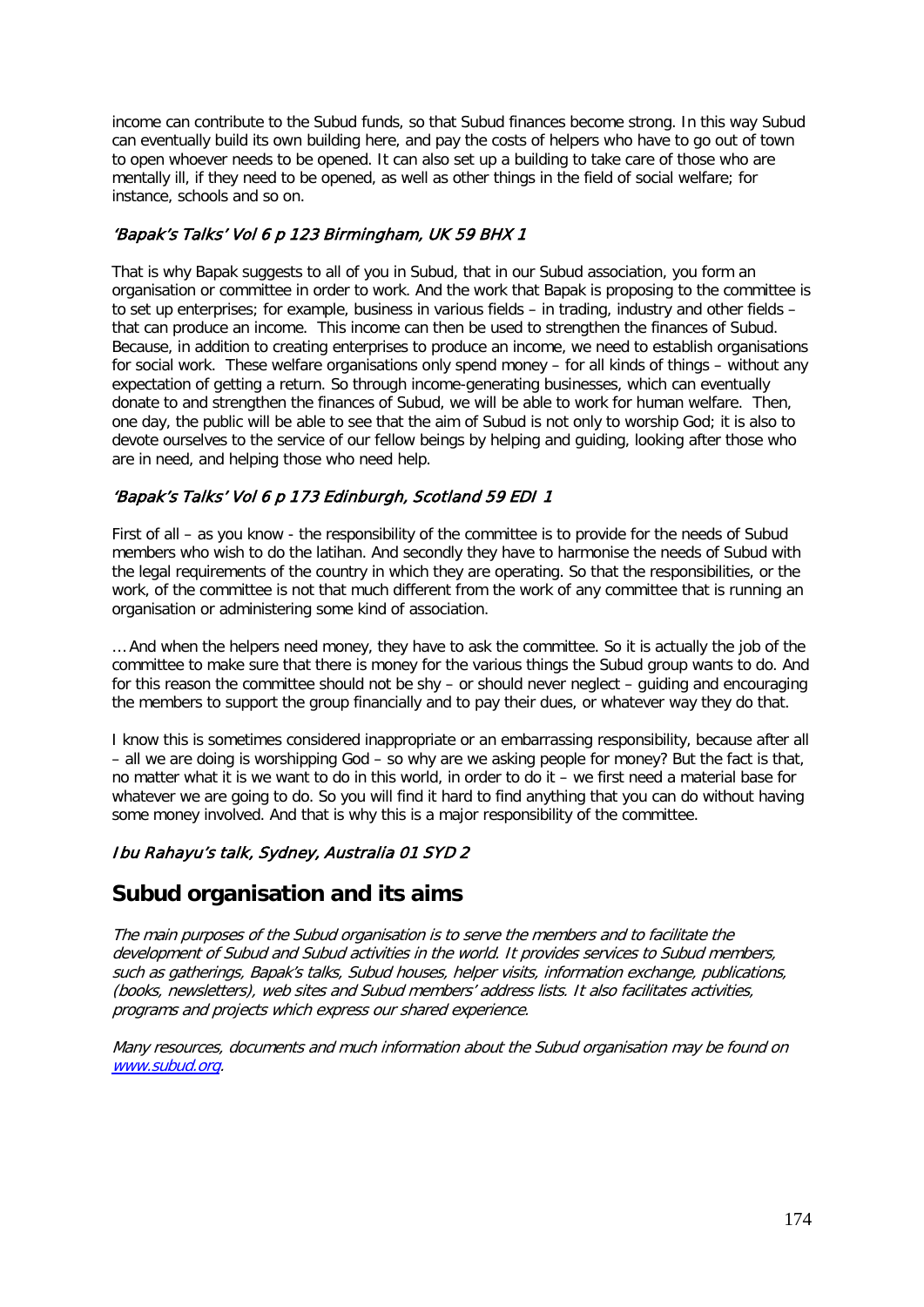income can contribute to the Subud funds, so that Subud finances become strong. In this way Subud can eventually build its own building here, and pay the costs of helpers who have to go out of town to open whoever needs to be opened. It can also set up a building to take care of those who are mentally ill, if they need to be opened, as well as other things in the field of social welfare; for instance, schools and so on.

## 'Bapak's Talks' Vol 6 p 123 Birmingham, UK 59 BHX 1

That is why Bapak suggests to all of you in Subud, that in our Subud association, you form an organisation or committee in order to work. And the work that Bapak is proposing to the committee is to set up enterprises; for example, business in various fields – in trading, industry and other fields – that can produce an income. This income can then be used to strengthen the finances of Subud. Because, in addition to creating enterprises to produce an income, we need to establish organisations for social work. These welfare organisations only spend money – for all kinds of things – without any expectation of getting a return. So through income-generating businesses, which can eventually donate to and strengthen the finances of Subud, we will be able to work for human welfare. Then, one day, the public will be able to see that the aim of Subud is not only to worship God; it is also to devote ourselves to the service of our fellow beings by helping and guiding, looking after those who are in need, and helping those who need help.

## 'Bapak's Talks' Vol 6 p 173 Edinburgh, Scotland 59 EDI 1

First of all – as you know - the responsibility of the committee is to provide for the needs of Subud members who wish to do the latihan. And secondly they have to harmonise the needs of Subud with the legal requirements of the country in which they are operating. So that the responsibilities, or the work, of the committee is not that much different from the work of any committee that is running an organisation or administering some kind of association.

… And when the helpers need money, they have to ask the committee. So it is actually the job of the committee to make sure that there is money for the various things the Subud group wants to do. And for this reason the committee should not be shy – or should never neglect – guiding and encouraging the members to support the group financially and to pay their dues, or whatever way they do that.

I know this is sometimes considered inappropriate or an embarrassing responsibility, because after all – all we are doing is worshipping God – so why are we asking people for money? But the fact is that, no matter what it is we want to do in this world, in order to do it – we first need a material base for whatever we are going to do. So you will find it hard to find anything that you can do without having some money involved. And that is why this is a major responsibility of the committee.

## Ibu Rahayu's talk, Sydney, Australia 01 SYD 2

## **Subud organisation and its aims**

The main purposes of the Subud organisation is to serve the members and to facilitate the development of Subud and Subud activities in the world. It provides services to Subud members, such as gatherings, Bapak's talks, Subud houses, helper visits, information exchange, publications, (books, newsletters), web sites and Subud members' address lists. It also facilitates activities, programs and projects which express our shared experience.

Many resources, documents and much information about the Subud organisation may be found on [www.subud.org.](http://www.subud.org/)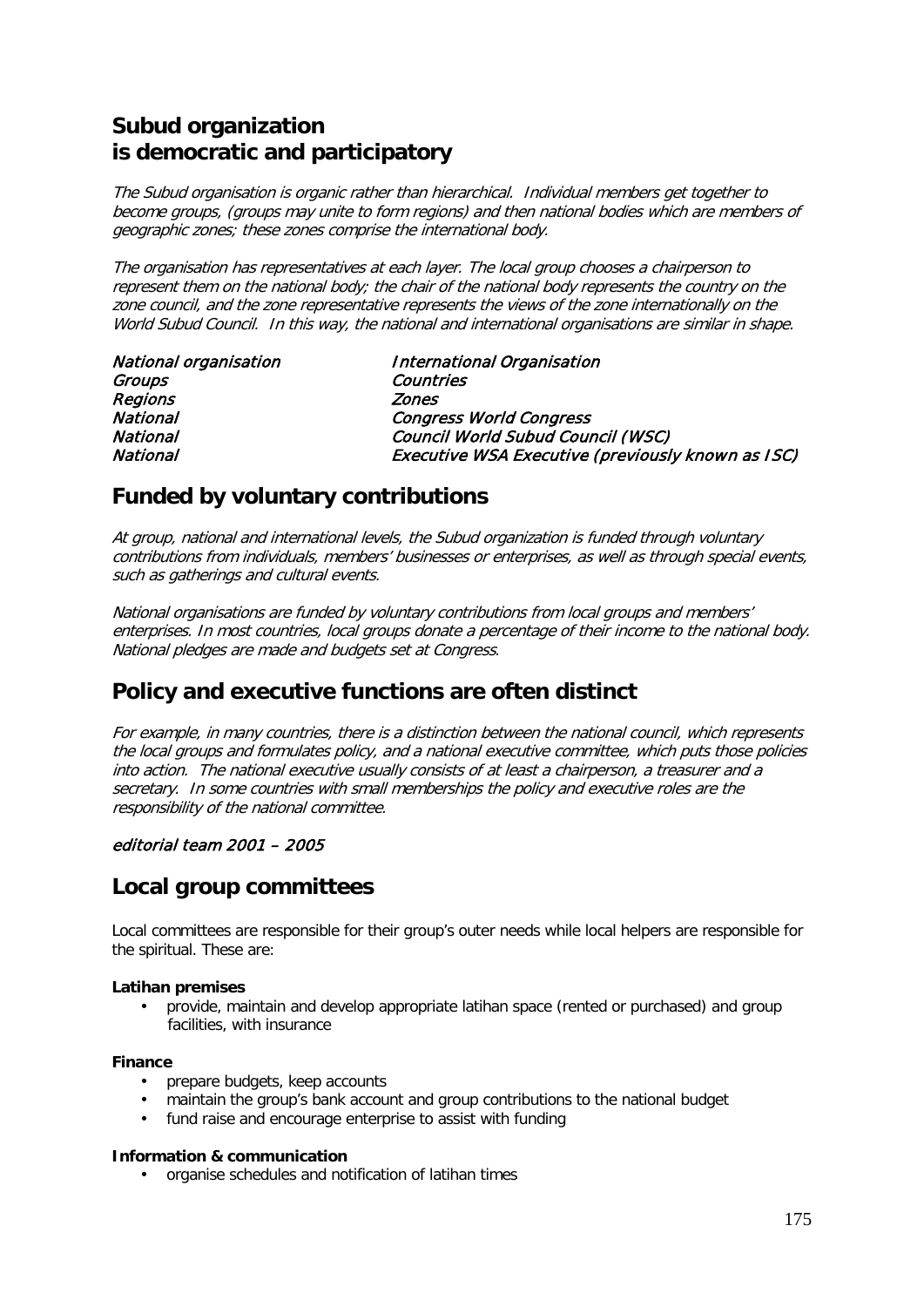# **Subud organization is democratic and participatory**

The Subud organisation is organic rather than hierarchical. Individual members get together to become groups, (groups may unite to form regions) and then national bodies which are members of geographic zones; these zones comprise the international body.

The organisation has representatives at each layer. The local group chooses a chairperson to represent them on the national body; the chair of the national body represents the country on the zone council, and the zone representative represents the views of the zone internationally on the World Subud Council. In this way, the national and international organisations are similar in shape.

| <b>National organisation</b> | International Organisation                        |
|------------------------------|---------------------------------------------------|
| Groups                       | Countries                                         |
| Regions                      | <b>Zones</b>                                      |
| <b>National</b>              | <b>Congress World Congress</b>                    |
| National                     | Council World Subud Council (WSC)                 |
| National                     | Executive WSA Executive (previously known as ISC) |

# **Funded by voluntary contributions**

At group, national and international levels, the Subud organization is funded through voluntary contributions from individuals, members' businesses or enterprises, as well as through special events, such as gatherings and cultural events.

National organisations are funded by voluntary contributions from local groups and members' enterprises. In most countries, local groups donate a percentage of their income to the national body. National pledges are made and budgets set at Congress.

# **Policy and executive functions are often distinct**

For example, in many countries, there is a distinction between the national council, which represents the local groups and formulates policy, and a national executive committee, which puts those policies into action. The national executive usually consists of at least a chairperson, a treasurer and a secretary. In some countries with small memberships the policy and executive roles are the responsibility of the national committee.

## editorial team 2001 – 2005

# **Local group committees**

Local committees are responsible for their group's outer needs while local helpers are responsible for the spiritual. These are:

### **Latihan premises**

• provide, maintain and develop appropriate latihan space (rented or purchased) and group facilities, with insurance

### **Finance**

- prepare budgets, keep accounts
- maintain the group's bank account and group contributions to the national budget
- fund raise and encourage enterprise to assist with funding

### **Information & communication**

• organise schedules and notification of latihan times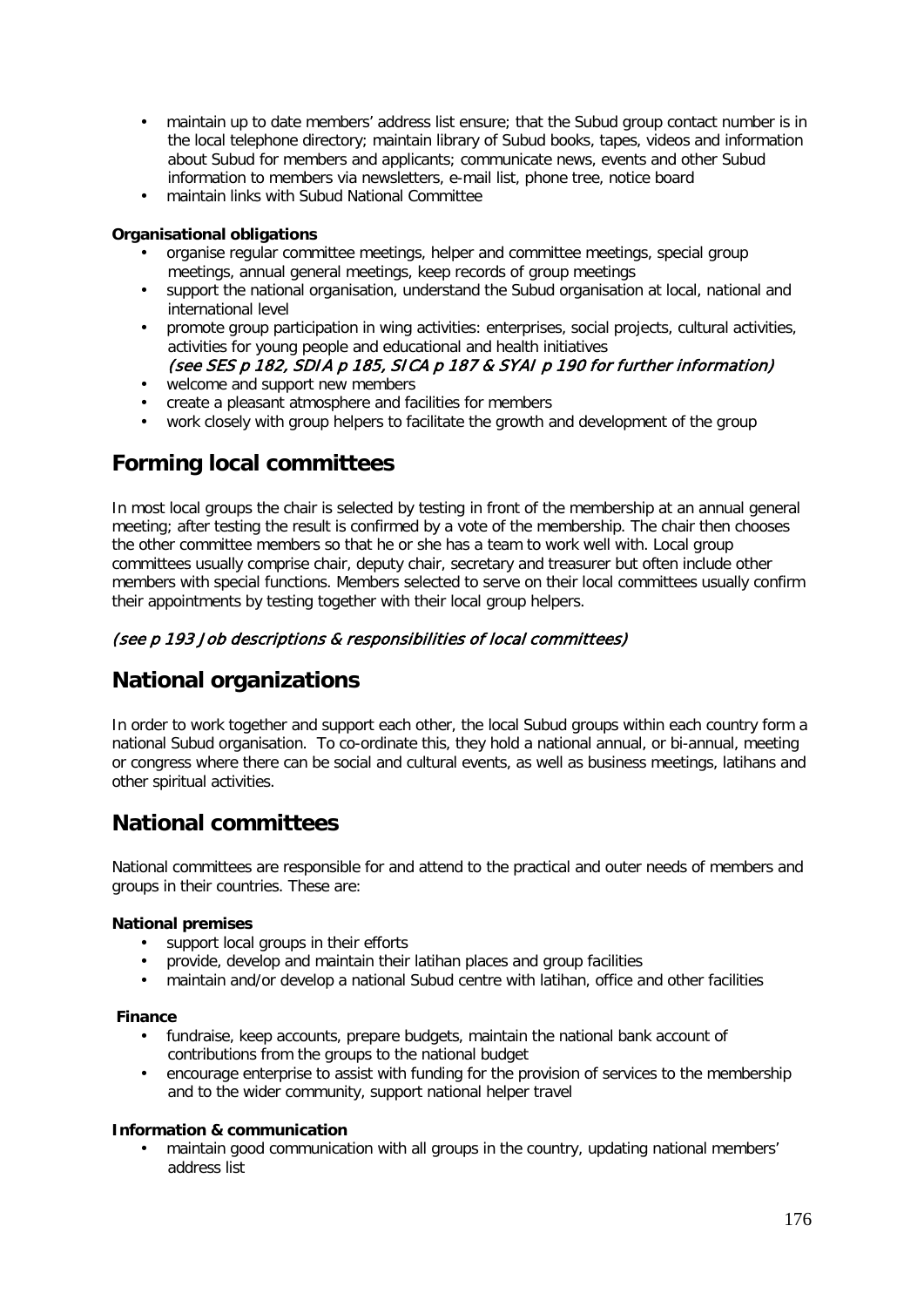- maintain up to date members' address list ensure; that the Subud group contact number is in the local telephone directory; maintain library of Subud books, tapes, videos and information about Subud for members and applicants; communicate news, events and other Subud information to members via newsletters, e-mail list, phone tree, notice board
- maintain links with Subud National Committee

### **Organisational obligations**

- organise regular committee meetings, helper and committee meetings, special group meetings, annual general meetings, keep records of group meetings
- support the national organisation, understand the Subud organisation at local, national and international level
- promote group participation in wing activities: enterprises, social projects, cultural activities, activities for young people and educational and health initiatives (see SES p 182, SDIA p 185, SICA p 187 & SYAI p 190 for further information)
- welcome and support new members
- create a pleasant atmosphere and facilities for members
- work closely with group helpers to facilitate the growth and development of the group

# **Forming local committees**

In most local groups the chair is selected by testing in front of the membership at an annual general meeting; after testing the result is confirmed by a vote of the membership. The chair then chooses the other committee members so that he or she has a team to work well with. Local group committees usually comprise chair, deputy chair, secretary and treasurer but often include other members with special functions. Members selected to serve on their local committees usually confirm their appointments by testing together with their local group helpers.

## (see p 193 Job descriptions & responsibilities of local committees)

# **National organizations**

In order to work together and support each other, the local Subud groups within each country form a national Subud organisation. To co-ordinate this, they hold a national annual, or bi-annual, meeting or congress where there can be social and cultural events, as well as business meetings, latihans and other spiritual activities.

# **National committees**

National committees are responsible for and attend to the practical and outer needs of members and groups in their countries. These are:

### **National premises**

- support local groups in their efforts
- provide, develop and maintain their latihan places and group facilities
- maintain and/or develop a national Subud centre with latihan, office and other facilities

### **Finance**

- fundraise, keep accounts, prepare budgets, maintain the national bank account of contributions from the groups to the national budget
- encourage enterprise to assist with funding for the provision of services to the membership and to the wider community, support national helper travel

### **Information & communication**

• maintain good communication with all groups in the country, updating national members' address list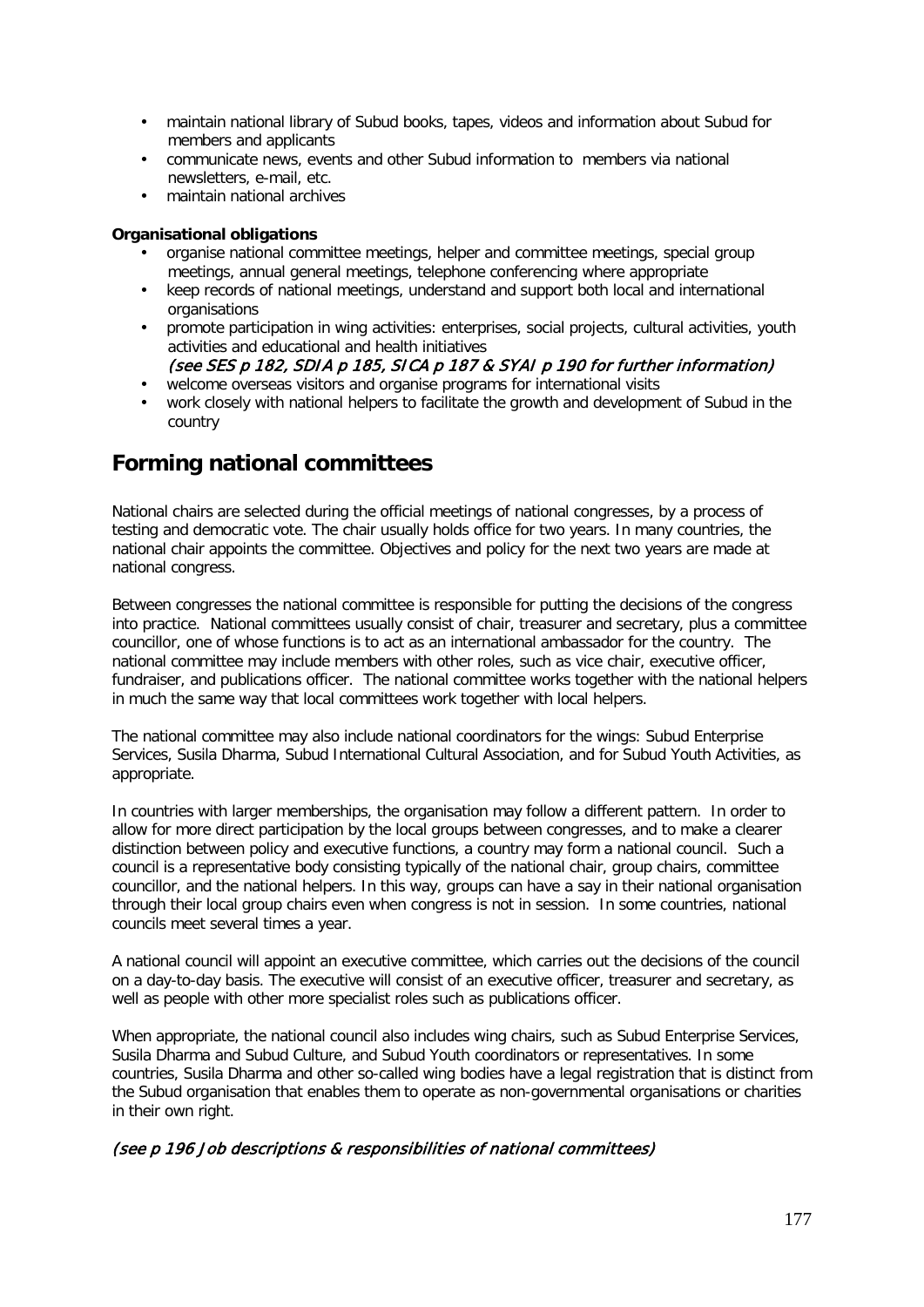- maintain national library of Subud books, tapes, videos and information about Subud for members and applicants
- communicate news, events and other Subud information to members via national newsletters, e-mail, etc.
- maintain national archives

### **Organisational obligations**

- organise national committee meetings, helper and committee meetings, special group meetings, annual general meetings, telephone conferencing where appropriate
- keep records of national meetings, understand and support both local and international organisations
- promote participation in wing activities: enterprises, social projects, cultural activities, youth activities and educational and health initiatives

## (see SES p 182, SDIA p 185, SICA p 187 & SYAI p 190 for further information)

- welcome overseas visitors and organise programs for international visits
- work closely with national helpers to facilitate the growth and development of Subud in the country

# **Forming national committees**

National chairs are selected during the official meetings of national congresses, by a process of testing and democratic vote. The chair usually holds office for two years. In many countries, the national chair appoints the committee. Objectives and policy for the next two years are made at national congress.

Between congresses the national committee is responsible for putting the decisions of the congress into practice. National committees usually consist of chair, treasurer and secretary, plus a committee councillor, one of whose functions is to act as an international ambassador for the country. The national committee may include members with other roles, such as vice chair, executive officer, fundraiser, and publications officer. The national committee works together with the national helpers in much the same way that local committees work together with local helpers.

The national committee may also include national coordinators for the wings: Subud Enterprise Services, Susila Dharma, Subud International Cultural Association, and for Subud Youth Activities, as appropriate.

In countries with larger memberships, the organisation may follow a different pattern. In order to allow for more direct participation by the local groups between congresses, and to make a clearer distinction between policy and executive functions, a country may form a national council. Such a council is a representative body consisting typically of the national chair, group chairs, committee councillor, and the national helpers. In this way, groups can have a say in their national organisation through their local group chairs even when congress is not in session. In some countries, national councils meet several times a year.

A national council will appoint an executive committee, which carries out the decisions of the council on a day-to-day basis. The executive will consist of an executive officer, treasurer and secretary, as well as people with other more specialist roles such as publications officer.

When appropriate, the national council also includes wing chairs, such as Subud Enterprise Services, Susila Dharma and Subud Culture, and Subud Youth coordinators or representatives. In some countries, Susila Dharma and other so-called wing bodies have a legal registration that is distinct from the Subud organisation that enables them to operate as non-governmental organisations or charities in their own right.

## (see p 196 Job descriptions & responsibilities of national committees)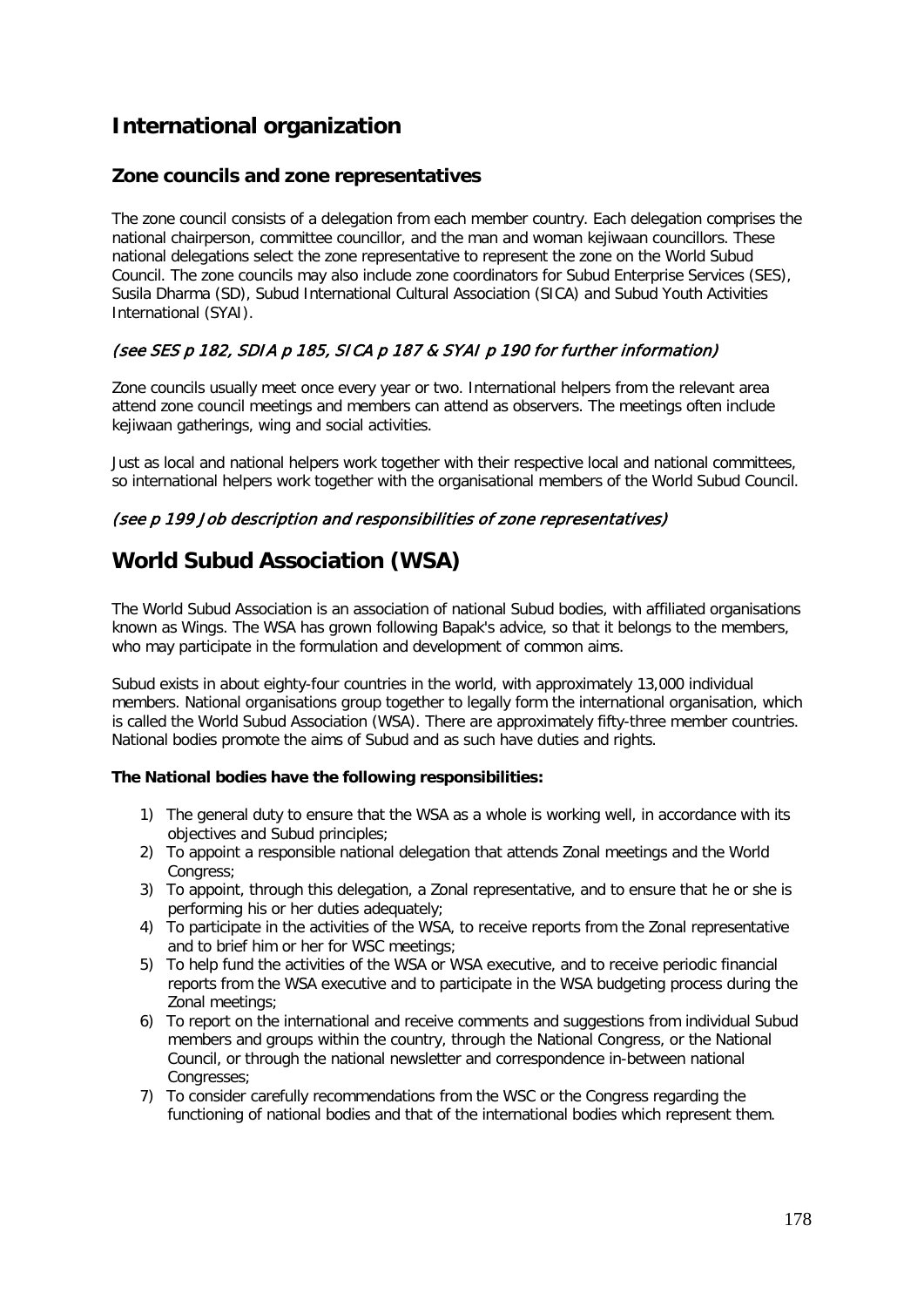# **International organization**

## **Zone councils and zone representatives**

The zone council consists of a delegation from each member country. Each delegation comprises the national chairperson, committee councillor, and the man and woman kejiwaan councillors. These national delegations select the zone representative to represent the zone on the World Subud Council. The zone councils may also include zone coordinators for Subud Enterprise Services (SES), Susila Dharma (SD), Subud International Cultural Association (SICA) and Subud Youth Activities International (SYAI).

## (see SES p 182, SDIA p 185, SICA p 187 & SYAI p 190 for further information)

Zone councils usually meet once every year or two. International helpers from the relevant area attend zone council meetings and members can attend as observers. The meetings often include kejiwaan gatherings, wing and social activities.

Just as local and national helpers work together with their respective local and national committees, so international helpers work together with the organisational members of the World Subud Council.

### (see p 199 Job description and responsibilities of zone representatives)

# **World Subud Association (WSA)**

The World Subud Association is an association of national Subud bodies, with affiliated organisations known as Wings. The WSA has grown following Bapak's advice, so that it belongs to the members, who may participate in the formulation and development of common aims.

Subud exists in about eighty-four countries in the world, with approximately 13,000 individual members. National organisations group together to legally form the international organisation, which is called the World Subud Association (WSA). There are approximately fifty-three member countries. National bodies promote the aims of Subud and as such have duties and rights.

### **The National bodies have the following responsibilities:**

- 1) The general duty to ensure that the WSA as a whole is working well, in accordance with its objectives and Subud principles;
- 2) To appoint a responsible national delegation that attends Zonal meetings and the World Congress:
- 3) To appoint, through this delegation, a Zonal representative, and to ensure that he or she is performing his or her duties adequately;
- 4) To participate in the activities of the WSA, to receive reports from the Zonal representative and to brief him or her for WSC meetings;
- 5) To help fund the activities of the WSA or WSA executive, and to receive periodic financial reports from the WSA executive and to participate in the WSA budgeting process during the Zonal meetings:
- 6) To report on the international and receive comments and suggestions from individual Subud members and groups within the country, through the National Congress, or the National Council, or through the national newsletter and correspondence in-between national Congresses;
- 7) To consider carefully recommendations from the WSC or the Congress regarding the functioning of national bodies and that of the international bodies which represent them.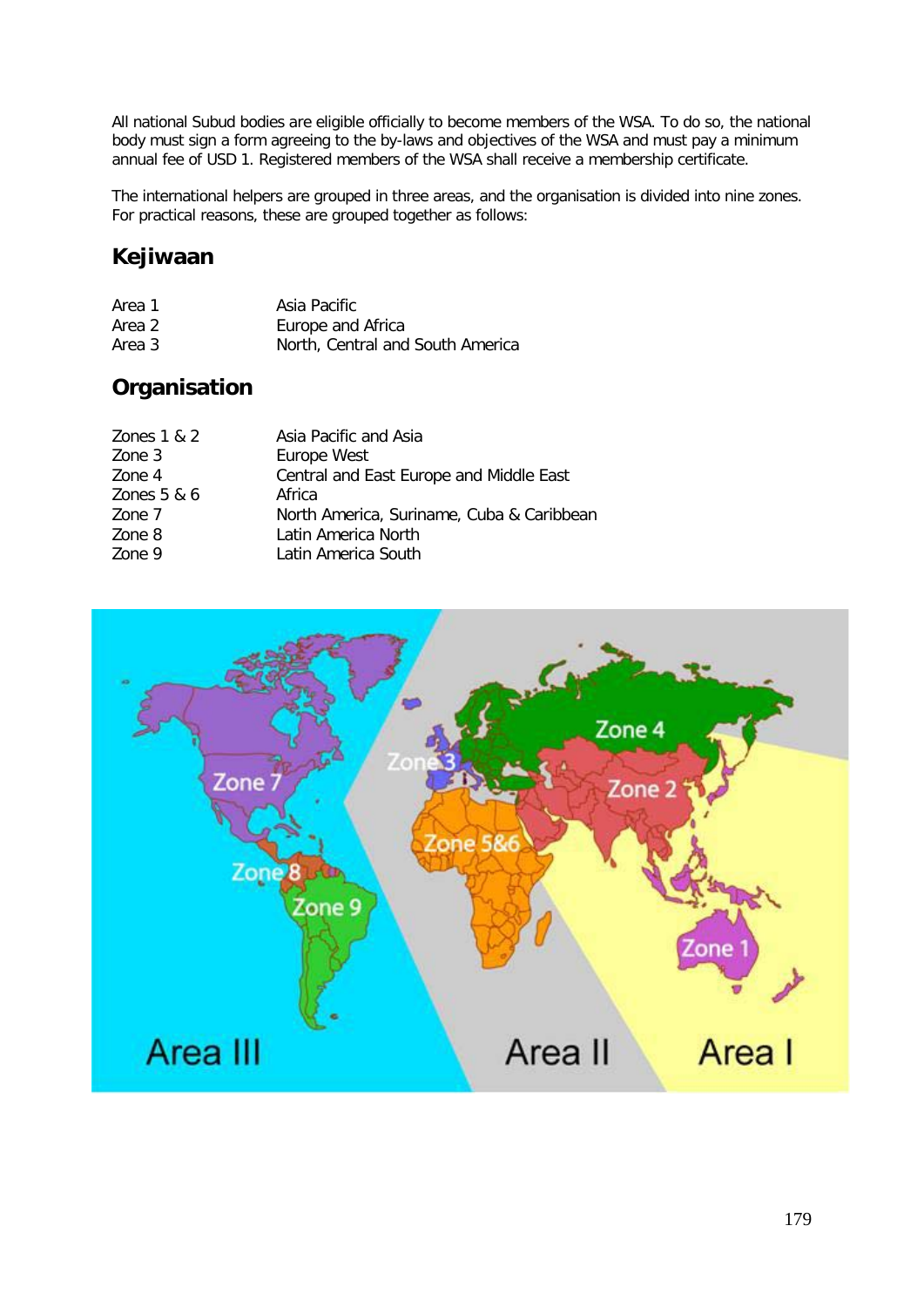All national Subud bodies are eligible officially to become members of the WSA. To do so, the national body must sign a form agreeing to the by-laws and objectives of the WSA and must pay a minimum annual fee of USD 1. Registered members of the WSA shall receive a membership certificate.

The international helpers are grouped in three areas, and the organisation is divided into nine zones. For practical reasons, these are grouped together as follows:

# **Kejiwaan**

| Area 1 | Asia Pacific                     |
|--------|----------------------------------|
| Area 2 | Europe and Africa                |
| Area 3 | North, Central and South America |

# **Organisation**

| Asia Pacific and Asia                     |
|-------------------------------------------|
| Europe West                               |
| Central and East Europe and Middle East   |
| Africa                                    |
| North America, Suriname, Cuba & Caribbean |
| Latin America North                       |
| Latin America South                       |
|                                           |

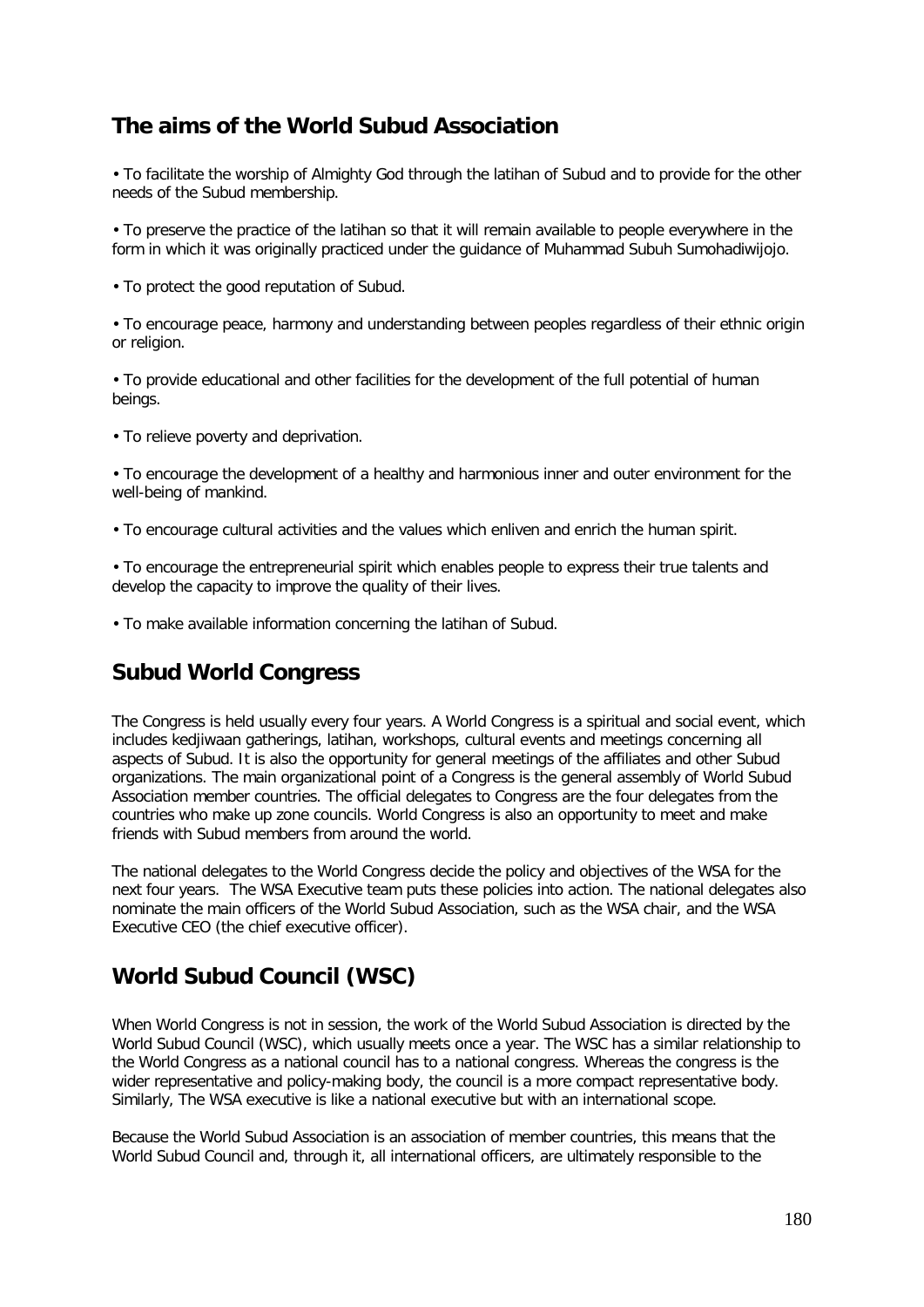# **The aims of the World Subud Association**

• To facilitate the worship of Almighty God through the latihan of Subud and to provide for the other needs of the Subud membership.

• To preserve the practice of the latihan so that it will remain available to people everywhere in the form in which it was originally practiced under the guidance of Muhammad Subuh Sumohadiwijojo.

• To protect the good reputation of Subud.

• To encourage peace, harmony and understanding between peoples regardless of their ethnic origin or religion.

• To provide educational and other facilities for the development of the full potential of human beings.

• To relieve poverty and deprivation.

• To encourage the development of a healthy and harmonious inner and outer environment for the well-being of mankind.

• To encourage cultural activities and the values which enliven and enrich the human spirit.

• To encourage the entrepreneurial spirit which enables people to express their true talents and develop the capacity to improve the quality of their lives.

• To make available information concerning the latihan of Subud.

## **Subud World Congress**

The Congress is held usually every four years. A World Congress is a spiritual and social event, which includes kedjiwaan gatherings, latihan, workshops, cultural events and meetings concerning all aspects of Subud. It is also the opportunity for general meetings of the affiliates and other Subud organizations. The main organizational point of a Congress is the general assembly of World Subud Association member countries. The official delegates to Congress are the four delegates from the countries who make up zone councils. World Congress is also an opportunity to meet and make friends with Subud members from around the world.

The national delegates to the World Congress decide the policy and objectives of the WSA for the next four years. The WSA Executive team puts these policies into action. The national delegates also nominate the main officers of the World Subud Association, such as the WSA chair, and the WSA Executive CEO (the chief executive officer).

# **World Subud Council (WSC)**

When World Congress is not in session, the work of the World Subud Association is directed by the World Subud Council (WSC), which usually meets once a year. The WSC has a similar relationship to the World Congress as a national council has to a national congress. Whereas the congress is the wider representative and policy-making body, the council is a more compact representative body. Similarly, The WSA executive is like a national executive but with an international scope.

Because the World Subud Association is an association of member countries, this means that the World Subud Council and, through it, all international officers, are ultimately responsible to the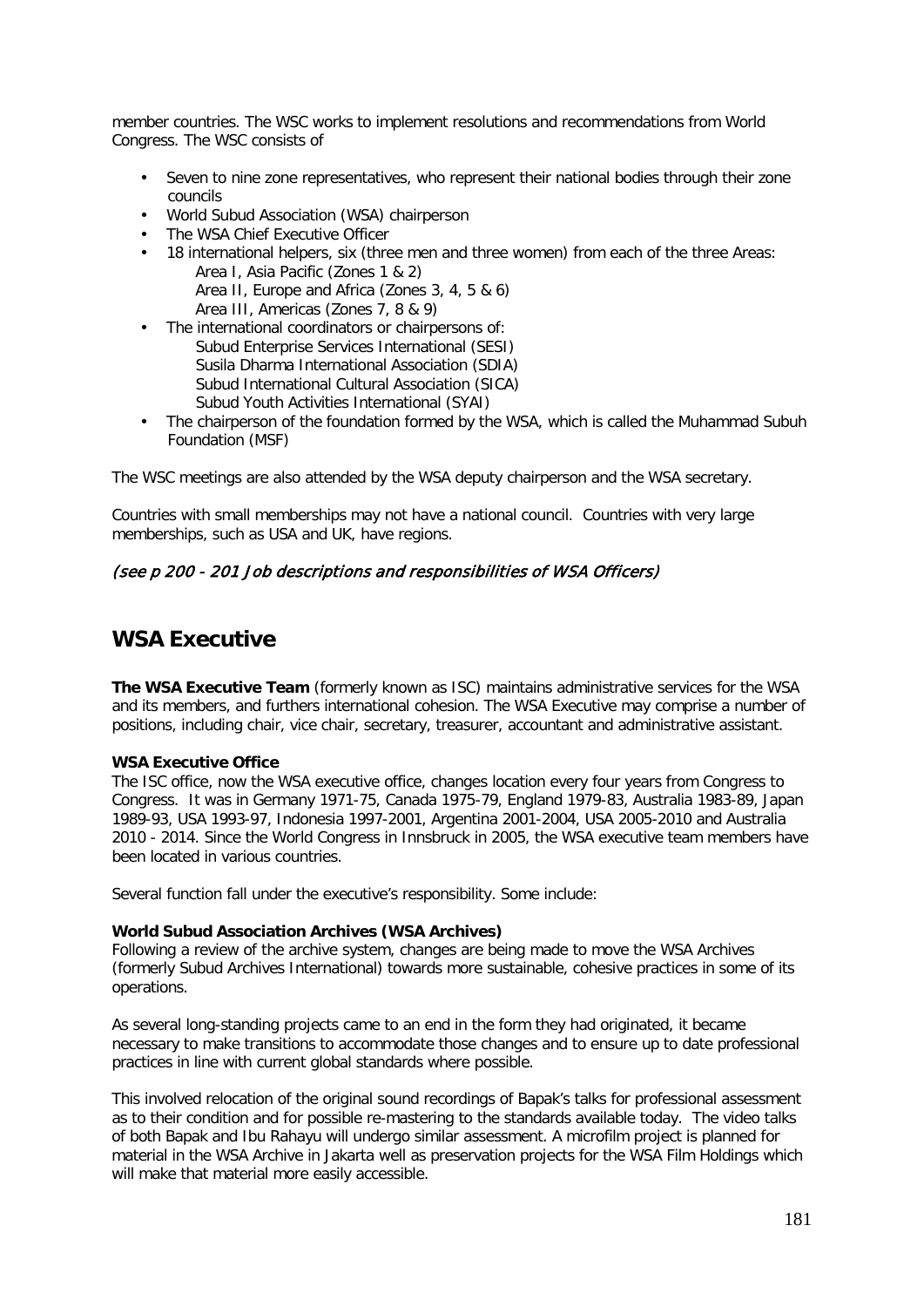member countries. The WSC works to implement resolutions and recommendations from World Congress. The WSC consists of

- Seven to nine zone representatives, who represent their national bodies through their zone councils
- World Subud Association (WSA) chairperson
- The WSA Chief Executive Officer
- 18 international helpers, six (three men and three women) from each of the three Areas: Area I, Asia Pacific (Zones 1 & 2) Area II, Europe and Africa (Zones 3, 4, 5 & 6) Area III, Americas (Zones 7, 8 & 9)
- The international coordinators or chairpersons of:
- Subud Enterprise Services International (SESI) Susila Dharma International Association (SDIA) Subud International Cultural Association (SICA) Subud Youth Activities International (SYAI)
- The chairperson of the foundation formed by the WSA, which is called the Muhammad Subuh Foundation (MSF)

The WSC meetings are also attended by the WSA deputy chairperson and the WSA secretary.

Countries with small memberships may not have a national council. Countries with very large memberships, such as USA and UK, have regions.

### (see p 200 - 201 Job descriptions and responsibilities of WSA Officers)

## **WSA Executive**

**The WSA Executive Team** (formerly known as ISC) maintains administrative services for the WSA and its members, and furthers international cohesion. The WSA Executive may comprise a number of positions, including chair, vice chair, secretary, treasurer, accountant and administrative assistant.

### **WSA Executive Office**

The ISC office, now the WSA executive office, changes location every four years from Congress to Congress. It was in Germany 1971-75, Canada 1975-79, England 1979-83, Australia 1983-89, Japan 1989-93, USA 1993-97, Indonesia 1997-2001, Argentina 2001-2004, USA 2005-2010 and Australia 2010 - 2014. Since the World Congress in Innsbruck in 2005, the WSA executive team members have been located in various countries.

Several function fall under the executive's responsibility. Some include:

### **World Subud Association Archives (WSA Archives)**

Following a review of the archive system, changes are being made to move the WSA Archives (formerly Subud Archives International) towards more sustainable, cohesive practices in some of its operations.

As several long-standing projects came to an end in the form they had originated, it became necessary to make transitions to accommodate those changes and to ensure up to date professional practices in line with current global standards where possible.

This involved relocation of the original sound recordings of Bapak's talks for professional assessment as to their condition and for possible re-mastering to the standards available today. The video talks of both Bapak and Ibu Rahayu will undergo similar assessment. A microfilm project is planned for material in the WSA Archive in Jakarta well as preservation projects for the WSA Film Holdings which will make that material more easily accessible.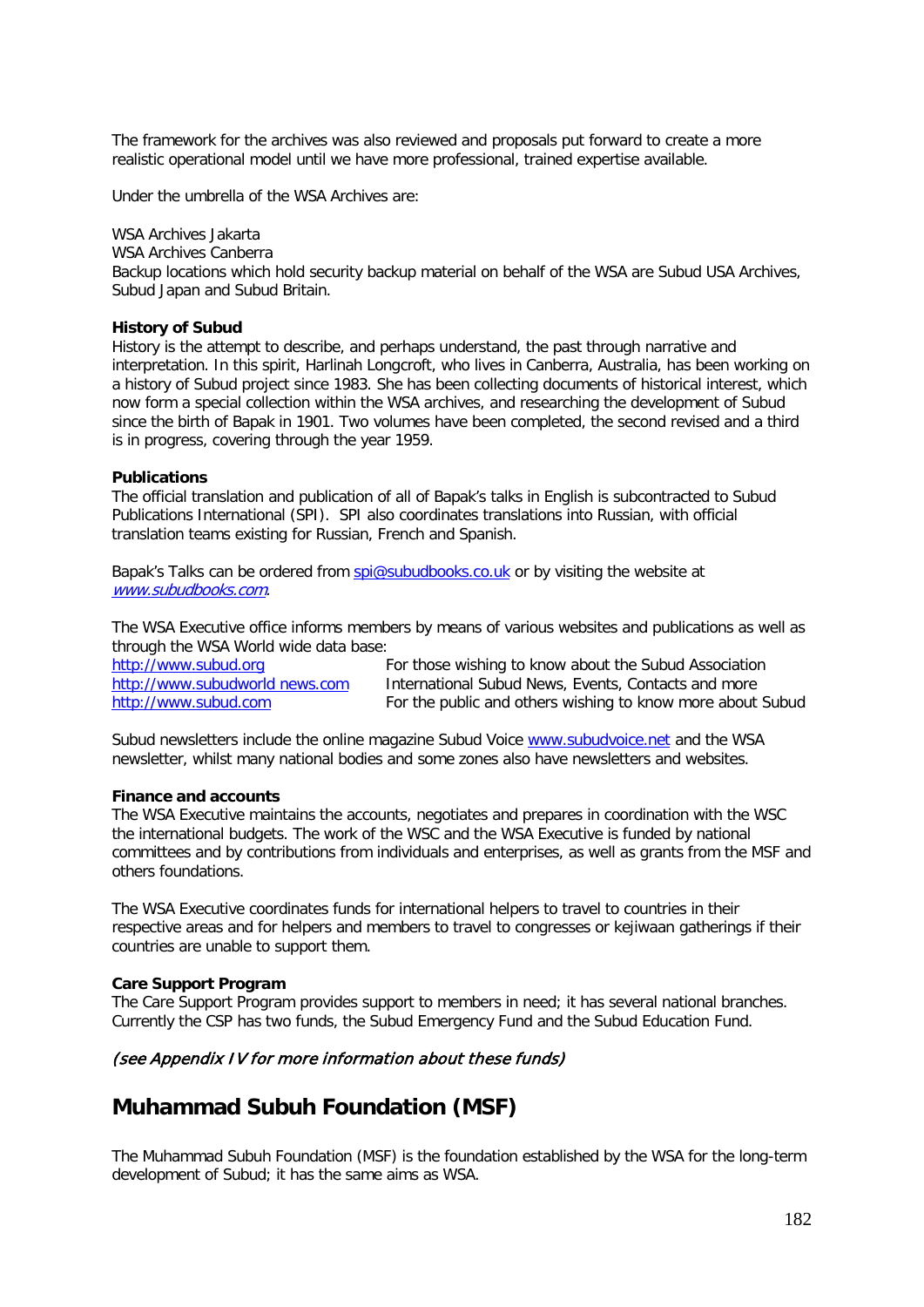The framework for the archives was also reviewed and proposals put forward to create a more realistic operational model until we have more professional, trained expertise available.

Under the umbrella of the WSA Archives are:

WSA Archives Jakarta WSA Archives Canberra Backup locations which hold security backup material on behalf of the WSA are Subud USA Archives, Subud Japan and Subud Britain.

#### **History of Subud**

History is the attempt to describe, and perhaps understand, the past through narrative and interpretation. In this spirit, Harlinah Longcroft, who lives in Canberra, Australia, has been working on a history of Subud project since 1983. She has been collecting documents of historical interest, which now form a special collection within the WSA archives, and researching the development of Subud since the birth of Bapak in 1901. Two volumes have been completed, the second revised and a third is in progress, covering through the year 1959.

#### **Publications**

The official translation and publication of all of Bapak's talks in English is subcontracted to Subud Publications International (SPI). SPI also coordinates translations into Russian, with official translation teams existing for Russian, French and Spanish.

Bapak's Talks can be ordered from [spi@subudbooks.co.uk](mailto:spi@subudbooks.co.uk) or by visiting the website at [www.subudbooks.com.](http://www.subudbooks.com/)

The WSA Executive office informs members by means of various websites and publications as well as through the WSA World wide data base:

[http://www.subud.org](http://www.subud.org/) For those wishing to know about the Subud Association http://www.subudworld news.com International Subud News, Events, Contacts and more [http://www.subud.com](http://www.subud.com/) For the public and others wishing to know more about Subud

Subud newsletters include the online magazine Subud Voice [www.subudvoice.net](http://www.subudvoice.net/) and the WSA newsletter, whilst many national bodies and some zones also have newsletters and websites.

#### **Finance and accounts**

The WSA Executive maintains the accounts, negotiates and prepares in coordination with the WSC the international budgets. The work of the WSC and the WSA Executive is funded by national committees and by contributions from individuals and enterprises, as well as grants from the MSF and others foundations.

The WSA Executive coordinates funds for international helpers to travel to countries in their respective areas and for helpers and members to travel to congresses or kejiwaan gatherings if their countries are unable to support them.

#### **Care Support Program**

The Care Support Program provides support to members in need; it has several national branches. Currently the CSP has two funds, the Subud Emergency Fund and the Subud Education Fund.

### (see Appendix IV for more information about these funds)

## **Muhammad Subuh Foundation (MSF)**

The Muhammad Subuh Foundation (MSF) is the foundation established by the WSA for the long-term development of Subud; it has the same aims as WSA.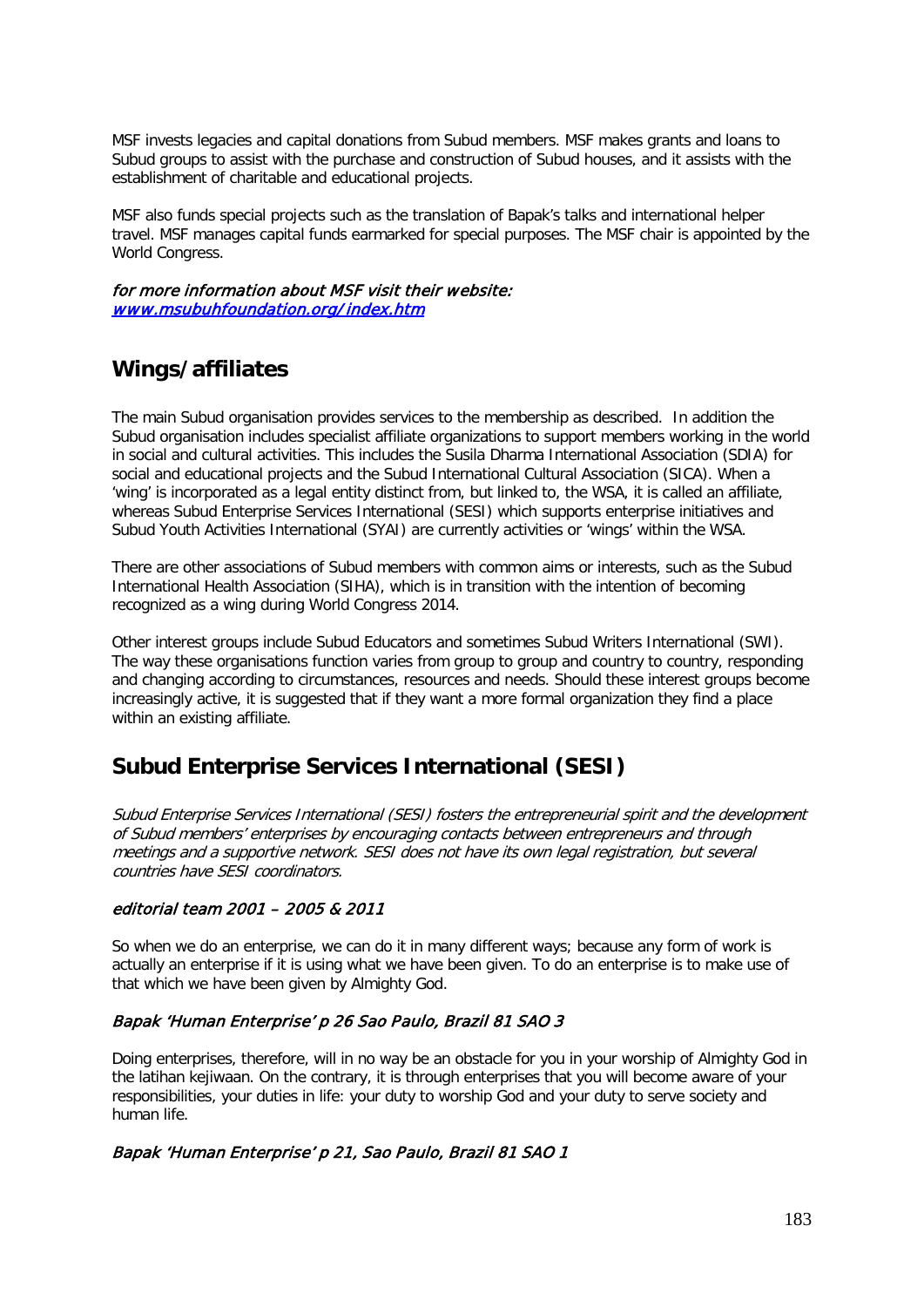MSF invests legacies and capital donations from Subud members. MSF makes grants and loans to Subud groups to assist with the purchase and construction of Subud houses, and it assists with the establishment of charitable and educational projects.

MSF also funds special projects such as the translation of Bapak's talks and international helper travel. MSF manages capital funds earmarked for special purposes. The MSF chair is appointed by the World Congress.

for more information about MSF visit their website: [www.msubuhfoundation.org/](http://www.msubuhfoundation.org/index.htm) index.htm

# **Wings/affiliates**

The main Subud organisation provides services to the membership as described. In addition the Subud organisation includes specialist affiliate organizations to support members working in the world in social and cultural activities. This includes the Susila Dharma International Association (SDIA) for social and educational projects and the Subud International Cultural Association (SICA). When a 'wing' is incorporated as a legal entity distinct from, but linked to, the WSA, it is called an affiliate, whereas Subud Enterprise Services International (SESI) which supports enterprise initiatives and Subud Youth Activities International (SYAI) are currently activities or 'wings' within the WSA.

There are other associations of Subud members with common aims or interests, such as the Subud International Health Association (SIHA), which is in transition with the intention of becoming recognized as a wing during World Congress 2014.

Other interest groups include Subud Educators and sometimes Subud Writers International (SWI). The way these organisations function varies from group to group and country to country, responding and changing according to circumstances, resources and needs. Should these interest groups become increasingly active, it is suggested that if they want a more formal organization they find a place within an existing affiliate.

# **Subud Enterprise Services International (SESI)**

Subud Enterprise Services International (SESI) fosters the entrepreneurial spirit and the development of Subud members' enterprises by encouraging contacts between entrepreneurs and through meetings and a supportive network. SESI does not have its own legal registration, but several countries have SESI coordinators.

## editorial team 2001 – 2005 & 2011

So when we do an enterprise, we can do it in many different ways; because any form of work is actually an enterprise if it is using what we have been given. To do an enterprise is to make use of that which we have been given by Almighty God.

## Bapak 'Human Enterprise' p 26 Sao Paulo, Brazil 81 SAO 3

Doing enterprises, therefore, will in no way be an obstacle for you in your worship of Almighty God in the latihan kejiwaan. On the contrary, it is through enterprises that you will become aware of your responsibilities, your duties in life: your duty to worship God and your duty to serve society and human life.

## Bapak 'Human Enterprise' p 21, Sao Paulo, Brazil 81 SAO 1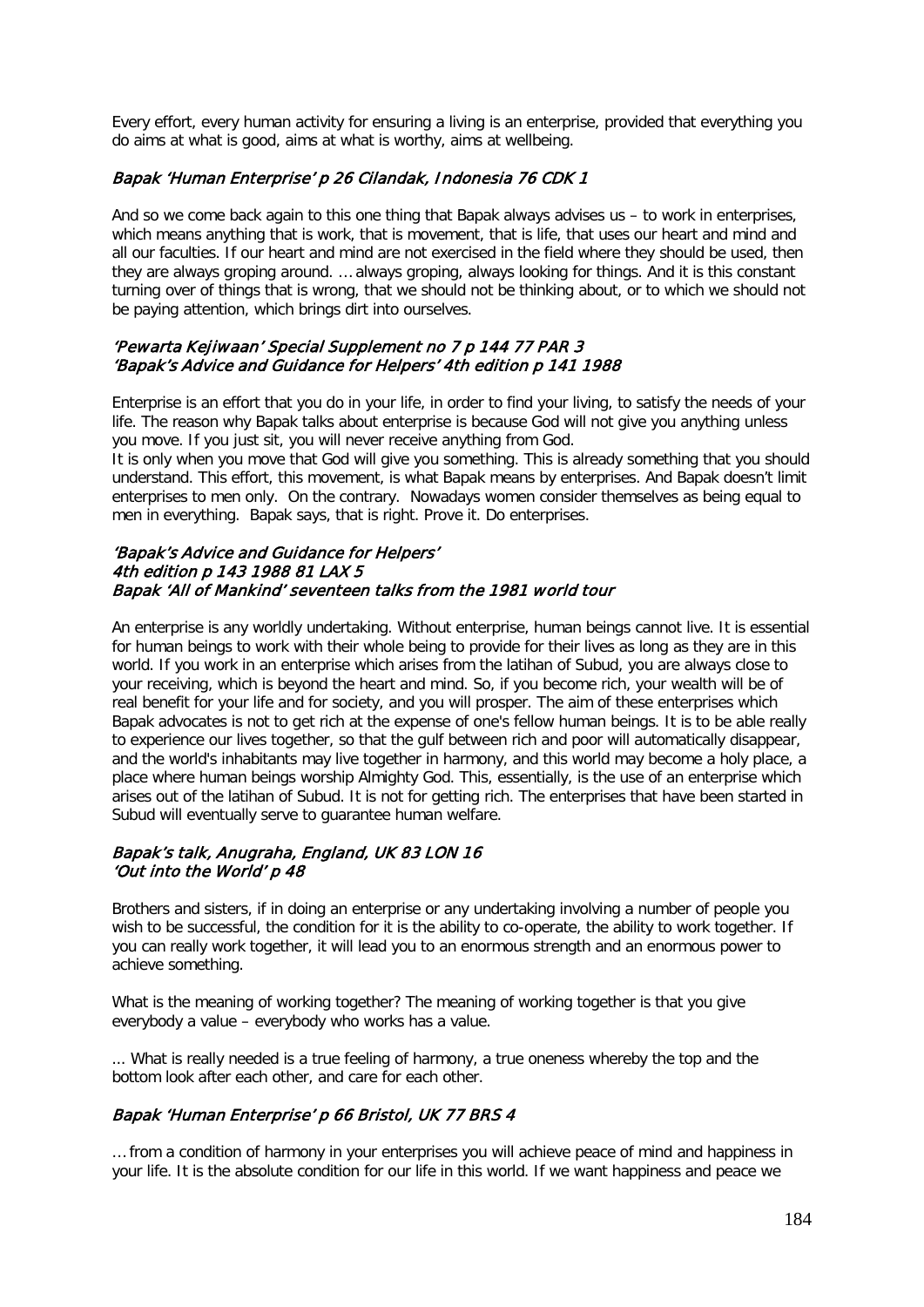Every effort, every human activity for ensuring a living is an enterprise, provided that everything you do aims at what is good, aims at what is worthy, aims at wellbeing.

### Bapak 'Human Enterprise' p 26 Cilandak, Indonesia 76 CDK 1

And so we come back again to this one thing that Bapak always advises us – to work in enterprises, which means anything that is work, that is movement, that is life, that uses our heart and mind and all our faculties. If our heart and mind are not exercised in the field where they should be used, then they are always groping around. … always groping, always looking for things. And it is this constant turning over of things that is wrong, that we should not be thinking about, or to which we should not be paying attention, which brings dirt into ourselves.

### 'Pewarta Kejiwaan' Special Supplement no 7 p 144 77 PAR 3 'Bapak's Advice and Guidance for Helpers' 4th edition p 141 1988

Enterprise is an effort that you do in your life, in order to find your living, to satisfy the needs of your life. The reason why Bapak talks about enterprise is because God will not give you anything unless you move. If you just sit, you will never receive anything from God.

It is only when you move that God will give you something. This is already something that you should understand. This effort, this movement, is what Bapak means by enterprises. And Bapak doesn't limit enterprises to men only. On the contrary. Nowadays women consider themselves as being equal to men in everything. Bapak says, that is right. Prove it. Do enterprises.

### 'Bapak's Advice and Guidance for Helpers' 4th edition p 143 1988 81 LAX 5 Bapak 'All of Mankind' seventeen talks from the 1981 world tour

An enterprise is any worldly undertaking. Without enterprise, human beings cannot live. It is essential for human beings to work with their whole being to provide for their lives as long as they are in this world. If you work in an enterprise which arises from the latihan of Subud, you are always close to your receiving, which is beyond the heart and mind. So, if you become rich, your wealth will be of real benefit for your life and for society, and you will prosper. The aim of these enterprises which Bapak advocates is not to get rich at the expense of one's fellow human beings. It is to be able really to experience our lives together, so that the gulf between rich and poor will automatically disappear, and the world's inhabitants may live together in harmony, and this world may become a holy place, a place where human beings worship Almighty God. This, essentially, is the use of an enterprise which arises out of the latihan of Subud. It is not for getting rich. The enterprises that have been started in Subud will eventually serve to guarantee human welfare.

### Bapak's talk, Anugraha, England, UK 83 LON 16 'Out into the World' p 48

Brothers and sisters, if in doing an enterprise or any undertaking involving a number of people you wish to be successful, the condition for it is the ability to co-operate, the ability to work together. If you can really work together, it will lead you to an enormous strength and an enormous power to achieve something.

What is the meaning of working together? The meaning of working together is that you give everybody a value – everybody who works has a value.

... What is really needed is a true feeling of harmony, a true oneness whereby the top and the bottom look after each other, and care for each other.

## Bapak 'Human Enterprise' p 66 Bristol, UK 77 BRS 4

… from a condition of harmony in your enterprises you will achieve peace of mind and happiness in your life. It is the absolute condition for our life in this world. If we want happiness and peace we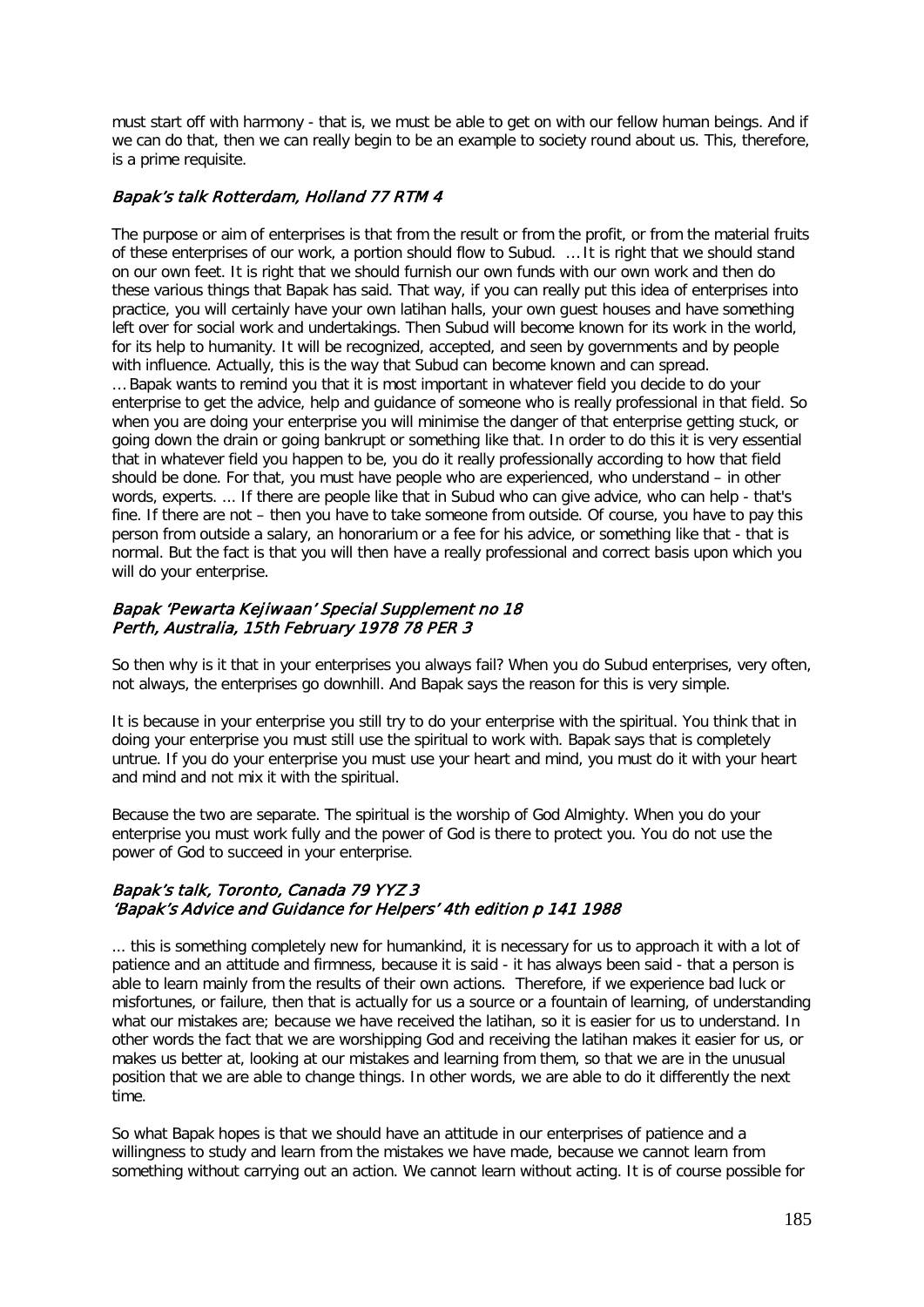must start off with harmony - that is, we must be able to get on with our fellow human beings. And if we can do that, then we can really begin to be an example to society round about us. This, therefore, is a prime requisite.

### Bapak's talk Rotterdam, Holland 77 RTM 4

The purpose or aim of enterprises is that from the result or from the profit, or from the material fruits of these enterprises of our work, a portion should flow to Subud. … It is right that we should stand on our own feet. It is right that we should furnish our own funds with our own work and then do these various things that Bapak has said. That way, if you can really put this idea of enterprises into practice, you will certainly have your own latihan halls, your own guest houses and have something left over for social work and undertakings. Then Subud will become known for its work in the world, for its help to humanity. It will be recognized, accepted, and seen by governments and by people with influence. Actually, this is the way that Subud can become known and can spread. … Bapak wants to remind you that it is most important in whatever field you decide to do your enterprise to get the advice, help and guidance of someone who is really professional in that field. So when you are doing your enterprise you will minimise the danger of that enterprise getting stuck, or going down the drain or going bankrupt or something like that. In order to do this it is very essential that in whatever field you happen to be, you do it really professionally according to how that field should be done. For that, you must have people who are experienced, who understand – in other words, experts. ... If there are people like that in Subud who can give advice, who can help - that's fine. If there are not – then you have to take someone from outside. Of course, you have to pay this person from outside a salary, an honorarium or a fee for his advice, or something like that - that is normal. But the fact is that you will then have a really professional and correct basis upon which you will do your enterprise.

### Bapak 'Pewarta Kejiwaan' Special Supplement no 18 Perth, Australia, 15th February 1978 78 PER 3

So then why is it that in your enterprises you always fail? When you do Subud enterprises, very often, not always, the enterprises go downhill. And Bapak says the reason for this is very simple.

It is because in your enterprise you still try to do your enterprise with the spiritual. You think that in doing your enterprise you must still use the spiritual to work with. Bapak says that is completely untrue. If you do your enterprise you must use your heart and mind, you must do it with your heart and mind and not mix it with the spiritual.

Because the two are separate. The spiritual is the worship of God Almighty. When you do your enterprise you must work fully and the power of God is there to protect you. You do not use the power of God to succeed in your enterprise.

### Bapak's talk, Toronto, Canada 79 YYZ 3 'Bapak's Advice and Guidance for Helpers' 4th edition p 141 1988

... this is something completely new for humankind, it is necessary for us to approach it with a lot of patience and an attitude and firmness, because it is said - it has always been said - that a person is able to learn mainly from the results of their own actions. Therefore, if we experience bad luck or misfortunes, or failure, then that is actually for us a source or a fountain of learning, of understanding what our mistakes are; because we have received the latihan, so it is easier for us to understand. In other words the fact that we are worshipping God and receiving the latihan makes it easier for us, or makes us better at, looking at our mistakes and learning from them, so that we are in the unusual position that we are able to change things. In other words, we are able to do it differently the next time.

So what Bapak hopes is that we should have an attitude in our enterprises of patience and a willingness to study and learn from the mistakes we have made, because we cannot learn from something without carrying out an action. We cannot learn without acting. It is of course possible for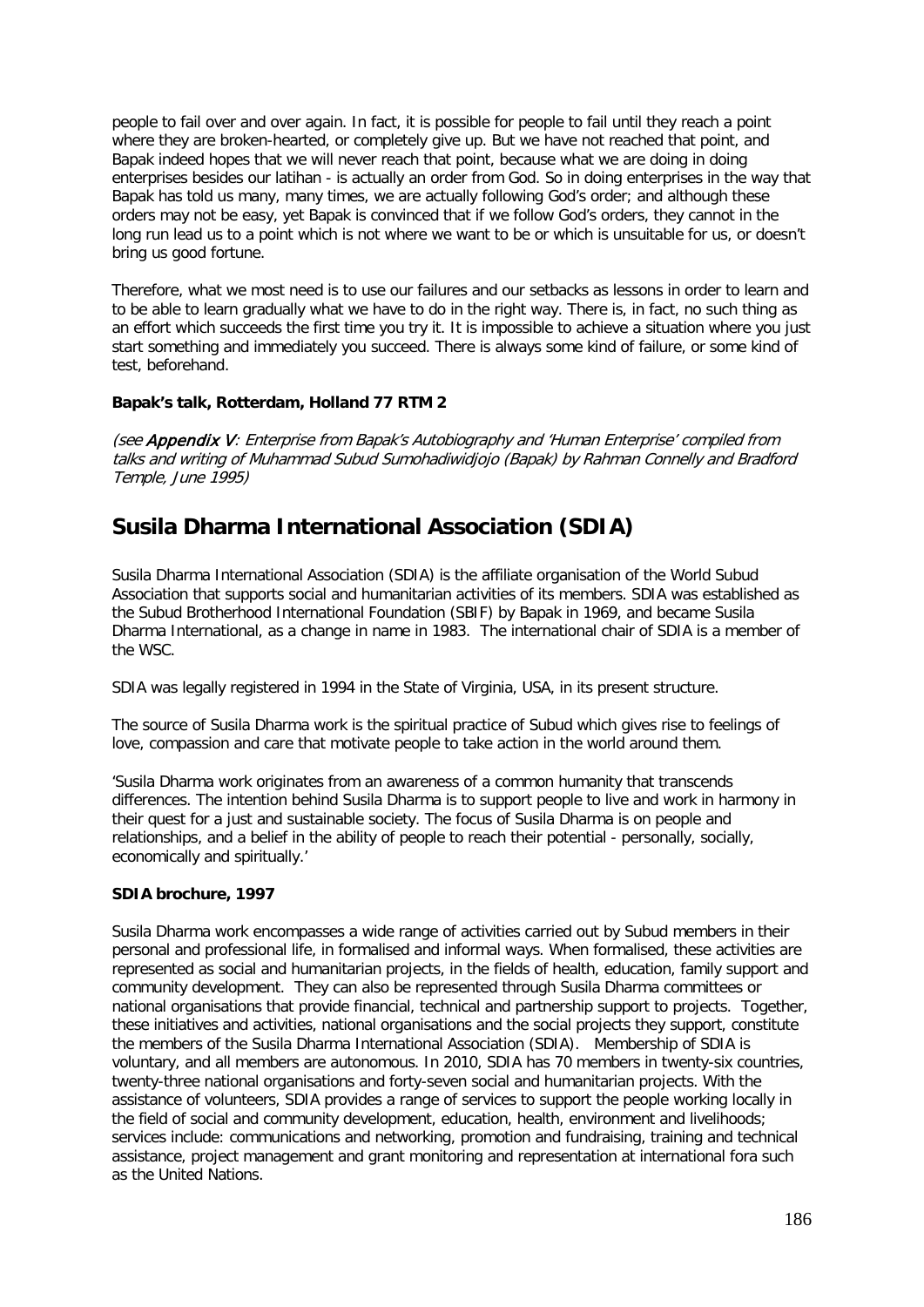people to fail over and over again. In fact, it is possible for people to fail until they reach a point where they are broken-hearted, or completely give up. But we have not reached that point, and Bapak indeed hopes that we will never reach that point, because what we are doing in doing enterprises besides our latihan - is actually an order from God. So in doing enterprises in the way that Bapak has told us many, many times, we are actually following God's order; and although these orders may not be easy, yet Bapak is convinced that if we follow God's orders, they cannot in the long run lead us to a point which is not where we want to be or which is unsuitable for us, or doesn't bring us good fortune.

Therefore, what we most need is to use our failures and our setbacks as lessons in order to learn and to be able to learn gradually what we have to do in the right way. There is, in fact, no such thing as an effort which succeeds the first time you try it. It is impossible to achieve a situation where you just start something and immediately you succeed. There is always some kind of failure, or some kind of test, beforehand.

### **Bapak's talk, Rotterdam, Holland 77 RTM 2**

(see Appendix V: Enterprise from Bapak's Autobiography and 'Human Enterprise' compiled from talks and writing of Muhammad Subud Sumohadiwidjojo (Bapak) by Rahman Connelly and Bradford Temple, June 1995)

# **Susila Dharma International Association (SDIA)**

Susila Dharma International Association (SDIA) is the affiliate organisation of the World Subud Association that supports social and humanitarian activities of its members. SDIA was established as the Subud Brotherhood International Foundation (SBIF) by Bapak in 1969, and became Susila Dharma International, as a change in name in 1983. The international chair of SDIA is a member of the WSC.

SDIA was legally registered in 1994 in the State of Virginia, USA, in its present structure.

The source of Susila Dharma work is the spiritual practice of Subud which gives rise to feelings of love, compassion and care that motivate people to take action in the world around them.

'Susila Dharma work originates from an awareness of a common humanity that transcends differences. The intention behind Susila Dharma is to support people to live and work in harmony in their quest for a just and sustainable society. The focus of Susila Dharma is on people and relationships, and a belief in the ability of people to reach their potential - personally, socially, economically and spiritually.'

### **SDIA brochure, 1997**

Susila Dharma work encompasses a wide range of activities carried out by Subud members in their personal and professional life, in formalised and informal ways. When formalised, these activities are represented as social and humanitarian projects, in the fields of health, education, family support and community development. They can also be represented through Susila Dharma committees or national organisations that provide financial, technical and partnership support to projects. Together, these initiatives and activities, national organisations and the social projects they support, constitute the members of the Susila Dharma International Association (SDIA). Membership of SDIA is voluntary, and all members are autonomous. In 2010, SDIA has 70 members in twenty-six countries, twenty-three national organisations and forty-seven social and humanitarian projects. With the assistance of volunteers, SDIA provides a range of services to support the people working locally in the field of social and community development, education, health, environment and livelihoods; services include: communications and networking, promotion and fundraising, training and technical assistance, project management and grant monitoring and representation at international fora such as the United Nations.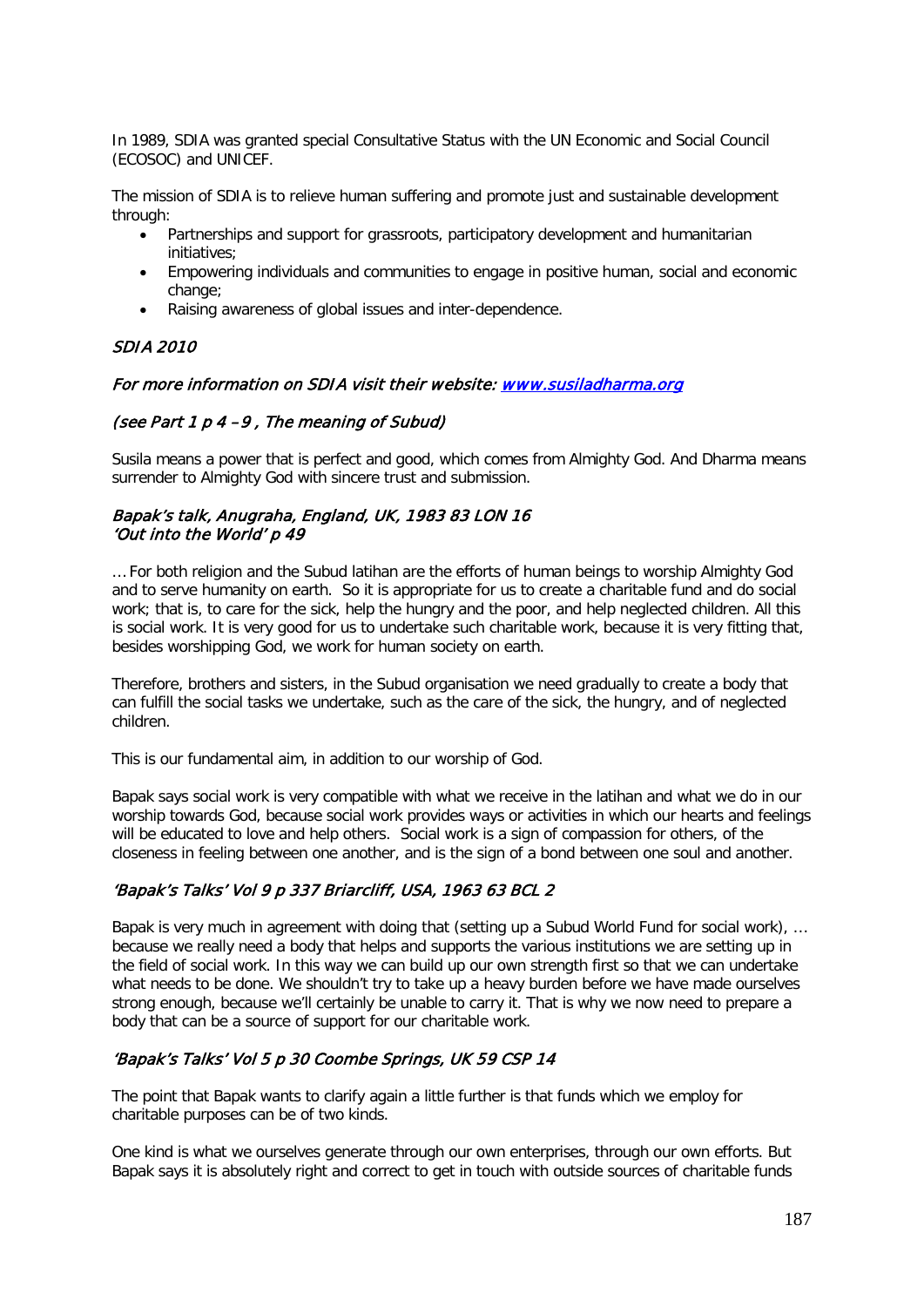In 1989, SDIA was granted special Consultative Status with the UN Economic and Social Council (ECOSOC) and UNICEF.

The mission of SDIA is to relieve human suffering and promote just and sustainable development through:

- Partnerships and support for grassroots, participatory development and humanitarian initiatives;
- Empowering individuals and communities to engage in positive human, social and economic change;
- Raising awareness of global issues and inter-dependence.

### SDIA 2010

### For more information on SDIA visit their website: www.susiladharma.org

### (see Part 1 p 4 –9 , The meaning of Subud)

Susila means a power that is perfect and good, which comes from Almighty God. And Dharma means surrender to Almighty God with sincere trust and submission.

### Bapak's talk, Anugraha, England, UK, 1983 83 LON 16 'Out into the World' p 49

… For both religion and the Subud latihan are the efforts of human beings to worship Almighty God and to serve humanity on earth. So it is appropriate for us to create a charitable fund and do social work; that is, to care for the sick, help the hungry and the poor, and help neglected children. All this is social work. It is very good for us to undertake such charitable work, because it is very fitting that, besides worshipping God, we work for human society on earth.

Therefore, brothers and sisters, in the Subud organisation we need gradually to create a body that can fulfill the social tasks we undertake, such as the care of the sick, the hungry, and of neglected children.

This is our fundamental aim, in addition to our worship of God.

Bapak says social work is very compatible with what we receive in the latihan and what we do in our worship towards God, because social work provides ways or activities in which our hearts and feelings will be educated to love and help others. Social work is a sign of compassion for others, of the closeness in feeling between one another, and is the sign of a bond between one soul and another.

## 'Bapak's Talks' Vol 9 p 337 Briarcliff, USA, 1963 63 BCL 2

Bapak is very much in agreement with doing that (setting up a Subud World Fund for social work), … because we really need a body that helps and supports the various institutions we are setting up in the field of social work. In this way we can build up our own strength first so that we can undertake what needs to be done. We shouldn't try to take up a heavy burden before we have made ourselves strong enough, because we'll certainly be unable to carry it. That is why we now need to prepare a body that can be a source of support for our charitable work.

## 'Bapak's Talks' Vol 5 p 30 Coombe Springs, UK 59 CSP 14

The point that Bapak wants to clarify again a little further is that funds which we employ for charitable purposes can be of two kinds.

One kind is what we ourselves generate through our own enterprises, through our own efforts. But Bapak says it is absolutely right and correct to get in touch with outside sources of charitable funds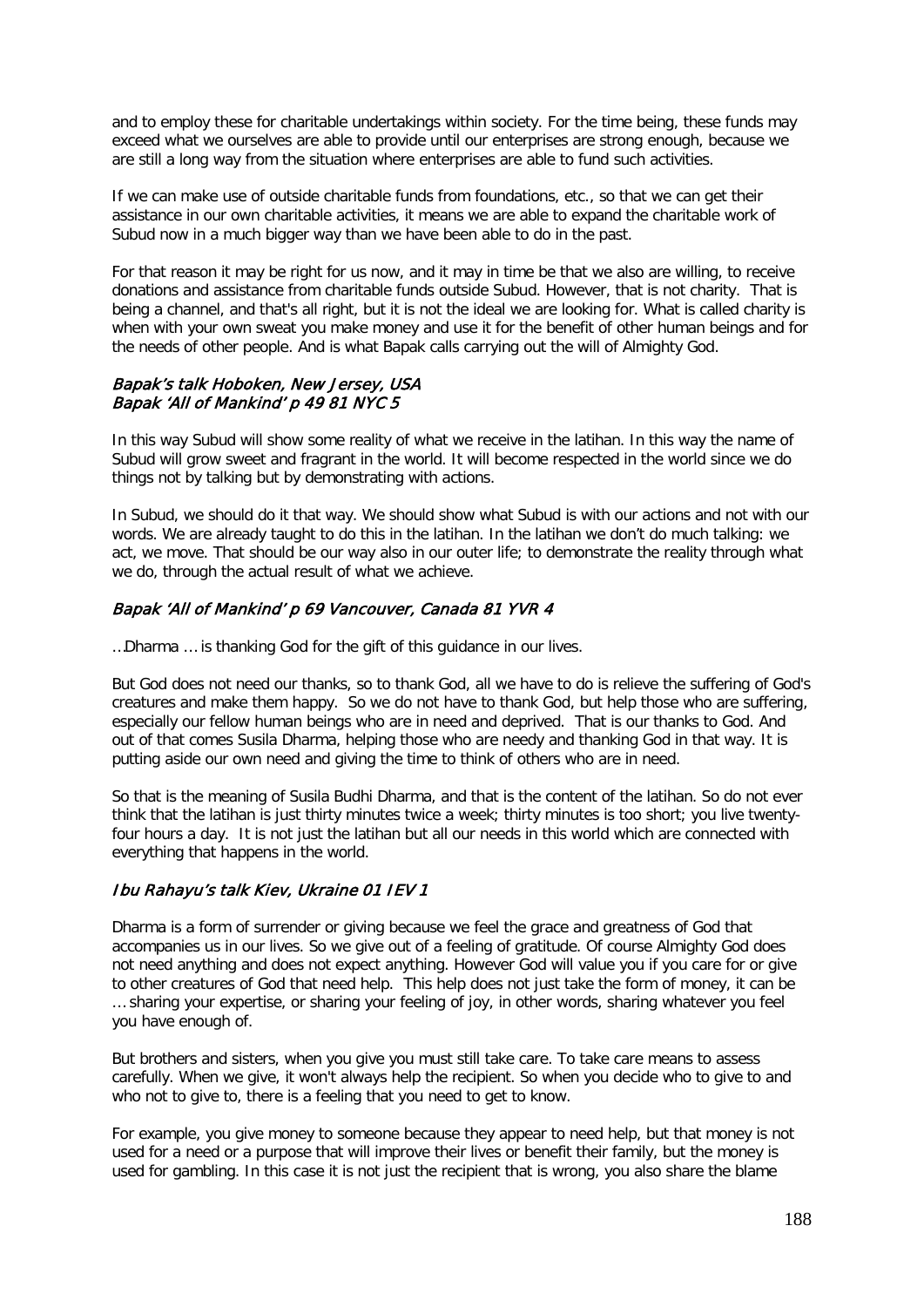and to employ these for charitable undertakings within society. For the time being, these funds may exceed what we ourselves are able to provide until our enterprises are strong enough, because we are still a long way from the situation where enterprises are able to fund such activities.

If we can make use of outside charitable funds from foundations, etc., so that we can get their assistance in our own charitable activities, it means we are able to expand the charitable work of Subud now in a much bigger way than we have been able to do in the past.

For that reason it may be right for us now, and it may in time be that we also are willing, to receive donations and assistance from charitable funds outside Subud. However, that is not charity. That is being a channel, and that's all right, but it is not the ideal we are looking for. What is called charity is when with your own sweat you make money and use it for the benefit of other human beings and for the needs of other people. And is what Bapak calls carrying out the will of Almighty God.

### Bapak's talk Hoboken, New Jersey, USA Bapak 'All of Mankind' p 49 81 NYC 5

In this way Subud will show some reality of what we receive in the latihan. In this way the name of Subud will grow sweet and fragrant in the world. It will become respected in the world since we do things not by talking but by demonstrating with actions.

In Subud, we should do it that way. We should show what Subud is with our actions and not with our words. We are already taught to do this in the latihan. In the latihan we don't do much talking: we act, we move. That should be our way also in our outer life; to demonstrate the reality through what we do, through the actual result of what we achieve.

## Bapak 'All of Mankind' p 69 Vancouver, Canada 81 YVR 4

…Dharma … is thanking God for the gift of this guidance in our lives.

But God does not need our thanks, so to thank God, all we have to do is relieve the suffering of God's creatures and make them happy. So we do not have to thank God, but help those who are suffering, especially our fellow human beings who are in need and deprived. That is our thanks to God. And out of that comes Susila Dharma, helping those who are needy and thanking God in that way. It is putting aside our own need and giving the time to think of others who are in need.

So that is the meaning of Susila Budhi Dharma, and that is the content of the latihan. So do not ever think that the latihan is just thirty minutes twice a week; thirty minutes is too short; you live twentyfour hours a day. It is not just the latihan but all our needs in this world which are connected with everything that happens in the world.

## Ibu Rahayu's talk Kiev, Ukraine 01 IEV 1

Dharma is a form of surrender or giving because we feel the grace and greatness of God that accompanies us in our lives. So we give out of a feeling of gratitude. Of course Almighty God does not need anything and does not expect anything. However God will value you if you care for or give to other creatures of God that need help. This help does not just take the form of money, it can be … sharing your expertise, or sharing your feeling of joy, in other words, sharing whatever you feel you have enough of.

But brothers and sisters, when you give you must still take care. To take care means to assess carefully. When we give, it won't always help the recipient. So when you decide who to give to and who not to give to, there is a feeling that you need to get to know.

For example, you give money to someone because they appear to need help, but that money is not used for a need or a purpose that will improve their lives or benefit their family, but the money is used for gambling. In this case it is not just the recipient that is wrong, you also share the blame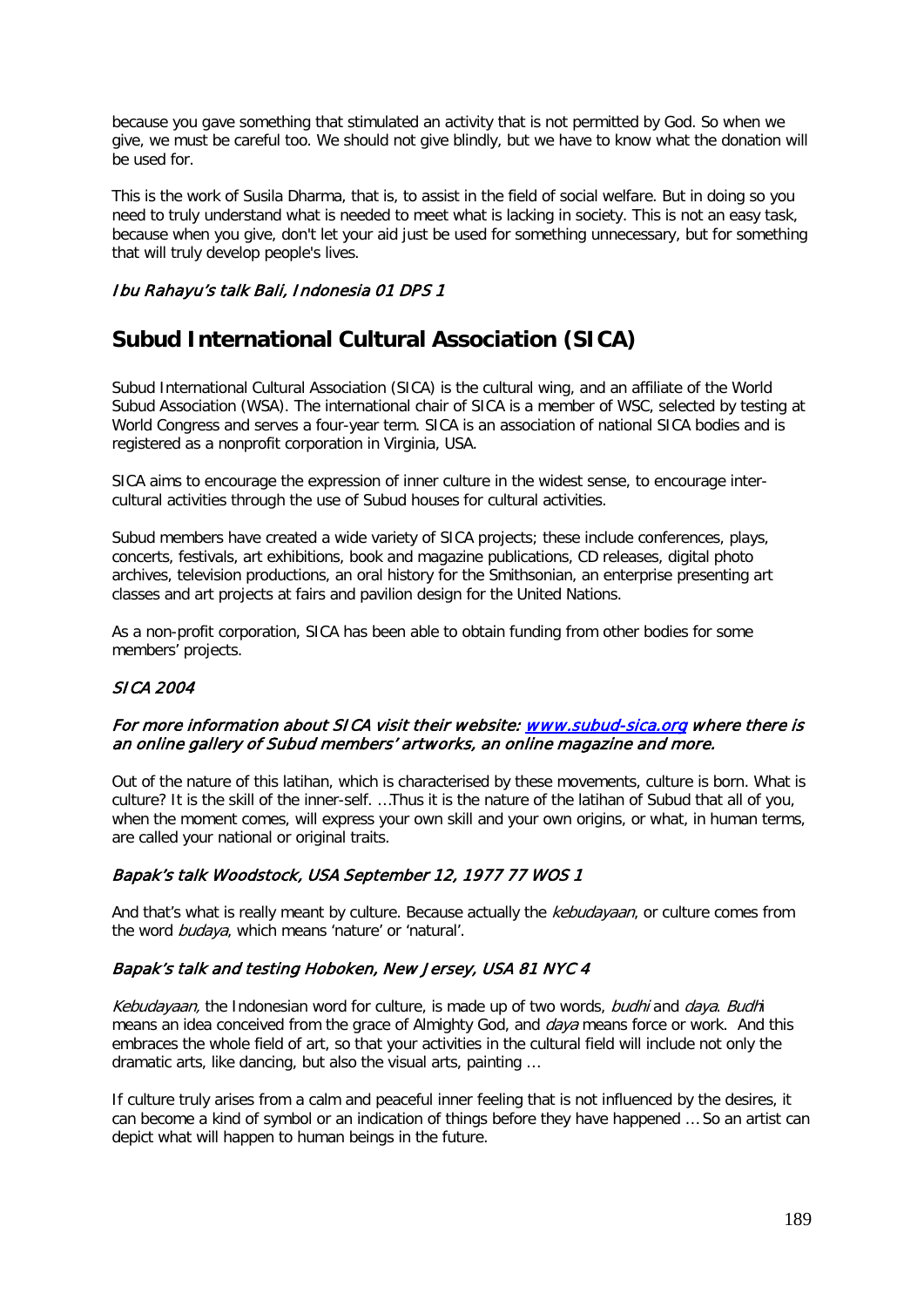because you gave something that stimulated an activity that is not permitted by God. So when we give, we must be careful too. We should not give blindly, but we have to know what the donation will be used for.

This is the work of Susila Dharma, that is, to assist in the field of social welfare. But in doing so you need to truly understand what is needed to meet what is lacking in society. This is not an easy task, because when you give, don't let your aid just be used for something unnecessary, but for something that will truly develop people's lives.

### Ibu Rahayu's talk Bali, Indonesia 01 DPS 1

# **Subud International Cultural Association (SICA)**

Subud International Cultural Association (SICA) is the cultural wing, and an affiliate of the World Subud Association (WSA). The international chair of SICA is a member of WSC, selected by testing at World Congress and serves a four-year term. SICA is an association of national SICA bodies and is registered as a nonprofit corporation in Virginia, USA.

SICA aims to encourage the expression of inner culture in the widest sense, to encourage intercultural activities through the use of Subud houses for cultural activities.

Subud members have created a wide variety of SICA projects; these include conferences, plays, concerts, festivals, art exhibitions, book and magazine publications, CD releases, digital photo archives, television productions, an oral history for the Smithsonian, an enterprise presenting art classes and art projects at fairs and pavilion design for the United Nations.

As a non-profit corporation, SICA has been able to obtain funding from other bodies for some members' projects.

### SICA 2004

### For more information about SICA visit their website: [www.subud-sica.org](http://www.subud-sica.org/) where there is an online gallery of Subud members' artworks, an online magazine and more.

Out of the nature of this latihan, which is characterised by these movements, culture is born. What is culture? It is the skill of the inner-self. …Thus it is the nature of the latihan of Subud that all of you, when the moment comes, will express your own skill and your own origins, or what, in human terms, are called your national or original traits.

## Bapak's talk Woodstock, USA September 12, 1977 77 WOS 1

And that's what is really meant by culture. Because actually the *kebudayaan*, or culture comes from the word budaya, which means 'nature' or 'natural'.

### Bapak's talk and testing Hoboken, New Jersey, USA 81 NYC 4

Kebudayaan, the Indonesian word for culture, is made up of two words, budhi and daya. Budhi means an idea conceived from the grace of Almighty God, and *daya* means force or work. And this embraces the whole field of art, so that your activities in the cultural field will include not only the dramatic arts, like dancing, but also the visual arts, painting …

If culture truly arises from a calm and peaceful inner feeling that is not influenced by the desires, it can become a kind of symbol or an indication of things before they have happened … So an artist can depict what will happen to human beings in the future.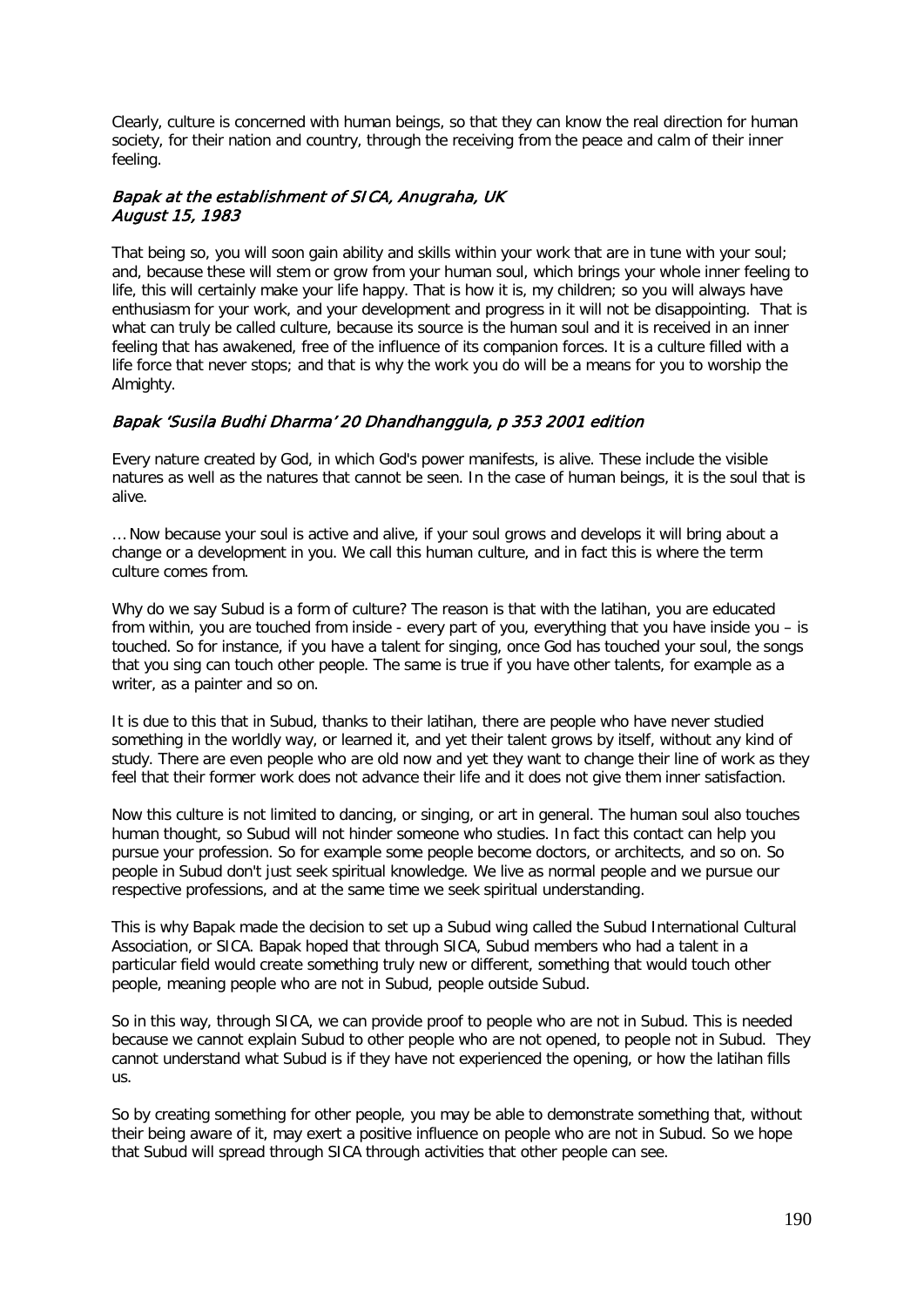Clearly, culture is concerned with human beings, so that they can know the real direction for human society, for their nation and country, through the receiving from the peace and calm of their inner feeling.

### Bapak at the establishment of SICA, Anugraha, UK August 15, 1983

That being so, you will soon gain ability and skills within your work that are in tune with your soul; and, because these will stem or grow from your human soul, which brings your whole inner feeling to life, this will certainly make your life happy. That is how it is, my children; so you will always have enthusiasm for your work, and your development and progress in it will not be disappointing. That is what can truly be called culture, because its source is the human soul and it is received in an inner feeling that has awakened, free of the influence of its companion forces. It is a culture filled with a life force that never stops; and that is why the work you do will be a means for you to worship the Almighty.

## Bapak 'Susila Budhi Dharma' 20 Dhandhanggula, p 353 2001 edition

Every nature created by God, in which God's power manifests, is alive. These include the visible natures as well as the natures that cannot be seen. In the case of human beings, it is the soul that is alive.

… Now because your soul is active and alive, if your soul grows and develops it will bring about a change or a development in you. We call this human culture, and in fact this is where the term culture comes from.

Why do we say Subud is a form of culture? The reason is that with the latihan, you are educated from within, you are touched from inside - every part of you, everything that you have inside you – is touched. So for instance, if you have a talent for singing, once God has touched your soul, the songs that you sing can touch other people. The same is true if you have other talents, for example as a writer, as a painter and so on.

It is due to this that in Subud, thanks to their latihan, there are people who have never studied something in the worldly way, or learned it, and yet their talent grows by itself, without any kind of study. There are even people who are old now and yet they want to change their line of work as they feel that their former work does not advance their life and it does not give them inner satisfaction.

Now this culture is not limited to dancing, or singing, or art in general. The human soul also touches human thought, so Subud will not hinder someone who studies. In fact this contact can help you pursue your profession. So for example some people become doctors, or architects, and so on. So people in Subud don't just seek spiritual knowledge. We live as normal people and we pursue our respective professions, and at the same time we seek spiritual understanding.

This is why Bapak made the decision to set up a Subud wing called the Subud International Cultural Association, or SICA. Bapak hoped that through SICA, Subud members who had a talent in a particular field would create something truly new or different, something that would touch other people, meaning people who are not in Subud, people outside Subud.

So in this way, through SICA, we can provide proof to people who are not in Subud. This is needed because we cannot explain Subud to other people who are not opened, to people not in Subud. They cannot understand what Subud is if they have not experienced the opening, or how the latihan fills us.

So by creating something for other people, you may be able to demonstrate something that, without their being aware of it, may exert a positive influence on people who are not in Subud. So we hope that Subud will spread through SICA through activities that other people can see.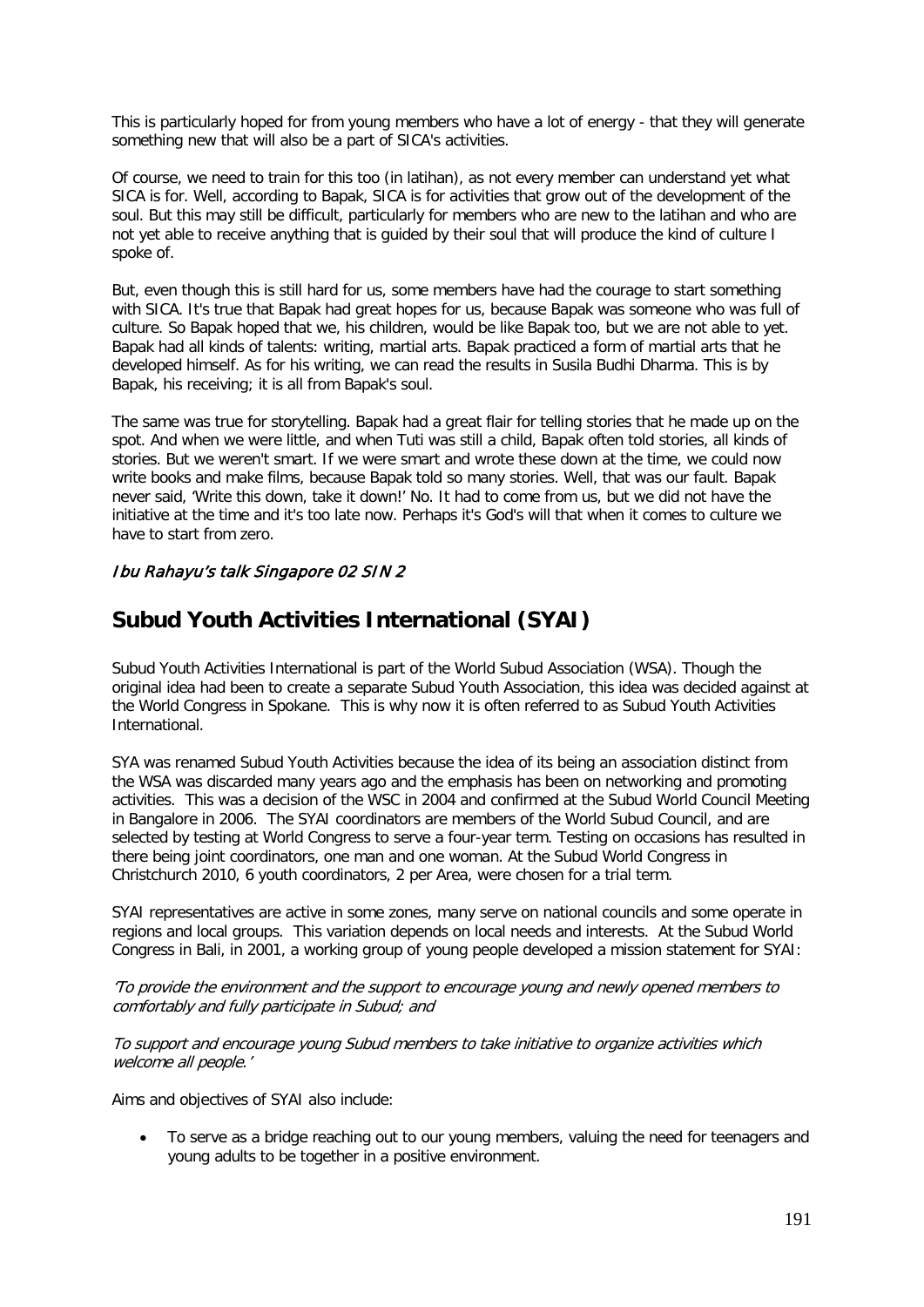This is particularly hoped for from young members who have a lot of energy - that they will generate something new that will also be a part of SICA's activities.

Of course, we need to train for this too (in latihan), as not every member can understand yet what SICA is for. Well, according to Bapak, SICA is for activities that grow out of the development of the soul. But this may still be difficult, particularly for members who are new to the latihan and who are not yet able to receive anything that is guided by their soul that will produce the kind of culture I spoke of.

But, even though this is still hard for us, some members have had the courage to start something with SICA. It's true that Bapak had great hopes for us, because Bapak was someone who was full of culture. So Bapak hoped that we, his children, would be like Bapak too, but we are not able to yet. Bapak had all kinds of talents: writing, martial arts. Bapak practiced a form of martial arts that he developed himself. As for his writing, we can read the results in Susila Budhi Dharma. This is by Bapak, his receiving; it is all from Bapak's soul.

The same was true for storytelling. Bapak had a great flair for telling stories that he made up on the spot. And when we were little, and when Tuti was still a child, Bapak often told stories, all kinds of stories. But we weren't smart. If we were smart and wrote these down at the time, we could now write books and make films, because Bapak told so many stories. Well, that was our fault. Bapak never said, 'Write this down, take it down!' No. It had to come from us, but we did not have the initiative at the time and it's too late now. Perhaps it's God's will that when it comes to culture we have to start from zero.

## Ibu Rahayu's talk Singapore 02 SIN 2

# **Subud Youth Activities International (SYAI)**

Subud Youth Activities International is part of the World Subud Association (WSA). Though the original idea had been to create a separate Subud Youth Association, this idea was decided against at the World Congress in Spokane. This is why now it is often referred to as Subud Youth Activities International.

SYA was renamed Subud Youth Activities because the idea of its being an association distinct from the WSA was discarded many years ago and the emphasis has been on networking and promoting activities. This was a decision of the WSC in 2004 and confirmed at the Subud World Council Meeting in Bangalore in 2006. The SYAI coordinators are members of the World Subud Council, and are selected by testing at World Congress to serve a four-year term. Testing on occasions has resulted in there being joint coordinators, one man and one woman. At the Subud World Congress in Christchurch 2010, 6 youth coordinators, 2 per Area, were chosen for a trial term.

SYAI representatives are active in some zones, many serve on national councils and some operate in regions and local groups. This variation depends on local needs and interests. At the Subud World Congress in Bali, in 2001, a working group of young people developed a mission statement for SYAI:

'To provide the environment and the support to encourage young and newly opened members to comfortably and fully participate in Subud; and

To support and encourage young Subud members to take initiative to organize activities which welcome all people.'

Aims and objectives of SYAI also include:

• To serve as a bridge reaching out to our young members, valuing the need for teenagers and young adults to be together in a positive environment.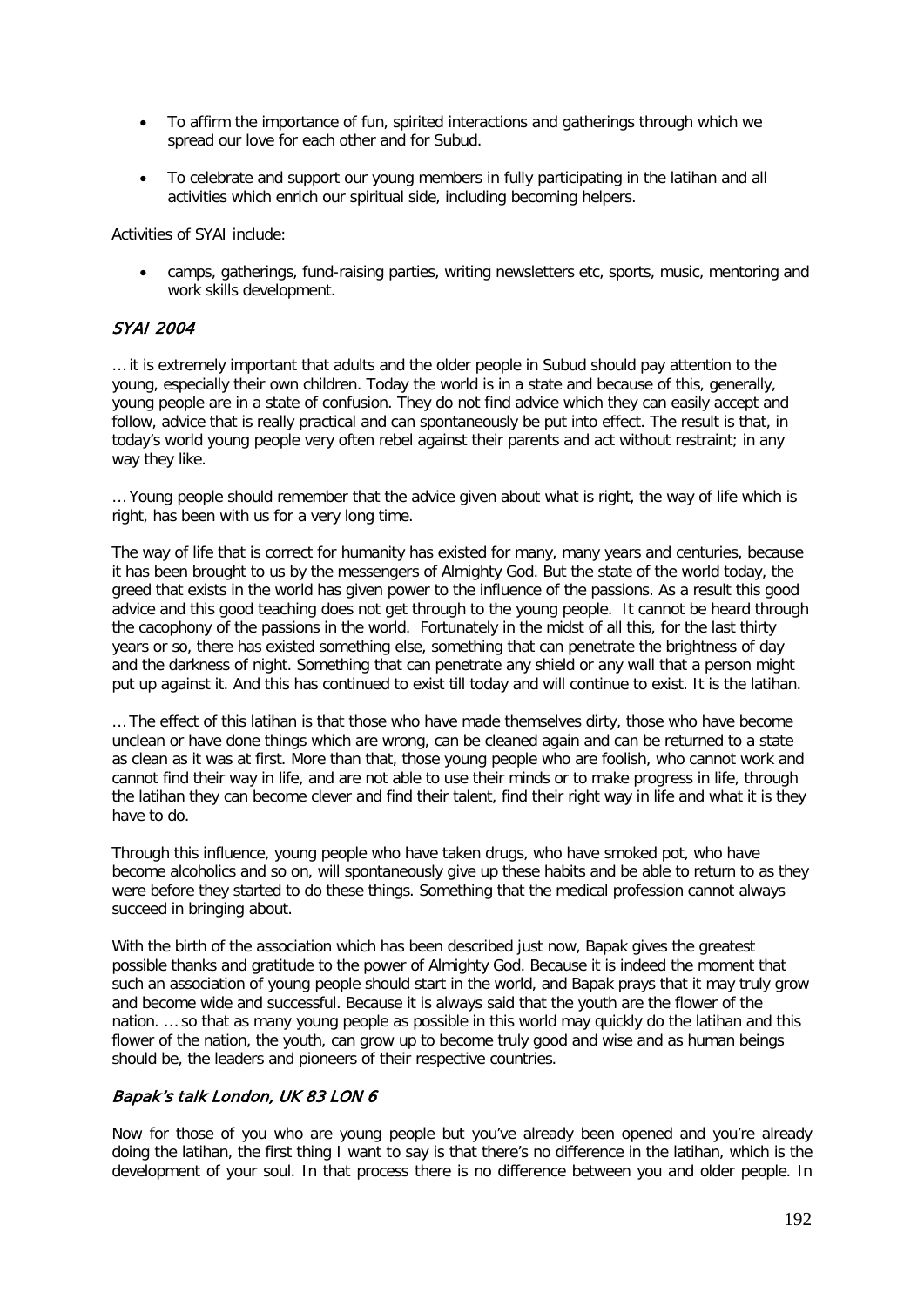- To affirm the importance of fun, spirited interactions and gatherings through which we spread our love for each other and for Subud.
- To celebrate and support our young members in fully participating in the latihan and all activities which enrich our spiritual side, including becoming helpers.

Activities of SYAI include:

• camps, gatherings, fund-raising parties, writing newsletters etc, sports, music, mentoring and work skills development.

### SYAI 2004

… it is extremely important that adults and the older people in Subud should pay attention to the young, especially their own children. Today the world is in a state and because of this, generally, young people are in a state of confusion. They do not find advice which they can easily accept and follow, advice that is really practical and can spontaneously be put into effect. The result is that, in today's world young people very often rebel against their parents and act without restraint; in any way they like.

… Young people should remember that the advice given about what is right, the way of life which is right, has been with us for a very long time.

The way of life that is correct for humanity has existed for many, many years and centuries, because it has been brought to us by the messengers of Almighty God. But the state of the world today, the greed that exists in the world has given power to the influence of the passions. As a result this good advice and this good teaching does not get through to the young people. It cannot be heard through the cacophony of the passions in the world. Fortunately in the midst of all this, for the last thirty years or so, there has existed something else, something that can penetrate the brightness of day and the darkness of night. Something that can penetrate any shield or any wall that a person might put up against it. And this has continued to exist till today and will continue to exist. It is the latihan.

… The effect of this latihan is that those who have made themselves dirty, those who have become unclean or have done things which are wrong, can be cleaned again and can be returned to a state as clean as it was at first. More than that, those young people who are foolish, who cannot work and cannot find their way in life, and are not able to use their minds or to make progress in life, through the latihan they can become clever and find their talent, find their right way in life and what it is they have to do.

Through this influence, young people who have taken drugs, who have smoked pot, who have become alcoholics and so on, will spontaneously give up these habits and be able to return to as they were before they started to do these things. Something that the medical profession cannot always succeed in bringing about.

With the birth of the association which has been described just now, Bapak gives the greatest possible thanks and gratitude to the power of Almighty God. Because it is indeed the moment that such an association of young people should start in the world, and Bapak prays that it may truly grow and become wide and successful. Because it is always said that the youth are the flower of the nation. … so that as many young people as possible in this world may quickly do the latihan and this flower of the nation, the youth, can grow up to become truly good and wise and as human beings should be, the leaders and pioneers of their respective countries.

### Bapak's talk London, UK 83 LON 6

Now for those of you who are young people but you've already been opened and you're already doing the latihan, the first thing I want to say is that there's no difference in the latihan, which is the development of your soul. In that process there is no difference between you and older people. In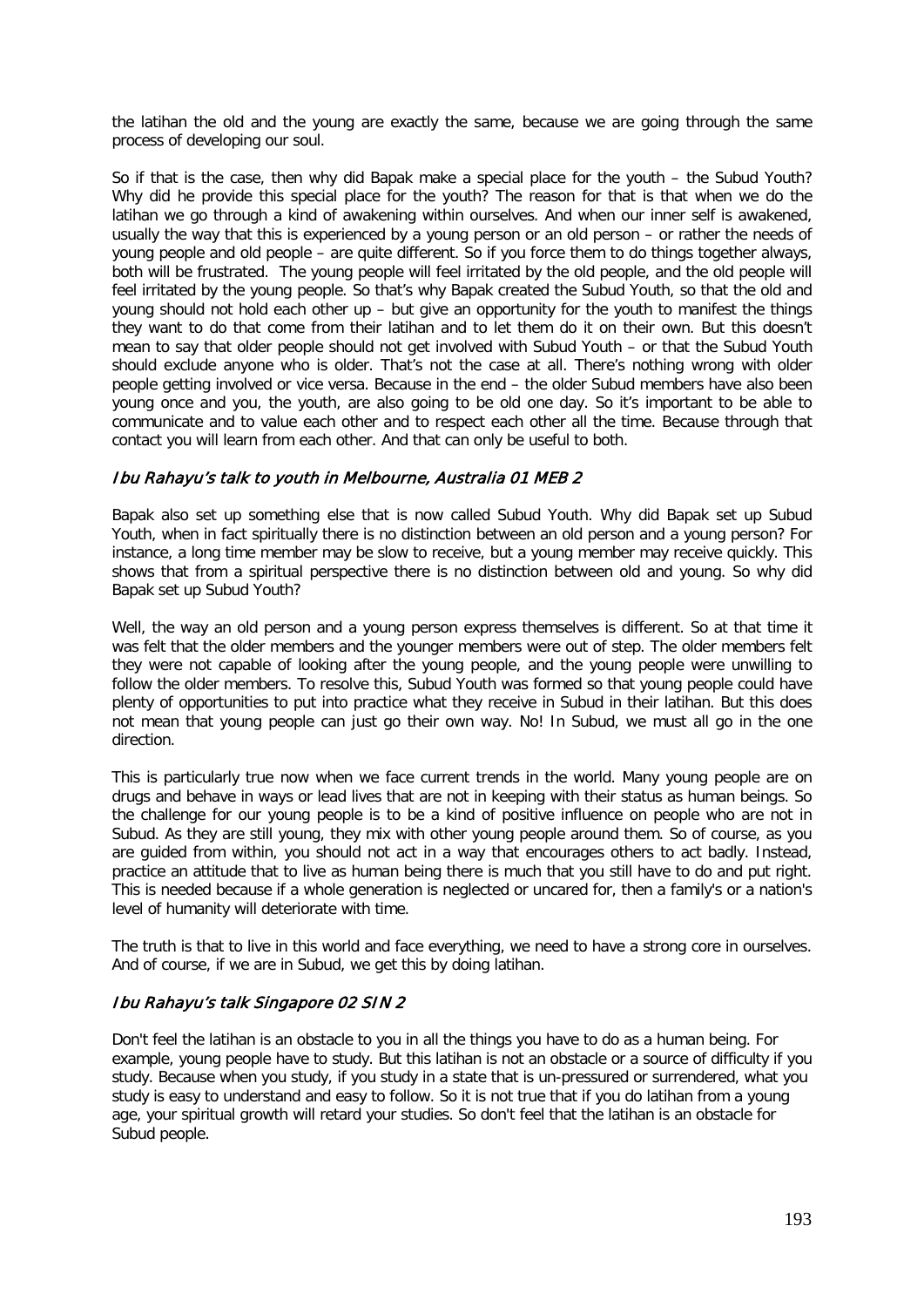the latihan the old and the young are exactly the same, because we are going through the same process of developing our soul.

So if that is the case, then why did Bapak make a special place for the youth – the Subud Youth? Why did he provide this special place for the youth? The reason for that is that when we do the latihan we go through a kind of awakening within ourselves. And when our inner self is awakened, usually the way that this is experienced by a young person or an old person – or rather the needs of young people and old people – are quite different. So if you force them to do things together always, both will be frustrated. The young people will feel irritated by the old people, and the old people will feel irritated by the young people. So that's why Bapak created the Subud Youth, so that the old and young should not hold each other up – but give an opportunity for the youth to manifest the things they want to do that come from their latihan and to let them do it on their own. But this doesn't mean to say that older people should not get involved with Subud Youth – or that the Subud Youth should exclude anyone who is older. That's not the case at all. There's nothing wrong with older people getting involved or vice versa. Because in the end – the older Subud members have also been young once and you, the youth, are also going to be old one day. So it's important to be able to communicate and to value each other and to respect each other all the time. Because through that contact you will learn from each other. And that can only be useful to both.

### Ibu Rahayu's talk to youth in Melbourne, Australia 01 MEB 2

Bapak also set up something else that is now called Subud Youth. Why did Bapak set up Subud Youth, when in fact spiritually there is no distinction between an old person and a young person? For instance, a long time member may be slow to receive, but a young member may receive quickly. This shows that from a spiritual perspective there is no distinction between old and young. So why did Bapak set up Subud Youth?

Well, the way an old person and a young person express themselves is different. So at that time it was felt that the older members and the younger members were out of step. The older members felt they were not capable of looking after the young people, and the young people were unwilling to follow the older members. To resolve this, Subud Youth was formed so that young people could have plenty of opportunities to put into practice what they receive in Subud in their latihan. But this does not mean that young people can just go their own way. No! In Subud, we must all go in the one direction.

This is particularly true now when we face current trends in the world. Many young people are on drugs and behave in ways or lead lives that are not in keeping with their status as human beings. So the challenge for our young people is to be a kind of positive influence on people who are not in Subud. As they are still young, they mix with other young people around them. So of course, as you are guided from within, you should not act in a way that encourages others to act badly. Instead, practice an attitude that to live as human being there is much that you still have to do and put right. This is needed because if a whole generation is neglected or uncared for, then a family's or a nation's level of humanity will deteriorate with time.

The truth is that to live in this world and face everything, we need to have a strong core in ourselves. And of course, if we are in Subud, we get this by doing latihan.

### Ibu Rahayu's talk Singapore 02 SIN 2

Don't feel the latihan is an obstacle to you in all the things you have to do as a human being. For example, young people have to study. But this latihan is not an obstacle or a source of difficulty if you study. Because when you study, if you study in a state that is un-pressured or surrendered, what you study is easy to understand and easy to follow. So it is not true that if you do latihan from a young age, your spiritual growth will retard your studies. So don't feel that the latihan is an obstacle for Subud people.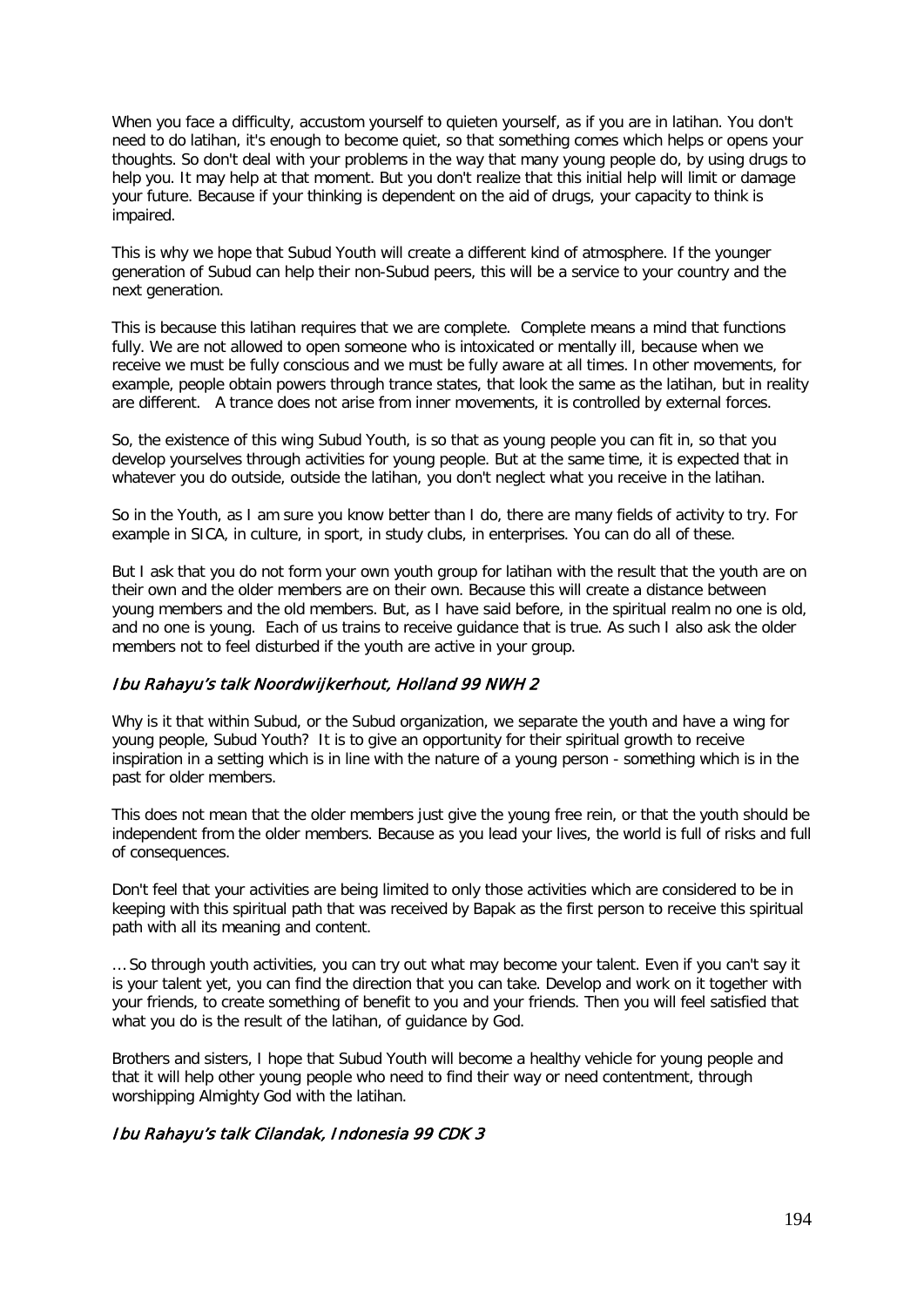When you face a difficulty, accustom yourself to quieten yourself, as if you are in latihan. You don't need to do latihan, it's enough to become quiet, so that something comes which helps or opens your thoughts. So don't deal with your problems in the way that many young people do, by using drugs to help you. It may help at that moment. But you don't realize that this initial help will limit or damage your future. Because if your thinking is dependent on the aid of drugs, your capacity to think is impaired.

This is why we hope that Subud Youth will create a different kind of atmosphere. If the younger generation of Subud can help their non-Subud peers, this will be a service to your country and the next generation.

This is because this latihan requires that we are complete. Complete means a mind that functions fully. We are not allowed to open someone who is intoxicated or mentally ill, because when we receive we must be fully conscious and we must be fully aware at all times. In other movements, for example, people obtain powers through trance states, that look the same as the latihan, but in reality are different. A trance does not arise from inner movements, it is controlled by external forces.

So, the existence of this wing Subud Youth, is so that as young people you can fit in, so that you develop yourselves through activities for young people. But at the same time, it is expected that in whatever you do outside, outside the latihan, you don't neglect what you receive in the latihan.

So in the Youth, as I am sure you know better than I do, there are many fields of activity to try. For example in SICA, in culture, in sport, in study clubs, in enterprises. You can do all of these.

But I ask that you do not form your own youth group for latihan with the result that the youth are on their own and the older members are on their own. Because this will create a distance between young members and the old members. But, as I have said before, in the spiritual realm no one is old, and no one is young. Each of us trains to receive guidance that is true. As such I also ask the older members not to feel disturbed if the youth are active in your group.

### Ibu Rahayu's talk Noordwijkerhout, Holland 99 NWH 2

Why is it that within Subud, or the Subud organization, we separate the youth and have a wing for young people, Subud Youth? It is to give an opportunity for their spiritual growth to receive inspiration in a setting which is in line with the nature of a young person - something which is in the past for older members.

This does not mean that the older members just give the young free rein, or that the youth should be independent from the older members. Because as you lead your lives, the world is full of risks and full of consequences.

Don't feel that your activities are being limited to only those activities which are considered to be in keeping with this spiritual path that was received by Bapak as the first person to receive this spiritual path with all its meaning and content.

… So through youth activities, you can try out what may become your talent. Even if you can't say it is your talent yet, you can find the direction that you can take. Develop and work on it together with your friends, to create something of benefit to you and your friends. Then you will feel satisfied that what you do is the result of the latihan, of guidance by God.

Brothers and sisters, I hope that Subud Youth will become a healthy vehicle for young people and that it will help other young people who need to find their way or need contentment, through worshipping Almighty God with the latihan.

## Ibu Rahayu's talk Cilandak, Indonesia 99 CDK 3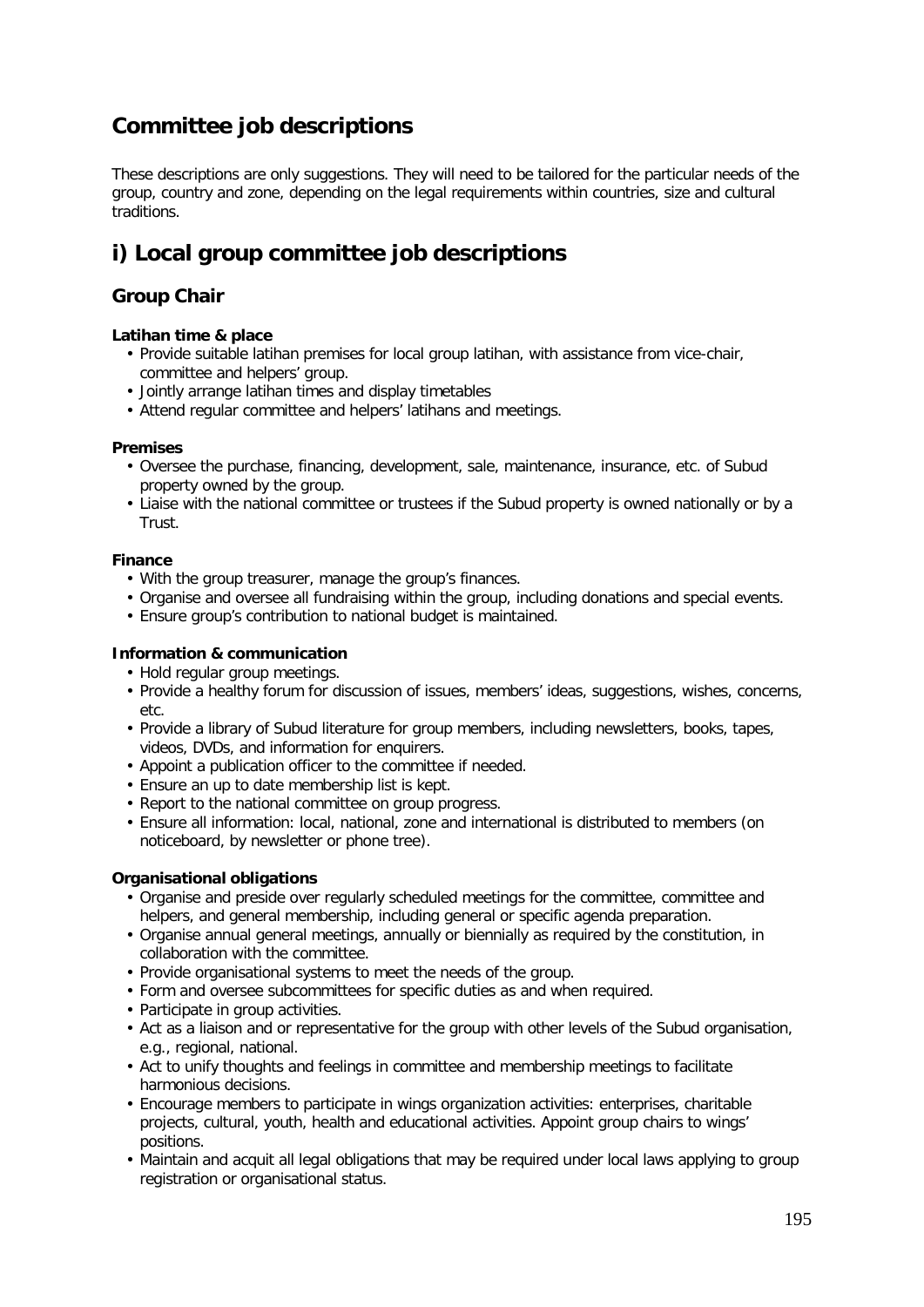# **Committee job descriptions**

These descriptions are only suggestions. They will need to be tailored for the particular needs of the group, country and zone, depending on the legal requirements within countries, size and cultural traditions.

# **i) Local group committee job descriptions**

## **Group Chair**

### **Latihan time & place**

- Provide suitable latihan premises for local group latihan, with assistance from vice-chair, committee and helpers' group.
- Jointly arrange latihan times and display timetables
- Attend regular committee and helpers' latihans and meetings.

### **Premises**

- Oversee the purchase, financing, development, sale, maintenance, insurance, etc. of Subud property owned by the group.
- Liaise with the national committee or trustees if the Subud property is owned nationally or by a Trust.

### **Finance**

- With the group treasurer, manage the group's finances.
- Organise and oversee all fundraising within the group, including donations and special events.
- Ensure group's contribution to national budget is maintained.

### **Information & communication**

- Hold regular group meetings.
- Provide a healthy forum for discussion of issues, members' ideas, suggestions, wishes, concerns, etc.
- Provide a library of Subud literature for group members, including newsletters, books, tapes, videos, DVDs, and information for enquirers.
- Appoint a publication officer to the committee if needed.
- Ensure an up to date membership list is kept.
- Report to the national committee on group progress.
- Ensure all information: local, national, zone and international is distributed to members (on noticeboard, by newsletter or phone tree).

## **Organisational obligations**

- Organise and preside over regularly scheduled meetings for the committee, committee and helpers, and general membership, including general or specific agenda preparation.
- Organise annual general meetings, annually or biennially as required by the constitution, in collaboration with the committee.
- Provide organisational systems to meet the needs of the group.
- Form and oversee subcommittees for specific duties as and when required.
- Participate in group activities.
- Act as a liaison and or representative for the group with other levels of the Subud organisation, e.g., regional, national.
- Act to unify thoughts and feelings in committee and membership meetings to facilitate harmonious decisions.
- Encourage members to participate in wings organization activities: enterprises, charitable projects, cultural, youth, health and educational activities. Appoint group chairs to wings' positions.
- Maintain and acquit all legal obligations that may be required under local laws applying to group registration or organisational status.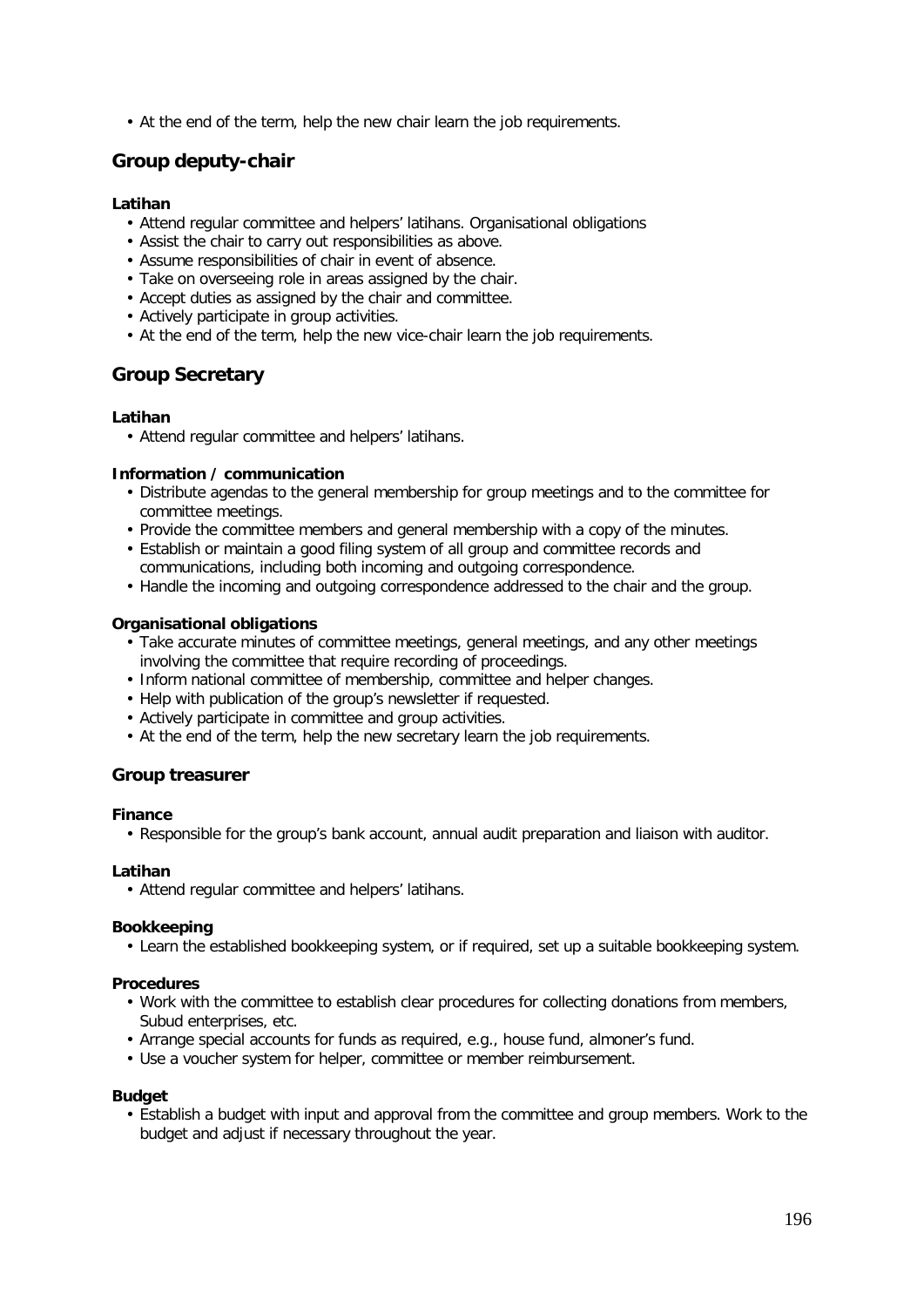• At the end of the term, help the new chair learn the job requirements.

## **Group deputy-chair**

### **Latihan**

- Attend regular committee and helpers' latihans. Organisational obligations
- Assist the chair to carry out responsibilities as above.
- Assume responsibilities of chair in event of absence.
- Take on overseeing role in areas assigned by the chair.
- Accept duties as assigned by the chair and committee.
- Actively participate in group activities.
- At the end of the term, help the new vice-chair learn the job requirements.

## **Group Secretary**

### **Latihan**

• Attend regular committee and helpers' latihans.

### **Information / communication**

- Distribute agendas to the general membership for group meetings and to the committee for committee meetings.
- Provide the committee members and general membership with a copy of the minutes.
- Establish or maintain a good filing system of all group and committee records and communications, including both incoming and outgoing correspondence.
- Handle the incoming and outgoing correspondence addressed to the chair and the group.

### **Organisational obligations**

- Take accurate minutes of committee meetings, general meetings, and any other meetings involving the committee that require recording of proceedings.
- Inform national committee of membership, committee and helper changes.
- Help with publication of the group's newsletter if requested.
- Actively participate in committee and group activities.
- At the end of the term, help the new secretary learn the job requirements.

## **Group treasurer**

### **Finance**

• Responsible for the group's bank account, annual audit preparation and liaison with auditor.

### **Latihan**

• Attend regular committee and helpers' latihans.

### **Bookkeeping**

• Learn the established bookkeeping system, or if required, set up a suitable bookkeeping system.

### **Procedures**

- Work with the committee to establish clear procedures for collecting donations from members, Subud enterprises, etc.
- Arrange special accounts for funds as required, e.g., house fund, almoner's fund.
- Use a voucher system for helper, committee or member reimbursement.

### **Budget**

• Establish a budget with input and approval from the committee and group members. Work to the budget and adjust if necessary throughout the year.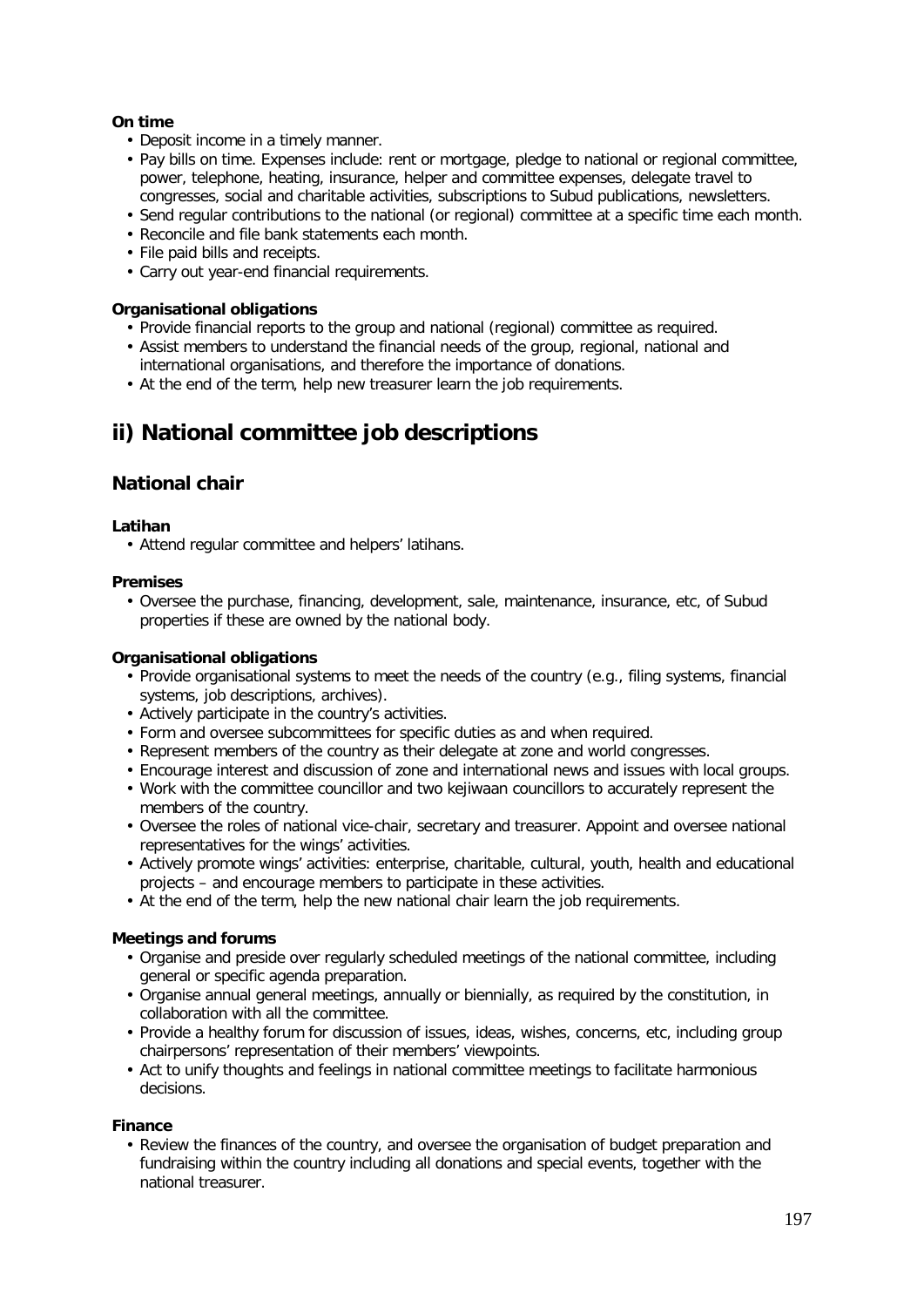### **On time**

- Deposit income in a timely manner.
- Pay bills on time. Expenses include: rent or mortgage, pledge to national or regional committee, power, telephone, heating, insurance, helper and committee expenses, delegate travel to congresses, social and charitable activities, subscriptions to Subud publications, newsletters.
- Send regular contributions to the national (or regional) committee at a specific time each month.
- Reconcile and file bank statements each month.
- File paid bills and receipts.
- Carry out year-end financial requirements.

### **Organisational obligations**

- Provide financial reports to the group and national (regional) committee as required.
- Assist members to understand the financial needs of the group, regional, national and international organisations, and therefore the importance of donations.
- At the end of the term, help new treasurer learn the job requirements.

# **ii) National committee job descriptions**

## **National chair**

### **Latihan**

• Attend regular committee and helpers' latihans.

### **Premises**

• Oversee the purchase, financing, development, sale, maintenance, insurance, etc, of Subud properties if these are owned by the national body.

### **Organisational obligations**

- Provide organisational systems to meet the needs of the country (e.g., filing systems, financial systems, job descriptions, archives).
- Actively participate in the country's activities.
- Form and oversee subcommittees for specific duties as and when required.
- Represent members of the country as their delegate at zone and world congresses.
- Encourage interest and discussion of zone and international news and issues with local groups.
- Work with the committee councillor and two kejiwaan councillors to accurately represent the members of the country.
- Oversee the roles of national vice-chair, secretary and treasurer. Appoint and oversee national representatives for the wings' activities.
- Actively promote wings' activities: enterprise, charitable, cultural, youth, health and educational projects – and encourage members to participate in these activities.
- At the end of the term, help the new national chair learn the job requirements.

## **Meetings and forums**

- Organise and preside over regularly scheduled meetings of the national committee, including general or specific agenda preparation.
- Organise annual general meetings, annually or biennially, as required by the constitution, in collaboration with all the committee.
- Provide a healthy forum for discussion of issues, ideas, wishes, concerns, etc, including group chairpersons' representation of their members' viewpoints.
- Act to unify thoughts and feelings in national committee meetings to facilitate harmonious decisions.

### **Finance**

• Review the finances of the country, and oversee the organisation of budget preparation and fundraising within the country including all donations and special events, together with the national treasurer.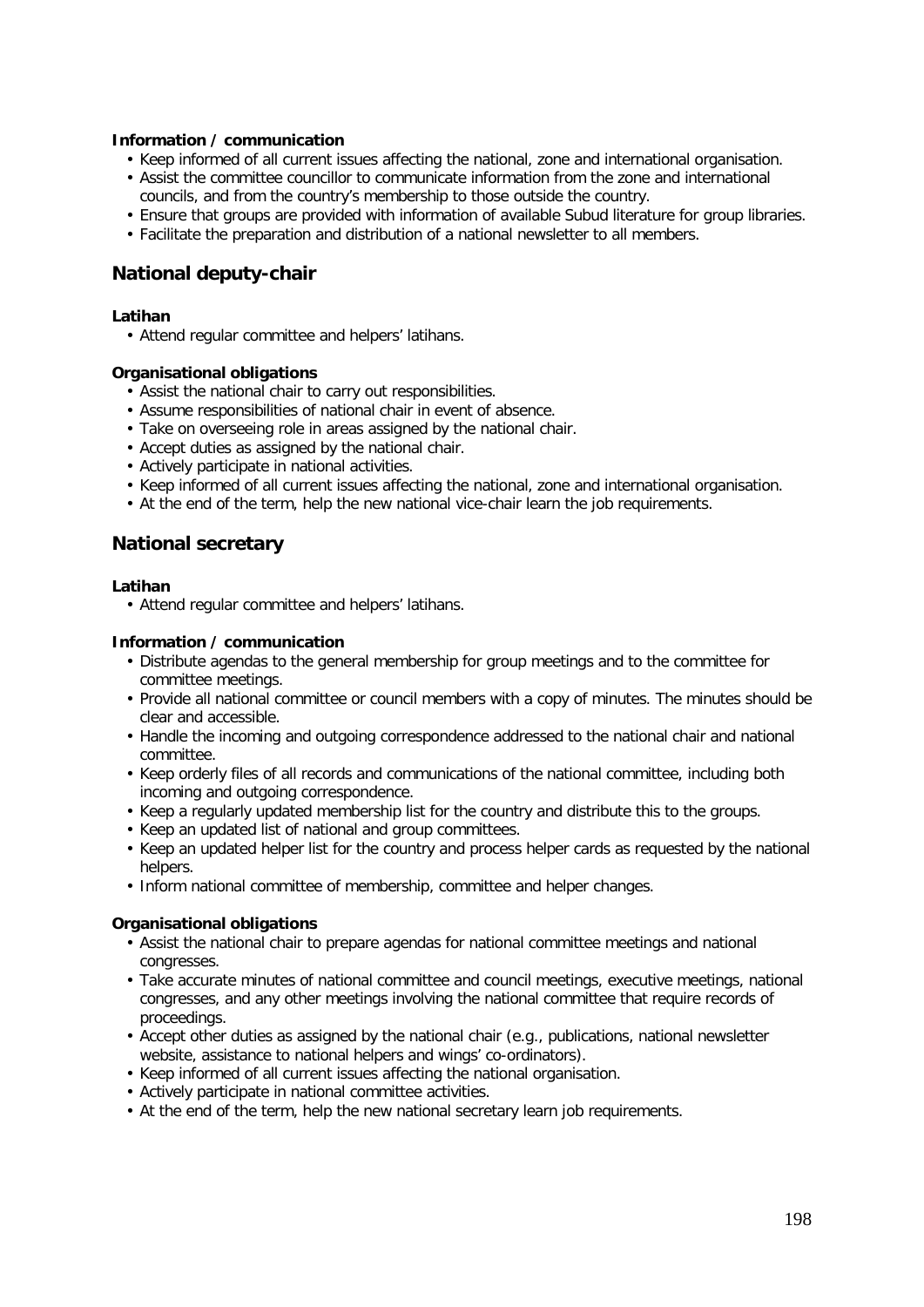### **Information / communication**

- Keep informed of all current issues affecting the national, zone and international organisation.
- Assist the committee councillor to communicate information from the zone and international councils, and from the country's membership to those outside the country.
- Ensure that groups are provided with information of available Subud literature for group libraries.
- Facilitate the preparation and distribution of a national newsletter to all members.

## **National deputy-chair**

### **Latihan**

• Attend regular committee and helpers' latihans.

### **Organisational obligations**

- Assist the national chair to carry out responsibilities.
- Assume responsibilities of national chair in event of absence.
- Take on overseeing role in areas assigned by the national chair.
- Accept duties as assigned by the national chair.
- Actively participate in national activities.
- Keep informed of all current issues affecting the national, zone and international organisation.
- At the end of the term, help the new national vice-chair learn the job requirements.

## **National secretary**

### **Latihan**

• Attend regular committee and helpers' latihans.

### **Information / communication**

- Distribute agendas to the general membership for group meetings and to the committee for committee meetings.
- Provide all national committee or council members with a copy of minutes. The minutes should be clear and accessible.
- Handle the incoming and outgoing correspondence addressed to the national chair and national committee.
- Keep orderly files of all records and communications of the national committee, including both incoming and outgoing correspondence.
- Keep a regularly updated membership list for the country and distribute this to the groups.
- Keep an updated list of national and group committees.
- Keep an updated helper list for the country and process helper cards as requested by the national helpers.
- Inform national committee of membership, committee and helper changes.

### **Organisational obligations**

- Assist the national chair to prepare agendas for national committee meetings and national congresses.
- Take accurate minutes of national committee and council meetings, executive meetings, national congresses, and any other meetings involving the national committee that require records of proceedings.
- Accept other duties as assigned by the national chair (e.g., publications, national newsletter website, assistance to national helpers and wings' co-ordinators).
- Keep informed of all current issues affecting the national organisation.
- Actively participate in national committee activities.
- At the end of the term, help the new national secretary learn job requirements.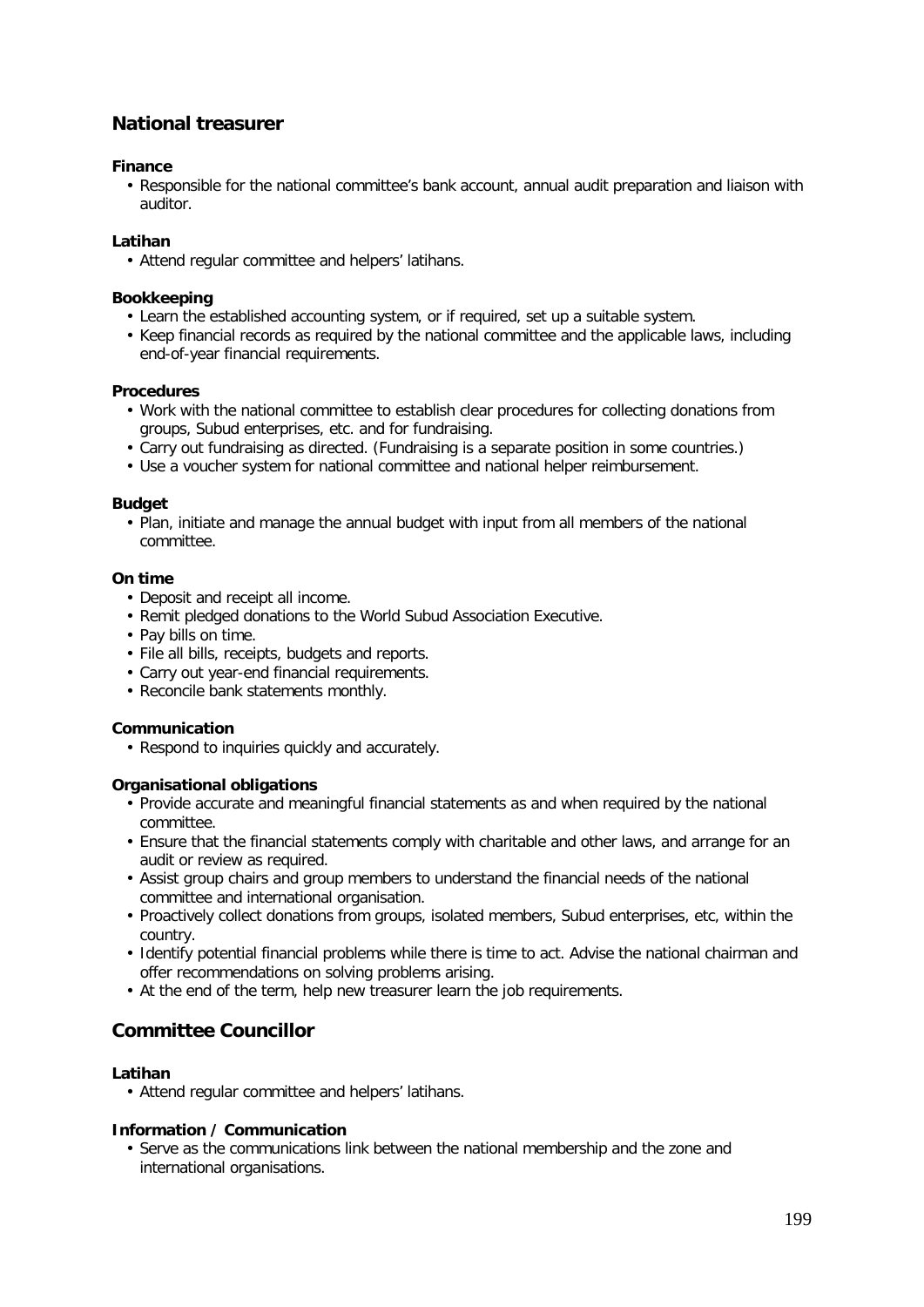## **National treasurer**

### **Finance**

• Responsible for the national committee's bank account, annual audit preparation and liaison with auditor.

### **Latihan**

• Attend regular committee and helpers' latihans.

### **Bookkeeping**

- Learn the established accounting system, or if required, set up a suitable system.
- Keep financial records as required by the national committee and the applicable laws, including end-of-year financial requirements.

### **Procedures**

- Work with the national committee to establish clear procedures for collecting donations from groups, Subud enterprises, etc. and for fundraising.
- Carry out fundraising as directed. (Fundraising is a separate position in some countries.)
- Use a voucher system for national committee and national helper reimbursement.

### **Budget**

• Plan, initiate and manage the annual budget with input from all members of the national committee.

### **On time**

- Deposit and receipt all income.
- Remit pledged donations to the World Subud Association Executive.
- Pay bills on time.
- File all bills, receipts, budgets and reports.
- Carry out year-end financial requirements.
- Reconcile bank statements monthly.

### **Communication**

• Respond to inquiries quickly and accurately.

### **Organisational obligations**

- Provide accurate and meaningful financial statements as and when required by the national committee.
- Ensure that the financial statements comply with charitable and other laws, and arrange for an audit or review as required.
- Assist group chairs and group members to understand the financial needs of the national committee and international organisation.
- Proactively collect donations from groups, isolated members, Subud enterprises, etc, within the country.
- Identify potential financial problems while there is time to act. Advise the national chairman and offer recommendations on solving problems arising.
- At the end of the term, help new treasurer learn the job requirements.

## **Committee Councillor**

### **Latihan**

• Attend regular committee and helpers' latihans.

### **Information / Communication**

• Serve as the communications link between the national membership and the zone and international organisations.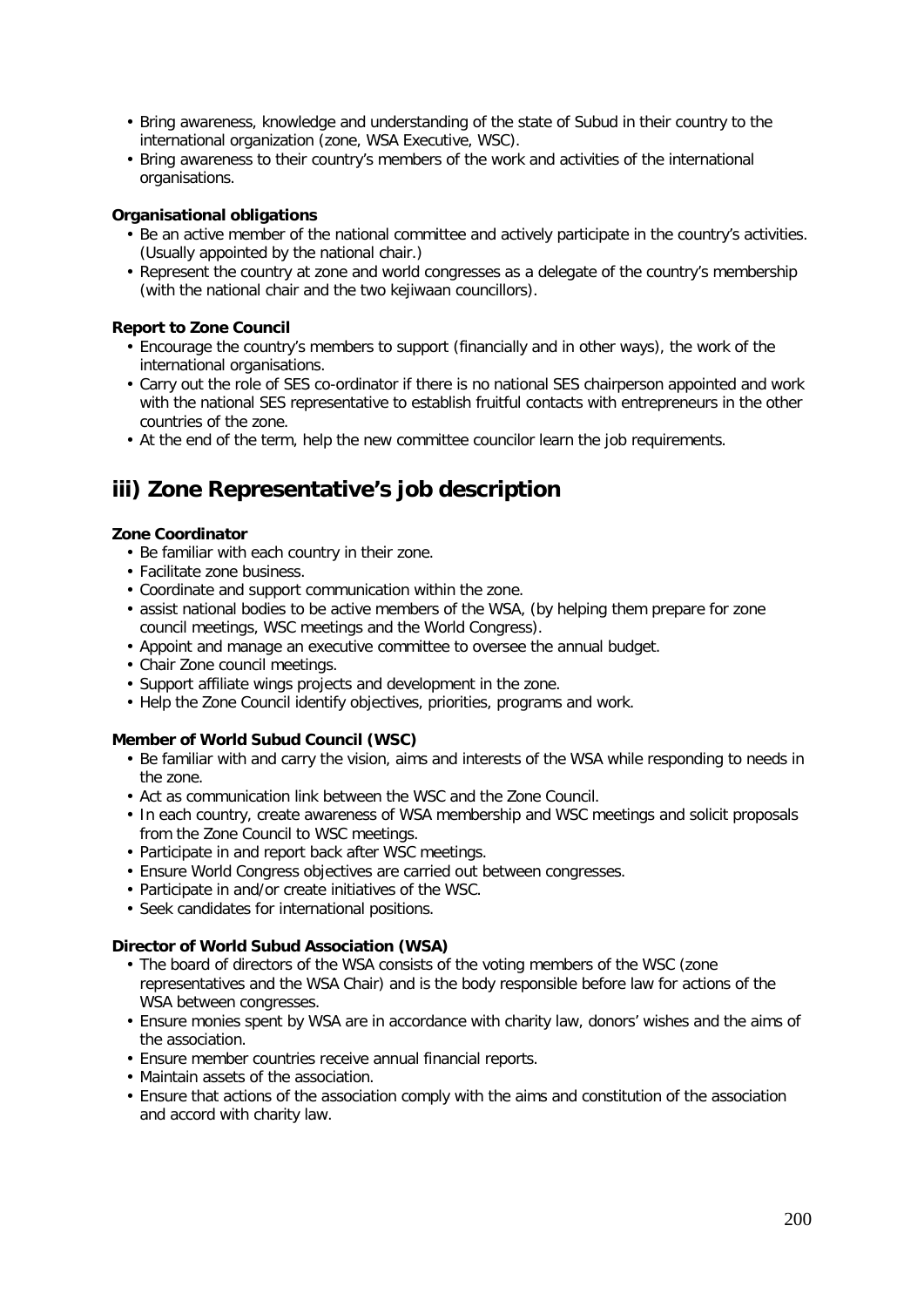- Bring awareness, knowledge and understanding of the state of Subud in their country to the international organization (zone, WSA Executive, WSC).
- Bring awareness to their country's members of the work and activities of the international organisations.

### **Organisational obligations**

- Be an active member of the national committee and actively participate in the country's activities. (Usually appointed by the national chair.)
- Represent the country at zone and world congresses as a delegate of the country's membership (with the national chair and the two kejiwaan councillors).

### **Report to Zone Council**

- Encourage the country's members to support (financially and in other ways), the work of the international organisations.
- Carry out the role of SES co-ordinator if there is no national SES chairperson appointed and work with the national SES representative to establish fruitful contacts with entrepreneurs in the other countries of the zone.
- At the end of the term, help the new committee councilor learn the job requirements.

# **iii) Zone Representative's job description**

### **Zone Coordinator**

- Be familiar with each country in their zone.
- Facilitate zone business.
- Coordinate and support communication within the zone.
- assist national bodies to be active members of the WSA, (by helping them prepare for zone council meetings, WSC meetings and the World Congress).
- Appoint and manage an executive committee to oversee the annual budget.
- Chair Zone council meetings.
- Support affiliate wings projects and development in the zone.
- Help the Zone Council identify objectives, priorities, programs and work.

## **Member of World Subud Council (WSC)**

- Be familiar with and carry the vision, aims and interests of the WSA while responding to needs in the zone.
- Act as communication link between the WSC and the Zone Council.
- In each country, create awareness of WSA membership and WSC meetings and solicit proposals from the Zone Council to WSC meetings.
- Participate in and report back after WSC meetings.
- Ensure World Congress objectives are carried out between congresses.
- Participate in and/or create initiatives of the WSC.
- Seek candidates for international positions.

### **Director of World Subud Association (WSA)**

- The board of directors of the WSA consists of the voting members of the WSC (zone representatives and the WSA Chair) and is the body responsible before law for actions of the WSA between congresses.
- Ensure monies spent by WSA are in accordance with charity law, donors' wishes and the aims of the association.
- Ensure member countries receive annual financial reports.
- Maintain assets of the association.
- Ensure that actions of the association comply with the aims and constitution of the association and accord with charity law.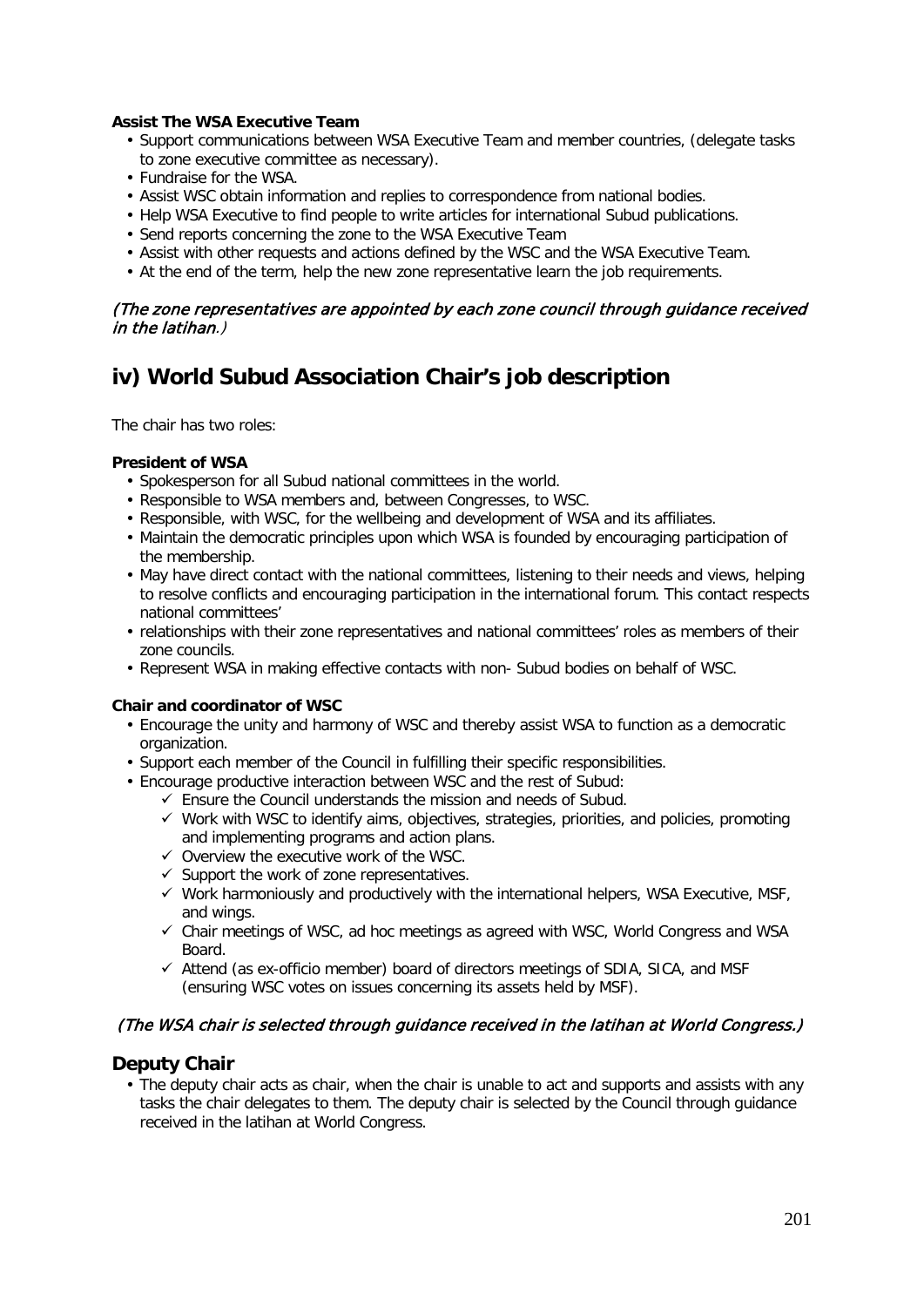### **Assist The WSA Executive Team**

- Support communications between WSA Executive Team and member countries, (delegate tasks to zone executive committee as necessary).
- Fundraise for the WSA.
- Assist WSC obtain information and replies to correspondence from national bodies.
- Help WSA Executive to find people to write articles for international Subud publications.
- Send reports concerning the zone to the WSA Executive Team
- Assist with other requests and actions defined by the WSC and the WSA Executive Team.
- At the end of the term, help the new zone representative learn the job requirements.

### (The zone representatives are appointed by each zone council through guidance received in the latihan.)

# **iv) World Subud Association Chair's job description**

The chair has two roles:

### **President of WSA**

- Spokesperson for all Subud national committees in the world.
- Responsible to WSA members and, between Congresses, to WSC.
- Responsible, with WSC, for the wellbeing and development of WSA and its affiliates.
- Maintain the democratic principles upon which WSA is founded by encouraging participation of the membership.
- May have direct contact with the national committees, listening to their needs and views, helping to resolve conflicts and encouraging participation in the international forum. This contact respects national committees'
- relationships with their zone representatives and national committees' roles as members of their zone councils.
- Represent WSA in making effective contacts with non- Subud bodies on behalf of WSC.

### **Chair and coordinator of WSC**

- Encourage the unity and harmony of WSC and thereby assist WSA to function as a democratic organization.
- Support each member of the Council in fulfilling their specific responsibilities.
- Encourage productive interaction between WSC and the rest of Subud:
	- $\checkmark$  Ensure the Council understands the mission and needs of Subud.
	- $\checkmark$  Work with WSC to identify aims, objectives, strategies, priorities, and policies, promoting and implementing programs and action plans.
	- $\checkmark$  Overview the executive work of the WSC.
	- $\checkmark$  Support the work of zone representatives.
	- $\checkmark$  Work harmoniously and productively with the international helpers, WSA Executive, MSF, and wings.
	- $\checkmark$  Chair meetings of WSC, ad hoc meetings as agreed with WSC, World Congress and WSA Board.
	- $\checkmark$  Attend (as ex-officio member) board of directors meetings of SDIA, SICA, and MSF (ensuring WSC votes on issues concerning its assets held by MSF).

## (The WSA chair is selected through guidance received in the latihan at World Congress.)

### **Deputy Chair**

• The deputy chair acts as chair, when the chair is unable to act and supports and assists with any tasks the chair delegates to them. The deputy chair is selected by the Council through guidance received in the latihan at World Congress.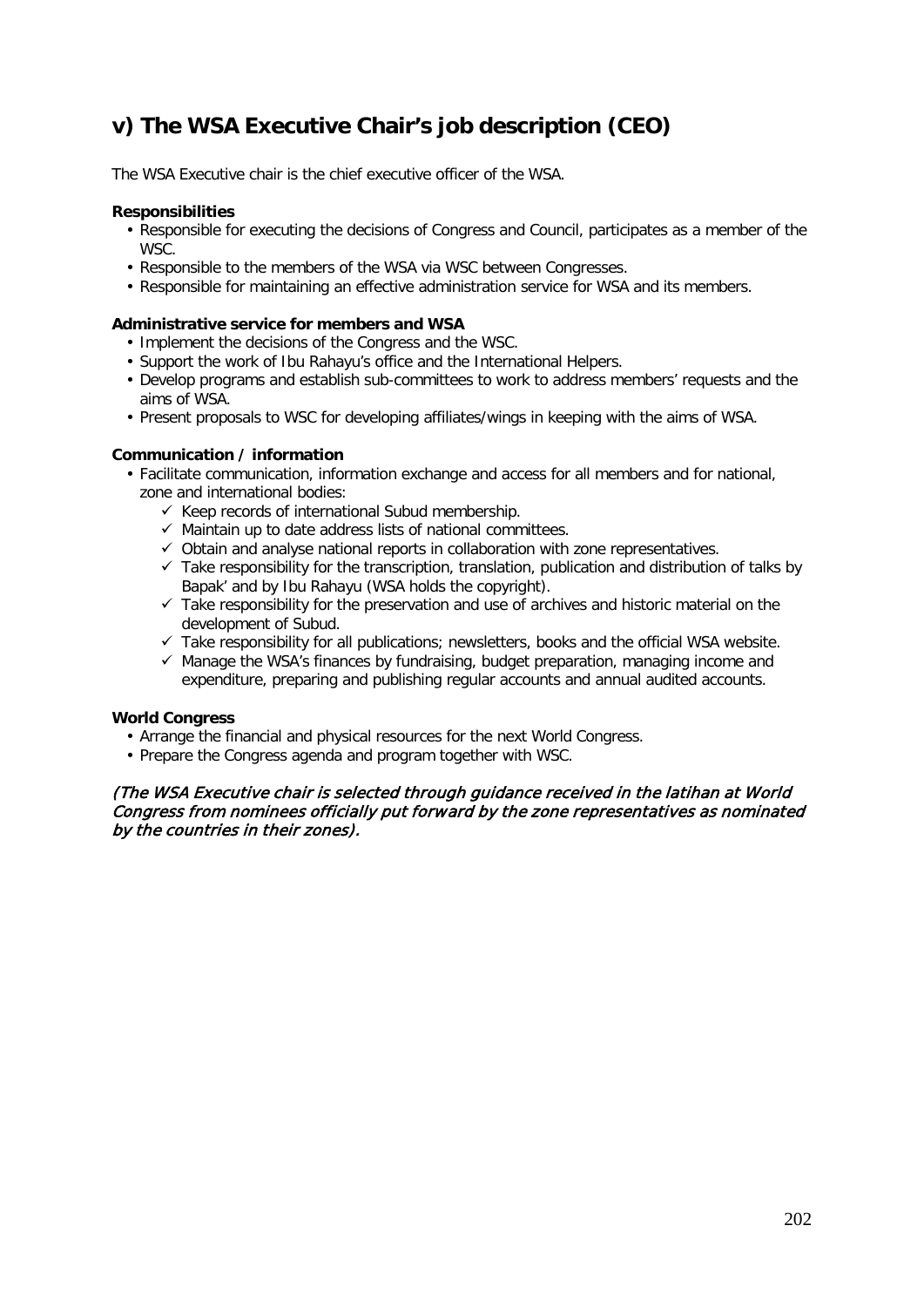# **v) The WSA Executive Chair's job description (CEO)**

The WSA Executive chair is the chief executive officer of the WSA.

### **Responsibilities**

- Responsible for executing the decisions of Congress and Council, participates as a member of the WSC.
- Responsible to the members of the WSA via WSC between Congresses.
- Responsible for maintaining an effective administration service for WSA and its members.

### **Administrative service for members and WSA**

- Implement the decisions of the Congress and the WSC.
- Support the work of Ibu Rahayu's office and the International Helpers.
- Develop programs and establish sub-committees to work to address members' requests and the aims of WSA.
- Present proposals to WSC for developing affiliates/wings in keeping with the aims of WSA.

### **Communication / information**

- Facilitate communication, information exchange and access for all members and for national, zone and international bodies:
	- $\checkmark$  Keep records of international Subud membership.
	- $\checkmark$  Maintain up to date address lists of national committees.
	- $\checkmark$  Obtain and analyse national reports in collaboration with zone representatives.
	- $\checkmark$  Take responsibility for the transcription, translation, publication and distribution of talks by Bapak' and by Ibu Rahayu (WSA holds the copyright).
	- $\checkmark$  Take responsibility for the preservation and use of archives and historic material on the development of Subud.
	- $\checkmark$  Take responsibility for all publications; newsletters, books and the official WSA website.
	- $\checkmark$  Manage the WSA's finances by fundraising, budget preparation, managing income and expenditure, preparing and publishing regular accounts and annual audited accounts.

### **World Congress**

- Arrange the financial and physical resources for the next World Congress.
- Prepare the Congress agenda and program together with WSC.

### (The WSA Executive chair is selected through guidance received in the latihan at World Congress from nominees officially put forward by the zone representatives as nominated by the countries in their zones).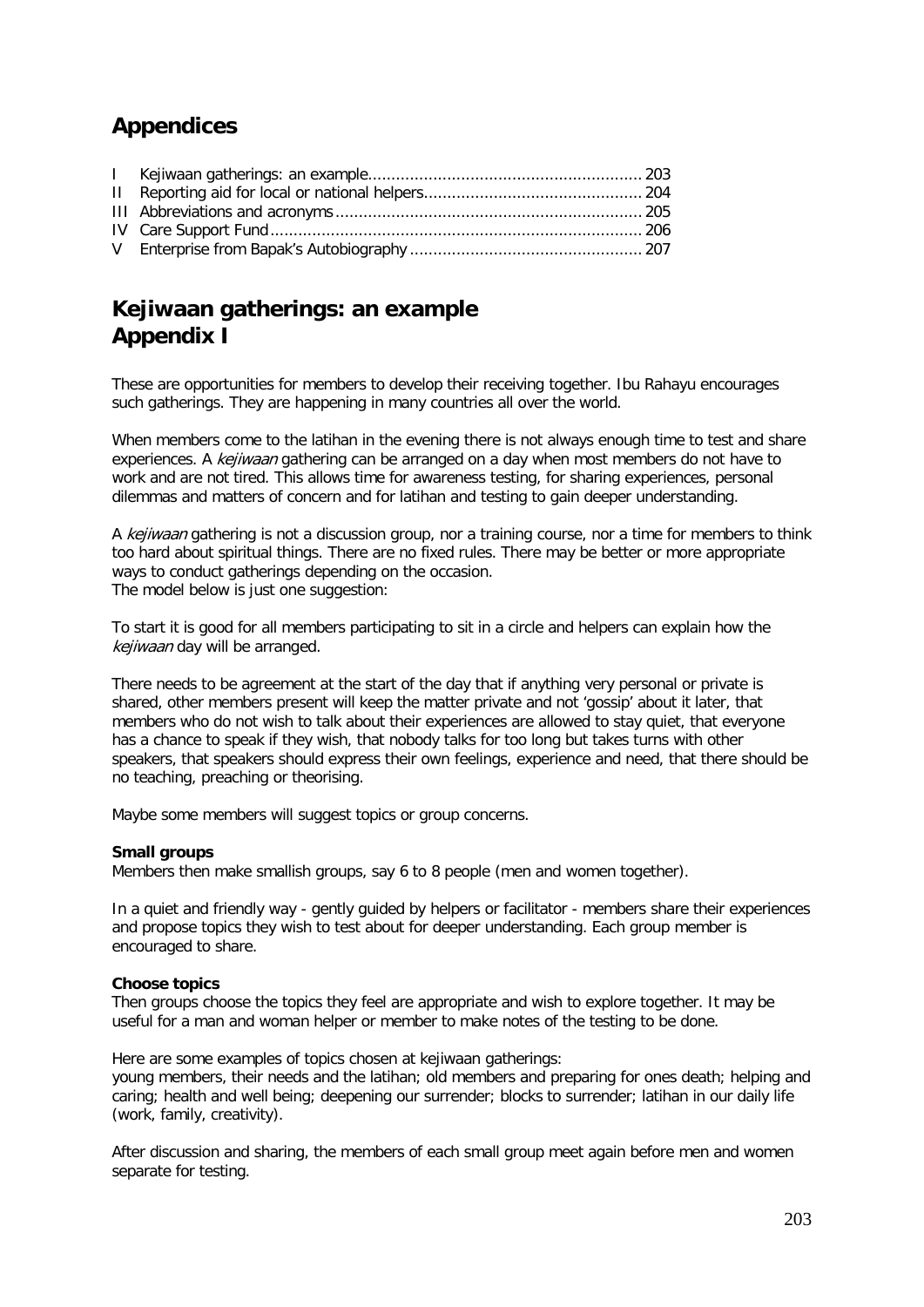# **Appendices**

# **Kejiwaan gatherings: an example Appendix I**

These are opportunities for members to develop their receiving together. Ibu Rahayu encourages such gatherings. They are happening in many countries all over the world.

When members come to the latihan in the evening there is not always enough time to test and share experiences. A kejiwaan gathering can be arranged on a day when most members do not have to work and are not tired. This allows time for awareness testing, for sharing experiences, personal dilemmas and matters of concern and for latihan and testing to gain deeper understanding.

A kejiwaan gathering is not a discussion group, nor a training course, nor a time for members to think too hard about spiritual things. There are no fixed rules. There may be better or more appropriate ways to conduct gatherings depending on the occasion. The model below is just one suggestion:

To start it is good for all members participating to sit in a circle and helpers can explain how the kejiwaan day will be arranged.

There needs to be agreement at the start of the day that if anything very personal or private is shared, other members present will keep the matter private and not 'gossip' about it later, that members who do not wish to talk about their experiences are allowed to stay quiet, that everyone has a chance to speak if they wish, that nobody talks for too long but takes turns with other speakers, that speakers should express their own feelings, experience and need, that there should be no teaching, preaching or theorising.

Maybe some members will suggest topics or group concerns.

### **Small groups**

Members then make smallish groups, say 6 to 8 people (men and women together).

In a quiet and friendly way - gently guided by helpers or facilitator - members share their experiences and propose topics they wish to test about for deeper understanding. Each group member is encouraged to share.

### **Choose topics**

Then groups choose the topics they feel are appropriate and wish to explore together. It may be useful for a man and woman helper or member to make notes of the testing to be done.

Here are some examples of topics chosen at keijwaan gatherings:

young members, their needs and the latihan; old members and preparing for ones death; helping and caring; health and well being; deepening our surrender; blocks to surrender; latihan in our daily life (work, family, creativity).

After discussion and sharing, the members of each small group meet again before men and women separate for testing.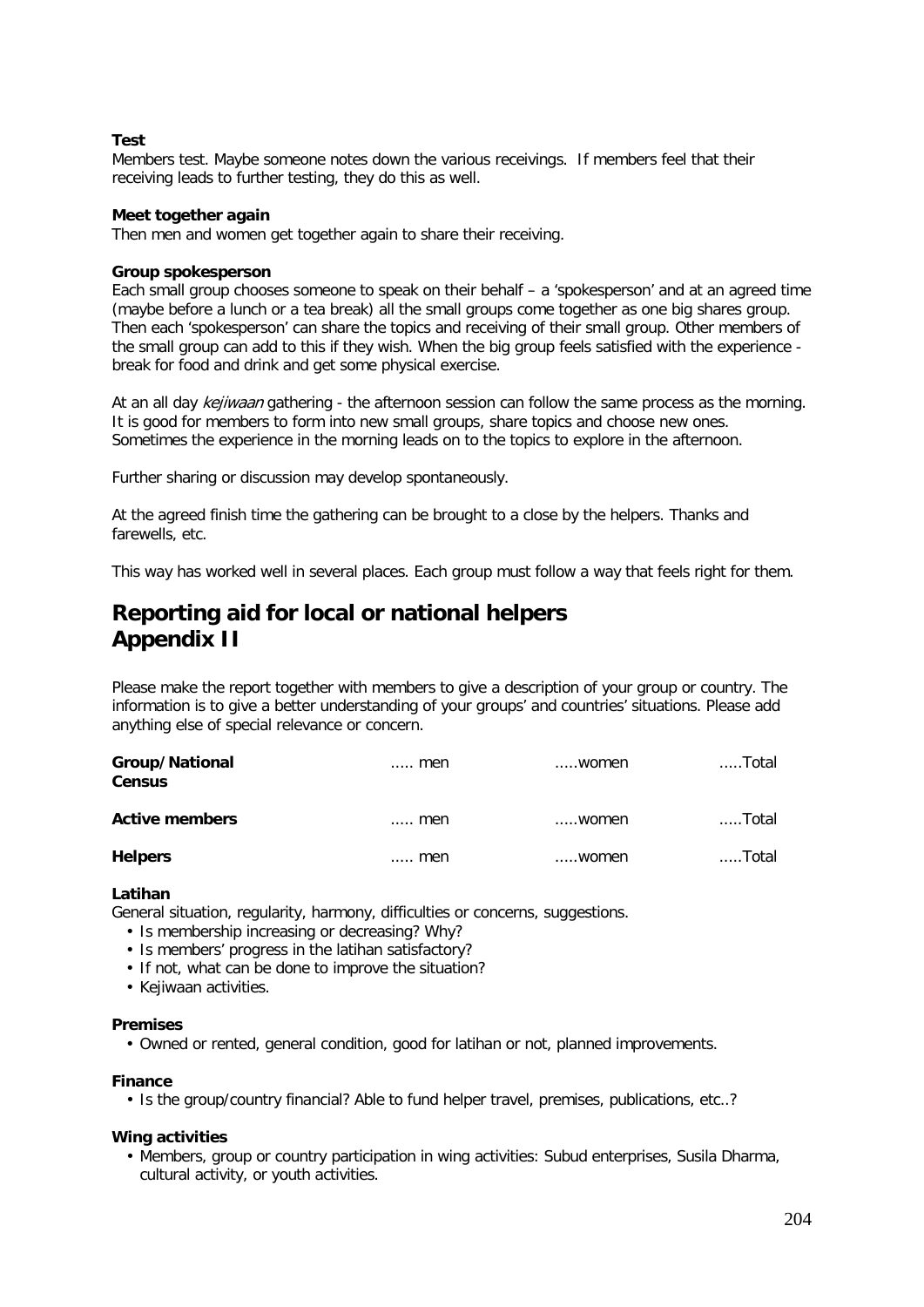### **Test**

Members test. Maybe someone notes down the various receivings. If members feel that their receiving leads to further testing, they do this as well.

### **Meet together again**

Then men and women get together again to share their receiving.

### **Group spokesperson**

Each small group chooses someone to speak on their behalf – a 'spokesperson' and at an agreed time (maybe before a lunch or a tea break) all the small groups come together as one big shares group. Then each 'spokesperson' can share the topics and receiving of their small group. Other members of the small group can add to this if they wish. When the big group feels satisfied with the experience break for food and drink and get some physical exercise.

At an all day *kejiwaan* gathering - the afternoon session can follow the same process as the morning. It is good for members to form into new small groups, share topics and choose new ones. Sometimes the experience in the morning leads on to the topics to explore in the afternoon.

Further sharing or discussion may develop spontaneously.

At the agreed finish time the gathering can be brought to a close by the helpers. Thanks and farewells, etc.

This way has worked well in several places. Each group must follow a way that feels right for them.

## **Reporting aid for local or national helpers Appendix II**

Please make the report together with members to give a description of your group or country. The information is to give a better understanding of your groups' and countries' situations. Please add anything else of special relevance or concern.

| Group/National<br><b>Census</b> | $\ldots$ men | women | ……Total |
|---------------------------------|--------------|-------|---------|
| <b>Active members</b>           | $\ldots$ men | women | ……Total |
| <b>Helpers</b>                  | men          | women | Total   |

### **Latihan**

General situation, regularity, harmony, difficulties or concerns, suggestions.

- Is membership increasing or decreasing? Why?
- Is members' progress in the latihan satisfactory?
- If not, what can be done to improve the situation?
- Kejiwaan activities.

### **Premises**

• Owned or rented, general condition, good for latihan or not, planned improvements.

### **Finance**

• Is the group/country financial? Able to fund helper travel, premises, publications, etc..?

### **Wing activities**

• Members, group or country participation in wing activities: Subud enterprises, Susila Dharma, cultural activity, or youth activities.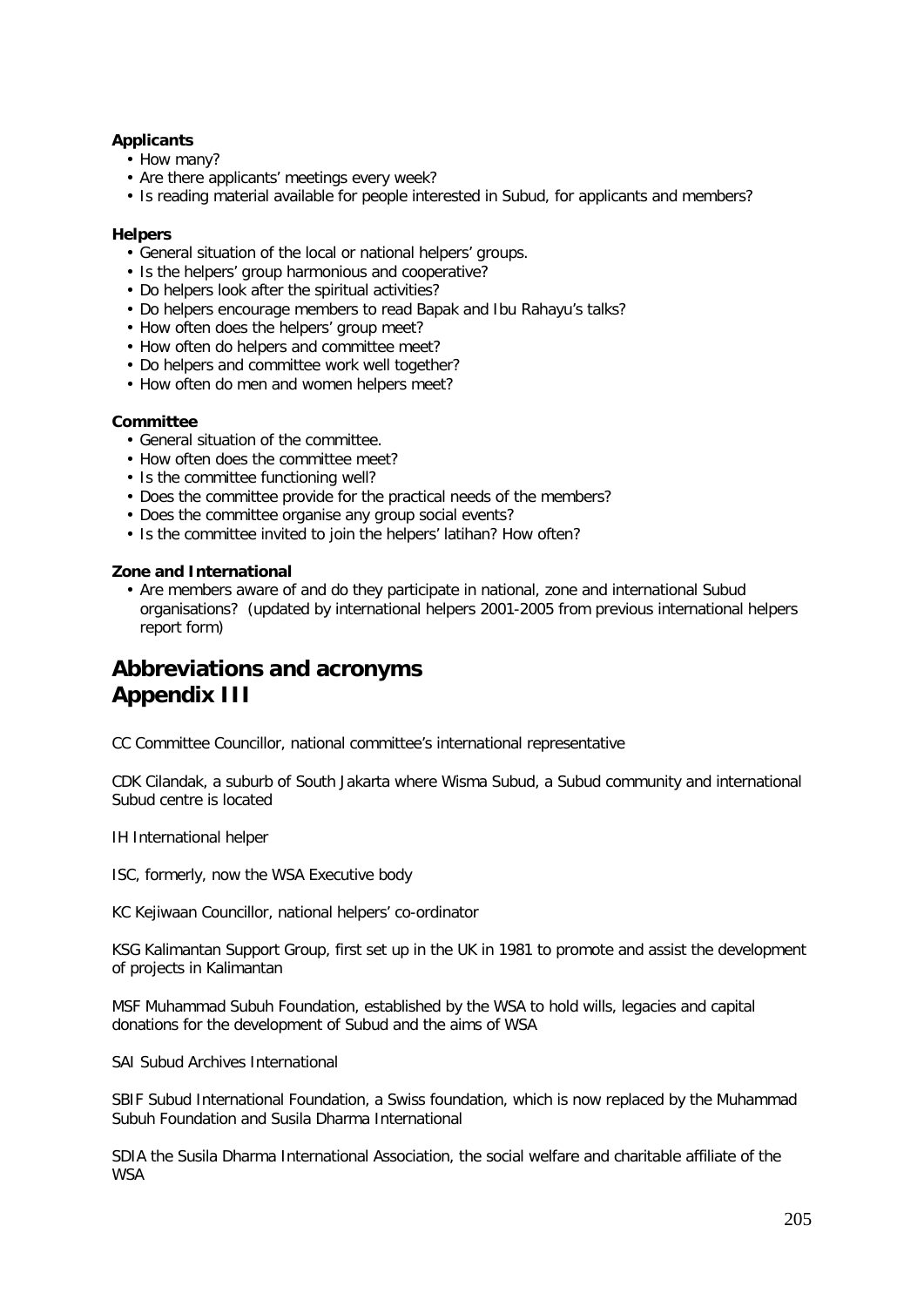### **Applicants**

- How many?
- Are there applicants' meetings every week?
- Is reading material available for people interested in Subud, for applicants and members?

### **Helpers**

- General situation of the local or national helpers' groups.
- Is the helpers' group harmonious and cooperative?
- Do helpers look after the spiritual activities?
- Do helpers encourage members to read Bapak and Ibu Rahayu's talks?
- How often does the helpers' group meet?
- How often do helpers and committee meet?
- Do helpers and committee work well together?
- How often do men and women helpers meet?

### **Committee**

- General situation of the committee.
- How often does the committee meet?
- Is the committee functioning well?
- Does the committee provide for the practical needs of the members?
- Does the committee organise any group social events?
- Is the committee invited to join the helpers' latihan? How often?

### **Zone and International**

• Are members aware of and do they participate in national, zone and international Subud organisations? (updated by international helpers 2001-2005 from previous international helpers report form)

# **Abbreviations and acronyms Appendix III**

CC Committee Councillor, national committee's international representative

CDK Cilandak, a suburb of South Jakarta where Wisma Subud, a Subud community and international Subud centre is located

IH International helper

ISC, formerly, now the WSA Executive body

KC Kejiwaan Councillor, national helpers' co-ordinator

KSG Kalimantan Support Group, first set up in the UK in 1981 to promote and assist the development of projects in Kalimantan

MSF Muhammad Subuh Foundation, established by the WSA to hold wills, legacies and capital donations for the development of Subud and the aims of WSA

SAI Subud Archives International

SBIF Subud International Foundation, a Swiss foundation, which is now replaced by the Muhammad Subuh Foundation and Susila Dharma International

SDIA the Susila Dharma International Association, the social welfare and charitable affiliate of the **WSA**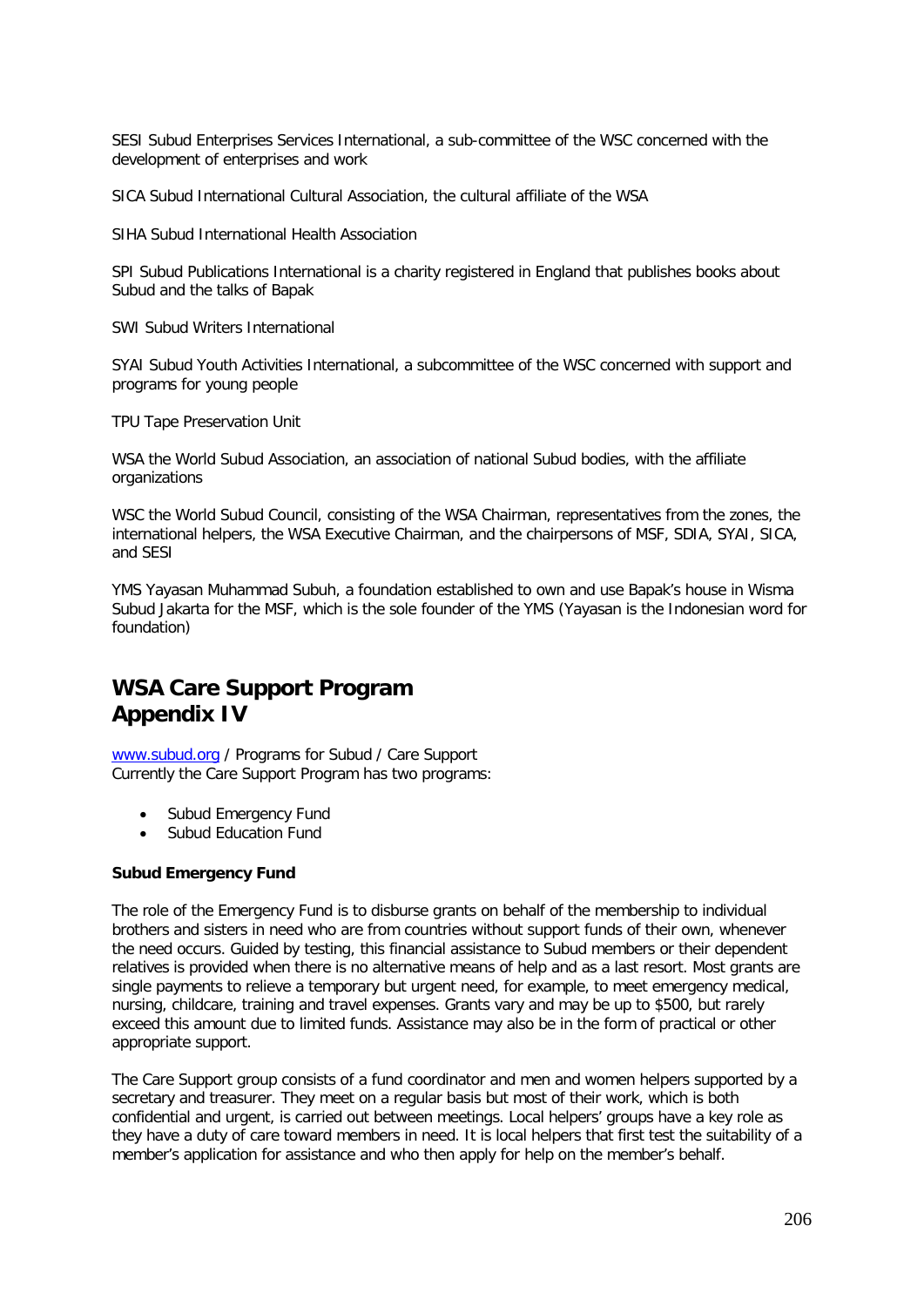SESI Subud Enterprises Services International, a sub-committee of the WSC concerned with the development of enterprises and work

SICA Subud International Cultural Association, the cultural affiliate of the WSA

SIHA Subud International Health Association

SPI Subud Publications International is a charity registered in England that publishes books about Subud and the talks of Bapak

SWI Subud Writers International

SYAI Subud Youth Activities International, a subcommittee of the WSC concerned with support and programs for young people

TPU Tape Preservation Unit

WSA the World Subud Association, an association of national Subud bodies, with the affiliate organizations

WSC the World Subud Council, consisting of the WSA Chairman, representatives from the zones, the international helpers, the WSA Executive Chairman, and the chairpersons of MSF, SDIA, SYAI, SICA, and SESI

YMS Yayasan Muhammad Subuh, a foundation established to own and use Bapak's house in Wisma Subud Jakarta for the MSF, which is the sole founder of the YMS (Yayasan is the Indonesian word for foundation)

# **WSA Care Support Program Appendix IV**

[www.subud.org](http://www.subud.org/) / Programs for Subud / Care Support Currently the Care Support Program has two programs:

- Subud Emergency Fund
- Subud Education Fund

### **Subud Emergency Fund**

The role of the Emergency Fund is to disburse grants on behalf of the membership to individual brothers and sisters in need who are from countries without support funds of their own, whenever the need occurs. Guided by testing, this financial assistance to Subud members or their dependent relatives is provided when there is no alternative means of help and as a last resort. Most grants are single payments to relieve a temporary but urgent need, for example, to meet emergency medical, nursing, childcare, training and travel expenses. Grants vary and may be up to \$500, but rarely exceed this amount due to limited funds. Assistance may also be in the form of practical or other appropriate support.

The Care Support group consists of a fund coordinator and men and women helpers supported by a secretary and treasurer. They meet on a regular basis but most of their work, which is both confidential and urgent, is carried out between meetings. Local helpers' groups have a key role as they have a duty of care toward members in need. It is local helpers that first test the suitability of a member's application for assistance and who then apply for help on the member's behalf.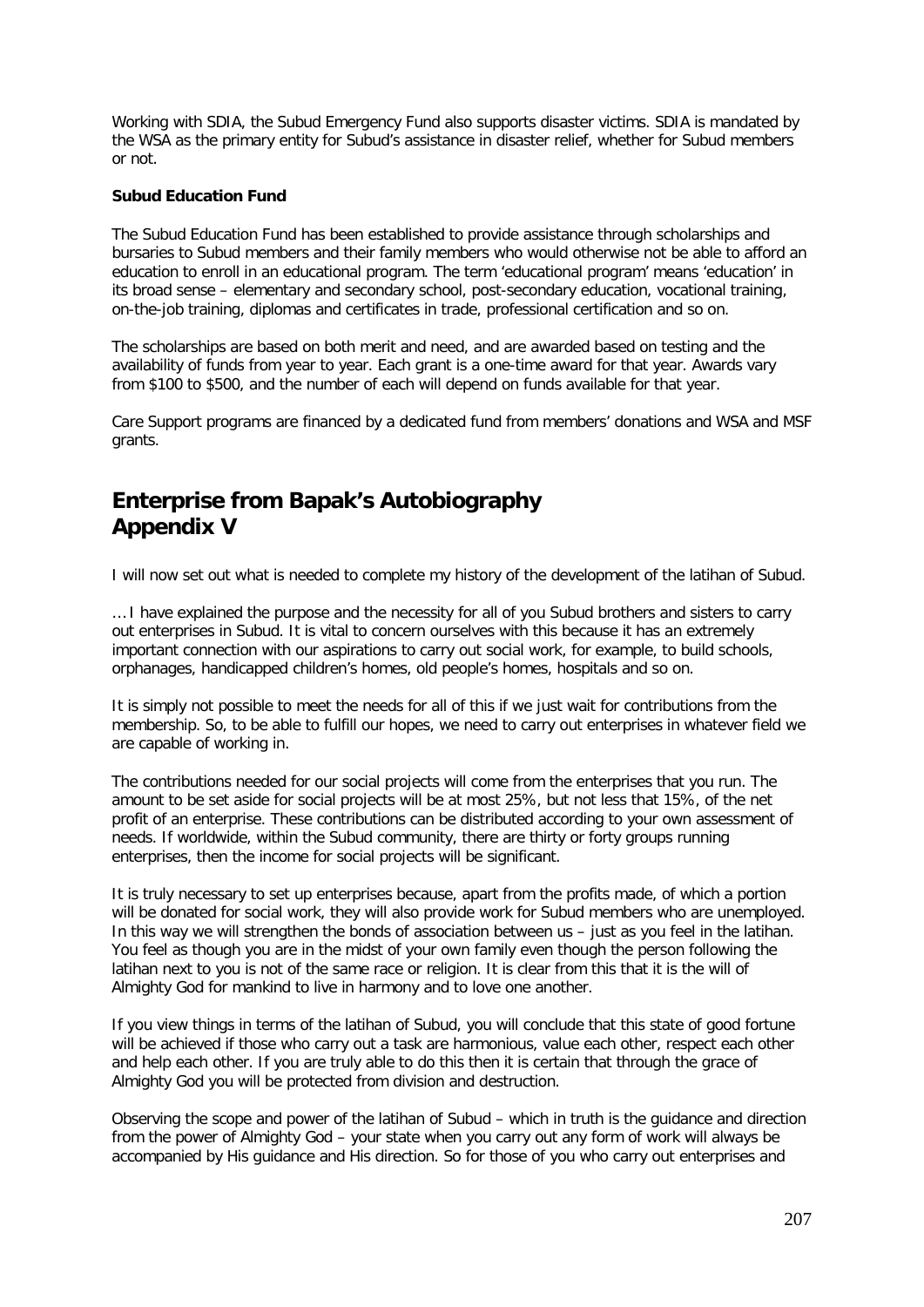Working with SDIA, the Subud Emergency Fund also supports disaster victims. SDIA is mandated by the WSA as the primary entity for Subud's assistance in disaster relief, whether for Subud members or not.

### **Subud Education Fund**

The Subud Education Fund has been established to provide assistance through scholarships and bursaries to Subud members and their family members who would otherwise not be able to afford an education to enroll in an educational program. The term 'educational program' means 'education' in its broad sense – elementary and secondary school, post-secondary education, vocational training, on-the-job training, diplomas and certificates in trade, professional certification and so on.

The scholarships are based on both merit and need, and are awarded based on testing and the availability of funds from year to year. Each grant is a one-time award for that year. Awards vary from \$100 to \$500, and the number of each will depend on funds available for that year.

Care Support programs are financed by a dedicated fund from members' donations and WSA and MSF grants.

# **Enterprise from Bapak's Autobiography Appendix V**

I will now set out what is needed to complete my history of the development of the latihan of Subud.

… I have explained the purpose and the necessity for all of you Subud brothers and sisters to carry out enterprises in Subud. It is vital to concern ourselves with this because it has an extremely important connection with our aspirations to carry out social work, for example, to build schools, orphanages, handicapped children's homes, old people's homes, hospitals and so on.

It is simply not possible to meet the needs for all of this if we just wait for contributions from the membership. So, to be able to fulfill our hopes, we need to carry out enterprises in whatever field we are capable of working in.

The contributions needed for our social projects will come from the enterprises that you run. The amount to be set aside for social projects will be at most 25%, but not less that 15%, of the net profit of an enterprise. These contributions can be distributed according to your own assessment of needs. If worldwide, within the Subud community, there are thirty or forty groups running enterprises, then the income for social projects will be significant.

It is truly necessary to set up enterprises because, apart from the profits made, of which a portion will be donated for social work, they will also provide work for Subud members who are unemployed. In this way we will strengthen the bonds of association between us – just as you feel in the latihan. You feel as though you are in the midst of your own family even though the person following the latihan next to you is not of the same race or religion. It is clear from this that it is the will of Almighty God for mankind to live in harmony and to love one another.

If you view things in terms of the latihan of Subud, you will conclude that this state of good fortune will be achieved if those who carry out a task are harmonious, value each other, respect each other and help each other. If you are truly able to do this then it is certain that through the grace of Almighty God you will be protected from division and destruction.

Observing the scope and power of the latihan of Subud – which in truth is the guidance and direction from the power of Almighty God – your state when you carry out any form of work will always be accompanied by His guidance and His direction. So for those of you who carry out enterprises and